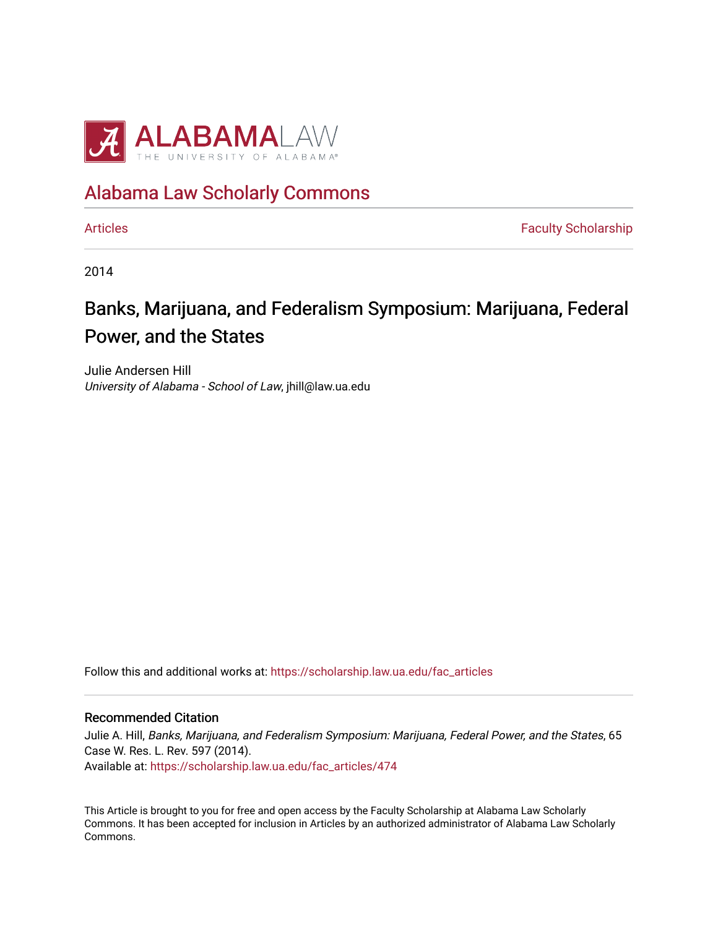

## [Alabama Law Scholarly Commons](https://scholarship.law.ua.edu/)

[Articles](https://scholarship.law.ua.edu/fac_articles) **Faculty Scholarship** 

2014

# Banks, Marijuana, and Federalism Symposium: Marijuana, Federal Power, and the States

Julie Andersen Hill University of Alabama - School of Law, jhill@law.ua.edu

Follow this and additional works at: [https://scholarship.law.ua.edu/fac\\_articles](https://scholarship.law.ua.edu/fac_articles?utm_source=scholarship.law.ua.edu%2Ffac_articles%2F474&utm_medium=PDF&utm_campaign=PDFCoverPages) 

## Recommended Citation

Julie A. Hill, Banks, Marijuana, and Federalism Symposium: Marijuana, Federal Power, and the States, 65 Case W. Res. L. Rev. 597 (2014). Available at: [https://scholarship.law.ua.edu/fac\\_articles/474](https://scholarship.law.ua.edu/fac_articles/474?utm_source=scholarship.law.ua.edu%2Ffac_articles%2F474&utm_medium=PDF&utm_campaign=PDFCoverPages) 

This Article is brought to you for free and open access by the Faculty Scholarship at Alabama Law Scholarly Commons. It has been accepted for inclusion in Articles by an authorized administrator of Alabama Law Scholarly Commons.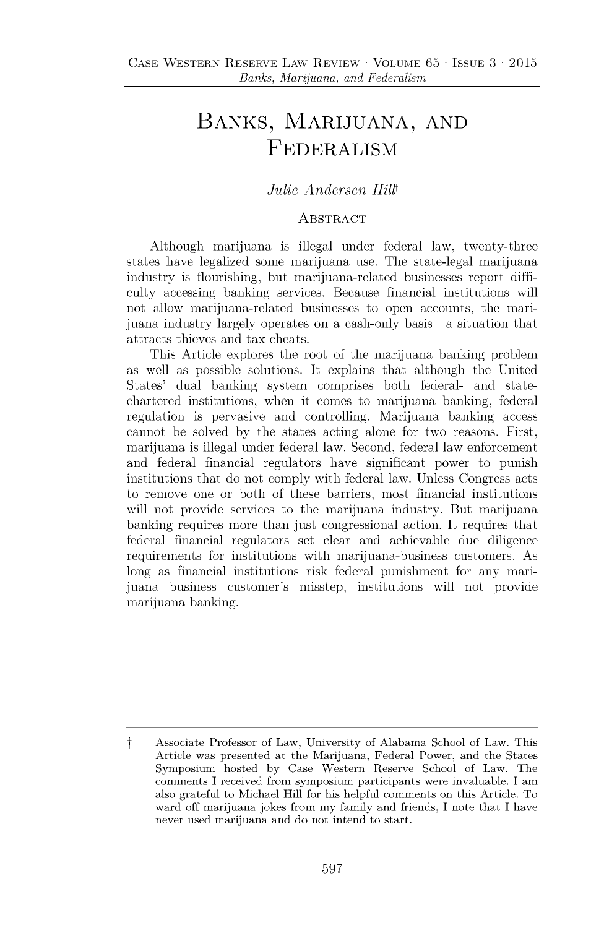## **BANKS, MARIJUANA, AND** FEDERALISM

## *Julie Andersen Hillt*

## **ABSTRACT**

Although marijuana is illegal under federal law, twenty-three states have legalized some marijuana use. The state-legal marijuana industry is flourishing, but marijuana-related businesses report difficulty accessing banking services. Because financial institutions will not allow marijuana-related businesses to open accounts, the marijuana industry largely operates on a cash-only basis-a situation that attracts thieves and tax cheats.

This Article explores the root of the marijuana banking problem as well as possible solutions. It explains that although the United States' dual banking system comprises both federal- and statechartered institutions, when it comes to marijuana banking, federal regulation is pervasive and controlling. Marijuana banking access cannot be solved **by** the states acting alone for two reasons. First, marijuana is illegal under federal law. Second, federal law enforcement and federal financial regulators have significant power to punish institutions that do not comply with federal law. Unless Congress acts to remove one or both of these barriers, most financial institutions will not provide services to the marijuana industry. But marijuana banking requires more than just congressional action. It requires that federal financial regulators set clear and achievable due diligence requirements for institutions with marijuana-business customers. As long as financial institutions risk federal punishment for any marijuana business customer's misstep, institutions will not provide marijuana banking.

t **Associate Professor of Law, University of Alabama School of Law. This Article was presented at the Marijuana, Federal Power, and the States Symposium hosted by Case Western Reserve School of Law. The comments I received from symposium participants were invaluable. I am also grateful to Michael Hill for his helpful comments on this Article. To ward off marijuana jokes from my family and friends, I note that I have never used marijuana and do not intend to start.**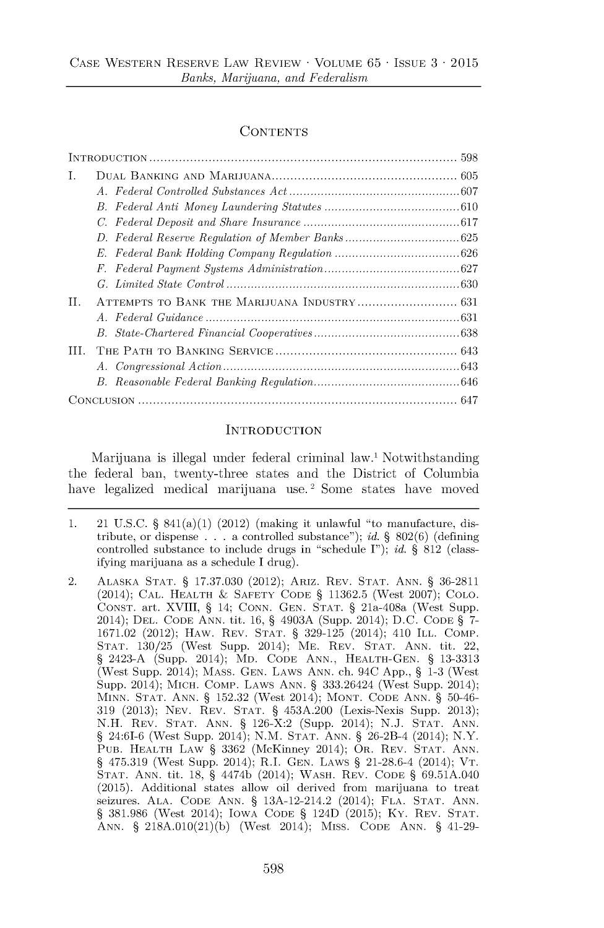#### **CONTENTS**

| T.  |  |  |
|-----|--|--|
|     |  |  |
|     |  |  |
|     |  |  |
|     |  |  |
|     |  |  |
|     |  |  |
|     |  |  |
| H.  |  |  |
|     |  |  |
|     |  |  |
| TH. |  |  |
|     |  |  |
|     |  |  |
|     |  |  |

#### **INTRODUCTION**

Marijuana is illegal under federal criminal law.' Notwithstanding the federal ban, twenty-three states and the District of Columbia have legalized medical marijuana use.<sup>2</sup> Some states have moved

**<sup>1.</sup>** 21 **U.S.C. §** 841(a)(1) (2012) (making it unlawful "to manufacture, distribute, or dispense **. . .** a controlled substance"); *id.* **§ 802(6)** (defining controlled substance to include drugs in "schedule **I");** *id.* **§ 812** (classifying marijuana as a schedule **I** drug).

<sup>2.</sup> **ALASKA STAT. § 17.37.030** (2012); ARIZ. REV. **STAT. ANN. § 36-2811** (2014); **CAL.** HEALTH **&** SAFETY **CODE § 11362.5** (West **2007); COLO. CONST.** art. XVIII, **§** 14; **CONN. GEN. STAT. §** 21a-408a (West Supp. 2014); **DEL. CODE ANN.** tit. **16, §** 4903A (Supp. 2014); **D.C. CODE § 7- 1671.02** (2012); HAW. REV. **STAT. § 329-125** (2014); 410 ILL. COMP. **STAT. 130/25** (West Supp. 2014); ME. REV. **STAT. ANN.** tit. 22, **§** 2423-A (Supp. 2014); MD. **CODE ANN., HEALTH-GEN. § 13-3313** (West Supp. 2014); **MASS. GEN.** LAWS **ANN.** ch. 94C **App., § 1-3** (West Supp. 2014); MICH. COMP. LAWS **ANN. §** 333.26424 (West Supp. 2014); **MINN. STAT. ANN. § 152.32** (West 2014); **MONT. CODE ANN. §** 50-46- **319 (2013); NEV.** REV. **STAT. §** 453A.200 (Lexis-Nexis Supp. **2013); N.H.** REV. **STAT. ANN. §** 126-X:2 (Supp. 2014); **N.J. STAT. ANN. §** 24:61-6 (West Supp. 2014); **N.M. STAT. ANN. §** 26-2B-4 (2014); N.Y. **PUB.** HEALTH LAW **§ 3362** (McKinney 2014); OR. REV. **STAT. ANN. § 475.319** (West Supp. 2014); R.I. **GEN.** LAWS **§** 21-28.6-4 (2014); VT. **STAT. ANN.** tit. **18, §** 4474b (2014); WASH. REV. **CODE § 69.51A.040 (2015).** Additional states allow oil derived from marijuana to treat seizures. **ALA. CODE ANN. §** 13A-12-214.2 (2014); **FLA. STAT. ANN. § 381.986** (West 2014); IOWA **CODE §** 124D **(2015);** Ky. REV. **STAT. ANN. § 218A.010(21)(b)** (West 2014); MIss. **CODE ANN. §** 41-29-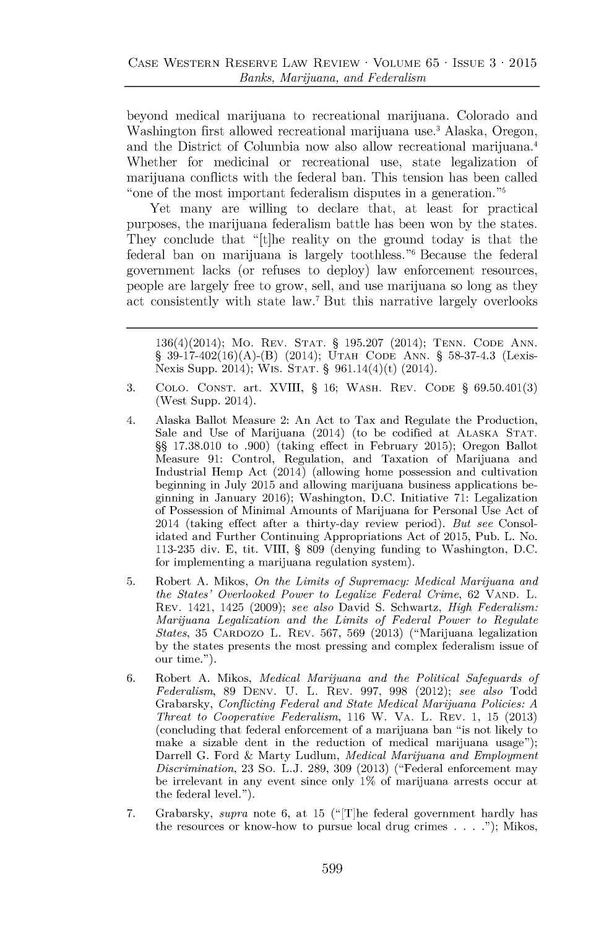beyond medical marijuana to recreational marijuana. Colorado and Washington first allowed recreational marijuana use.<sup>3</sup> Alaska, Oregon, and the District of Columbia now also allow recreational marijuana. Whether for medicinal or recreational use, state legalization of marijuana conflicts with the federal ban. This tension has been called "one of the most important federalism disputes in a generation."

Yet many are willing to declare that, at least for practical purposes, the marijuana federalism battle has been won **by** the states. They conclude that "[t]he reality on the ground today is that the federal ban on marijuana is largely toothless."' Because the federal government lacks (or refuses to deploy) law enforcement resources, people are largely free to grow, sell, and use marijuana so long as they act consistently with state law.' But this narrative largely overlooks

136(4)(2014); Mo. REV. **STAT. § 195.207** (2014); **TENN. CODE ANN. § 39-17-402(16)(A)-(B)** (2014); **UTAH CODE ANN. § 58-37-4.3** (Lexis-Nexis Supp. 2014); Wis. **STAT. §** 961.14(4)(t) (2014).

- **3. COLO. CONST.** art. XVIII, **§ 16;** WASH. REV. **CODE § 69.50.401(3)** (West Supp. 2014).
- 4. Alaska Ballot Measure 2: An Act to Tax and Regulate the Production, Sale and Use of Marijuana (2014) (to be codified at **ALASKA STAT. §§ 17.38.010** to **.900)** (taking effect in February **2015);** Oregon Ballot Measure **91:** Control, Regulation, and Taxation of Marijuana and Industrial Hemp Act (2014) (allowing home possession and cultivation beginning in July **2015** and allowing marijuana business applications beginning in January **2016);** Washington, **D.C.** Initiative **71:** Legalization of Possession of Minimal Amounts of Marijuana for Personal Use Act of 2014 (taking effect after a thirty-day review period). *But see* Consolidated and Further Continuing Appropriations Act of **2015,** Pub. L. No. **113-235** div. **E,** tit. VIII, **§ 809** (denying funding to Washington, **D.C.** for implementing a marijuana regulation system).
- **5.** Robert **A.** Mikos, *On the Limits of Supremacy: Medical Marijuana and the States' Overlooked Power to Legalize Federal Crime,* **62 VAND.** L. REV. 1421, 1425 **(2009);** *see also* David **S.** Schwartz, *High Federalism: Marijuana Legalization and the Limits of Federal Power to Regulate States,* **35** CARDOZO L. REV. **567, 569 (2013)** ("Marijuana legalization **by** the states presents the most pressing and complex federalism issue of our time.").
- **6.** Robert **A.** Mikos, *Medical Marijuana and the Political Safeguards of Federalism,* **89 DENV. U.** L. REV. **997, 998** (2012); *see also* Todd Grabarsky, *Conflicting Federal and State Medical Marijuana Policies: A Threat to Cooperative Federalism,* **116** W. VA. L. REV. **1, 15 (2013)** (concluding that federal enforcement of a marijuana ban "is not likely to make a sizable dent in the reduction of medical marijuana usage"); Darrell **G.** Ford **&** Marty Ludlum, *Medical Marijuana and Employment Discrimination,* **23** So. **L.J. 289, 309 (2013)** ("Federal enforcement may be irrelevant in any event since only **1%** of marijuana arrests occur at the federal level.").
- **7.** Grabarsky, *supra* note **6,** at **15** (" [T]he federal government hardly has the resources or know-how to pursue local drug crimes **. . . .");** Mikos,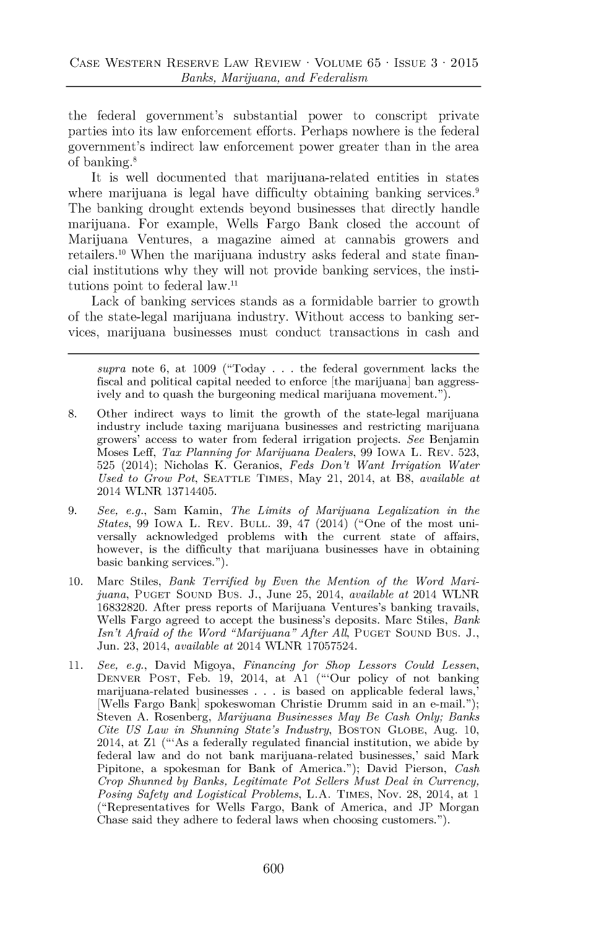the federal government's substantial power to conscript private parties hito its law enforcement efforts. Perhaps nowhere is the federal government's indirect law enforcement power greater than in the area of banking.

It is well documented that marijuana-related entities in states where marijuana is legal have difficulty obtaining banking services.<sup>9</sup> The banking drought extends beyond bushiesses that directly handle marijuana. For example, Wells Fargo Bank closed the account of Marijuana Ventures, a magazine aimed at cannabis growers and retailers.<sup>10</sup>When the marijuana industry asks federal and state financial institutions why they will not provide banking services, the institutions point to federal law. $11$ 

Lack of banking services stands as a formidable barrier to growth of the state-legal marijuana hidustry. Without access to banking services, marijuana businesses must conduct transactions in cash and

*supra* note **6,** at **1009** ("Today **. . .** the federal government lacks the fiscal and political capital needed to enforce [the marijuana] ban aggressively and to quash the burgeoning medical marijuana movement.").

- **8.** Other indirect ways to limit the growth of the state-legal marijuana industry include taxing marijuana businesses and restricting marijuana growers' access to water from federal irrigation projects. *See* Benjamin Moses Leff, *Tax Planning for Marijuana Dealers,* **99** IOWA L. REV. **523, 525** (2014); Nicholas K. Geranios, *Feds Don't Want Irrigation Water Used to Grow Pot,* **SEATTLE** TIMES, May 21, 2014, at B8, *available at* 2014 WLNR 13714405.
- **9.** *See, e.g.,* Sam Kamin, *The Limits of Marijuana Legalization in the States, 99* IOWA L. REV. **BULL. 39,** 47 (2014) ("One of the most universally acknowledged problems with the current state of affairs, however, is the difficulty that marijuana businesses have in obtaining basic banking services.").
- **10.** Marc Stiles, *Bank Terrified by Even the Mention of the Word Marijuana,* **PUGET SOUND** Bus. **J.,** June **25,** 2014, *available at* 2014 WLNR **16832820.** After press reports of Marijuana Ventures's banking travails, Wells Fargo agreed to accept the business's deposits. Marc Stiles, *Bank Isn't Afraid of the Word "Marijuana" After* **All, PUGET SOUND** Bus. **J.,** Jun. **23,** 2014, *available at* 2014 WLNR **17057524.**
- **11.** *See, e.g.,* David Migoya, *Financing for Shop Lessors Could Lessen,* DENVER **POST,** Feb. **19,** 2014, at **Al** ("'Our policy of not banking marijuana-related businesses **. . .** is based on applicable federal laws,' [Wells Fargo Bank] spokeswoman Christie Drumm said in an e-mail."); Steven **A.** Rosenberg, *Marijuana Businesses May Be Cash Only; Banks Cite US Law in Shunning State's Industry,* **BosToN GLOBE,** Aug. **10,** 2014, at Zi ("'As a federally regulated financial institution, we abide **by** federal law and do not bank marijuana-related businesses,' said Mark Pipitone, a spokesman for Bank of America."); David Pierson, *Cash Crop Shunned by Banks, Legitimate Pot Sellers Must Deal in Currency, Posing Safety and Logistical Problems,* **L.A. TIMES,** Nov. **28,** 2014, at 1 ("Representatives for Wells Fargo, Bank of America, and **JP** Morgan Chase said they adhere to federal laws when choosing customers.").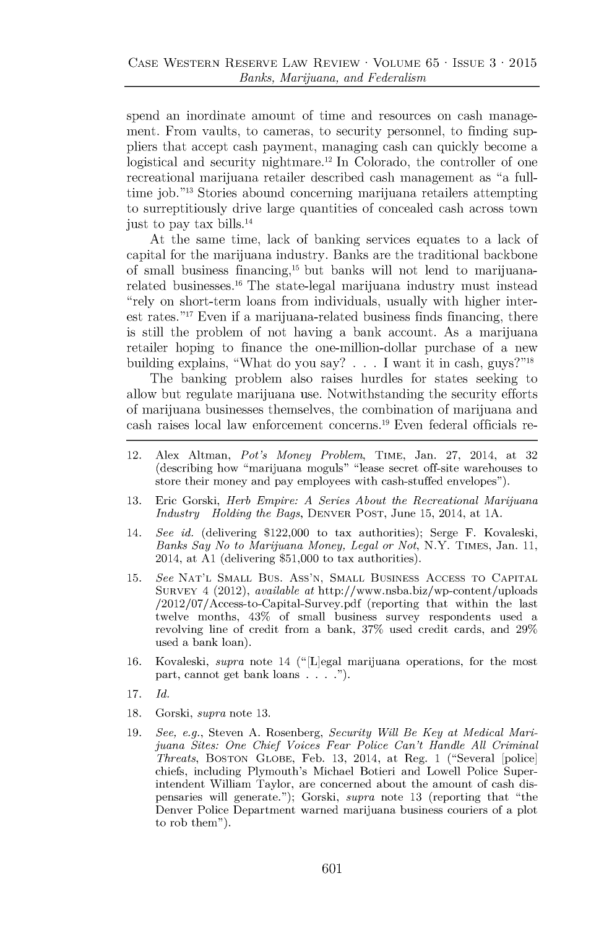spend an inordinate amount of time and resources on cash management. From vaults, to cameras, to security personnel, to finding suppliers that accept cash payment, managing cash can quickly become a logistical and security nightmare.<sup>12</sup> In Colorado, the controller of one recreational marijuana retailer described cash management as "a fulltime job."<sup>13</sup> Stories abound concerning marijuana retailers attempting to surreptitiously drive large quantities of concealed cash across town just to pay tax bills.<sup>14</sup>

At the same time, lack of banking services equates to a lack of capital for the marijuana industry. Banks are the traditional backbone of small business financing,<sup>15</sup> but banks will not lend to marijuanarelated businesses.<sup>16</sup> The state-legal marijuana industry must instead "rely on short-term loans from individuals, usually with higher interest rates. "17 Even if a marijuana-related business finds financing, there is still the problem of not having a bank account. As a marijuana retailer hoping to finance the one-million-dollar purchase of a new building explains, "What do you say? . . . I want it in cash, guys?"<sup>18</sup>

The banking problem also raises hurdles for states seeking to allow but regulate marijuana use. Notwithstanding the security efforts of marijuana businesses themselves, the combination of marijuana and cash raises local law enforcement concerns.19 Even federal officials re-

- 12. Alex Altman, *Pot's Money Problem,* TIME, Jan. **27,** 2014, at **32** (describing how "marijuana moguls" "lease secret off-site warehouses to store their money and pay employees with cash-stuffed envelopes").
- **13.** Eric Gorski, *Herb Empire: A Series About the Recreational Marijuana Industry Holding the Bags,* DENVER **POST,** June **15,** 2014, at **1A.**
- 14. *See id.* (delivering \$122,000 to tax authorities); Serge F. Kovaleski, *Banks Say No to Marijuana Money, Legal or Not,* N.Y. **TIMES,** Jan. **11,** 2014, at **Al** (delivering **\$51,000** to tax authorities).
- **15.** *See* **NAT'L SMALL** Bus. Ass'N, **SMALL** BUSINESS ACCESS TO **CAPITAL SURVEY** 4 (2012), *available at* http://www.nsba.biz/wp-content/uploads /2012/07/Access-to-Capital-Survey.pdf (reporting that within the last twelve months, 43% of small business survey respondents used a revolving line of credit from a bank, **37%** used credit cards, and **29%** used a bank loan).
- **16.** Kovaleski, *supra* note 14 (" [L]egal marijuana operations, for the most part, cannot get bank loans **. . . ..**
- **17.** *Id.*
- **18.** Gorski, *supra* note **13.**
- **19.** *See, e.g.,* Steven **A.** Rosenberg, *Security Will Be Key at Medical Marijuana Sites: One Chief Voices Fear Police Can't Handle All Criminal Threats,* **BOSTON GLOBE,** Feb. **13,** 2014, at Reg. 1 ("Several [police] chiefs, including Plymouth's Michael Botieri and Lowell Police Superintendent William Taylor, are concerned about the amount of cash dispensaries will generate."); Gorski, *supra* note **13** (reporting that "the Denver Police Department warned marijuana business couriers of a plot to rob them").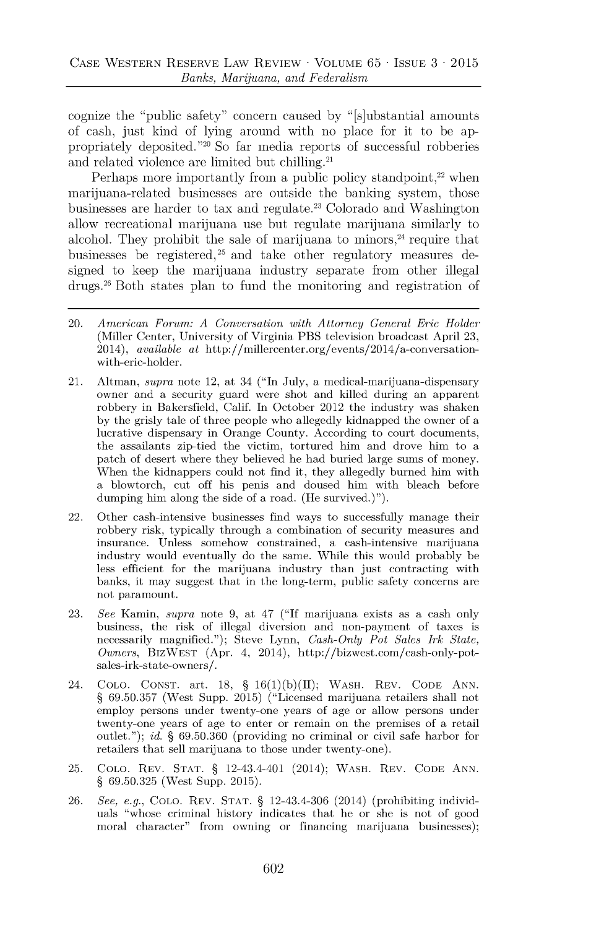cognize the "public safety" concern caused **by** "[s]ubstantial amounts of cash, just kind of lying around with no place for it to be appropriately deposited."<sup>20</sup> So far media reports of successful robberies and related violence are limited but chilling.<sup>21</sup>

Perhaps more importantly from a public policy standpoint, $22$  when marijuana-related businesses are outside the banking system, those businesses are harder to tax and regulate.<sup>23</sup> Colorado and Washington allow recreational marijuana use but regulate marijuana similarly to alcohol. They prohibit the sale of marijuana to minors, $24$  require that businesses be registered,  $25$  and take other regulatory measures designed to keep the marijuana industry separate from other illegal drugs.<sup>26</sup> Both states plan to fund the monitoring and registration of

- 20. *American Forum: A Conversation with Attorney General Eric Holder* (Miller Center, University of Virginia PBS television broadcast April **23,** 2014), *available at* http://millercenter.org/events/2014/a-conversationwith-eric-holder.
- 21. Altman, *supra* note 12, at 34 ("In July, a medical-marijuana-dispensary owner and a security guard were shot and killed during an apparent robbery in Bakersfield, Calif. In October 2012 the industry was shaken **by** the grisly tale of three people who allegedly kidnapped the owner of a lucrative dispensary in Orange County. According to court documents, the assailants zip-tied the victim, tortured him and drove him to a patch of desert where they believed he had buried large sums of money. When the kidnappers could not find it, they allegedly burned him with a blowtorch, cut off his penis and doused him with bleach before dumping him along the side of a road. (He survived.)").
- 22. Other cash-intensive businesses find ways to successfully manage their robbery risk, typically through a combination of security measures and insurance. Unless somehow constrained, a cash-intensive marijuana industry would eventually do the same. While this would probably be less efficient for the marijuana industry than just contracting with banks, it may suggest that in the long-term, public safety concerns are not paramount.
- **23.** *See* Kamin, *supra* note **9,** at *47* **("If** marijuana exists as a cash only business, the risk of illegal diversion and non-payment of taxes is necessarily magnified."); Steve Lynn, *Cash-Only Pot Sales Irk State, Owners,* BIZWEST (Apr. *4,* 2014), http://bizwest.com/cash-only-potsales-irk-state-owners/.
- 24. **COLO. CONST.** art. **18, § 16(1)(b)(J);** WASH. REV. **CODE ANN. § 69.50.357** (West Supp. **2015)** ("Licensed marijuana retailers shall not employ persons under twenty-one years of age or allow persons under twenty-one years of age to enter or remain on the premises of a retail outlet."); *id.* **§ 69.50.360** (providing no criminal or civil safe harbor for retailers that sell marijuana to those under twenty-one).
- **25. COLO.** REV. **STAT. §** 12-43.4-401 (2014); WASH. REV. **CODE ANN. § 69.50.325** (West Supp. **2015).**
- **26.** *See, e.g.,* **CoLO.** REV. **STAT. §** 12-43.4-306 (2014) (prohibiting individuals "whose criminal history indicates that he or she is not of good moral character" from owning or financing marijuana businesses);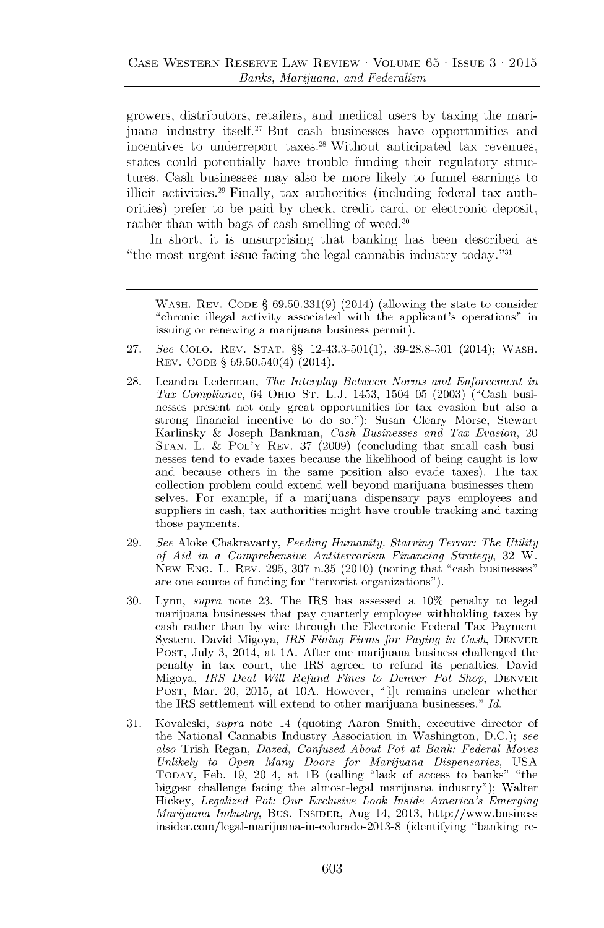growers, distributors, retailers, and medical users **by** taxing the marijuana industry itself.<sup>27</sup> But cash businesses have opportunities and incentives to underreport taxes.<sup>28</sup> Without anticipated tax revenues, states could potentially have trouble funding their regulatory structures. Cash businesses may also be more likely to funnel earnings to illicit activities.<sup>29</sup> Finally, tax authorities (including federal tax authorities) prefer to be paid **by** check, credit card, or electronic deposit, rather than with bags of cash smelling of weed.<sup>30</sup>

In short, it is unsurprising that banking has been described as "the most urgent issue facing the legal cannabis industry today." $31$ 

WASH. REV. **CODE § 69.50.331(9)** (2014) (allowing the state to consider "chronic illegal activity associated with the applicant's operations" in issuing or renewing a marijuana business permit).

- **27.** *See* **COLO.** REV. **STAT. §§** 12-43.3-501(1), **39-28.8-501** (2014); WASH. REV. **CODE §** 69.50.540(4) (2014).
- **28.** Leandra Lederman, *The Interplay Between Norms and Enforcement in Tax Compliance,* 64 OHIO **ST. L.J.** 1453, 1504 **05 (2003)** ("Cash businesses present not only great opportunities for tax evasion but also a strong financial incentive to do so."); Susan Cleary Morse, Stewart Karlinsky & Joseph Bankman, *Cash Businesses and Tax Evasion, 20* **STAN.** L. & POL'Y REV. **37 (2009)** (concluding that small cash businesses tend to evade taxes because the likelihood of being caught is low and because others in the same position also evade taxes). The tax collection problem could extend well beyond marijuana businesses themselves. For example, if a marijuana dispensary pays employees and suppliers in cash, tax authorities might have trouble tracking and taxing those payments.
- **29.** *See* Aloke Chakravarty, *Feeding Humanity, Starving Terror: The Utility of Aid in a Comprehensive Antiterrorism Financing Strategy,* **32** W. NEW **ENG.** L. REV. **295, 307** n.35 (2010) (noting that "cash businesses" are one source of funding for "terrorist organizations").
- **30.** Lynn, *supra* note **23.** The IRS has assessed a **10%** penalty to legal marijuana businesses that pay quarterly employee withholding taxes **by** cash rather than **by** wire through the Electronic Federal Tax Payment System. David Migoya, *IRS Fining Firms for Paying in Cash,* DENVER **POST,** July **3,** 2014, at **1A.** After one marijuana business challenged the penalty in tax court, the IRS agreed to refund its penalties. David Migoya, *IRS Deal Will Refund Fines to Denver Pot Shop,* DENVER **POST,** Mar. 20, **2015,** at **10A.** However, "[i]t remains unclear whether the IRS settlement will extend to other marijuana businesses." *Id.*
- **31.** Kovaleski, *supra* note 14 (quoting Aaron Smith, executive director of the National Cannabis Industry Association in Washington, **D.C.);** *see also* Trish Regan, *Dazed, Confused About Pot at Bank: Federal Moves Unlikely to Open Many Doors for Marijuana Dispensaries,* **USA** TODAY, Feb. **19,** 2014, at lB (calling "lack of access to banks" "the biggest challenge facing the almost-legal marijuana industry"); Walter Hickey, *Legalized Pot: Our Exclusive Look Inside America's Emerging Marijuana Industry,* Bus. **INSIDER,** Aug 14, **2013,** http://www.business insider.com/legal-marijuana-in-colorado-2013-8 (identifying "banking re-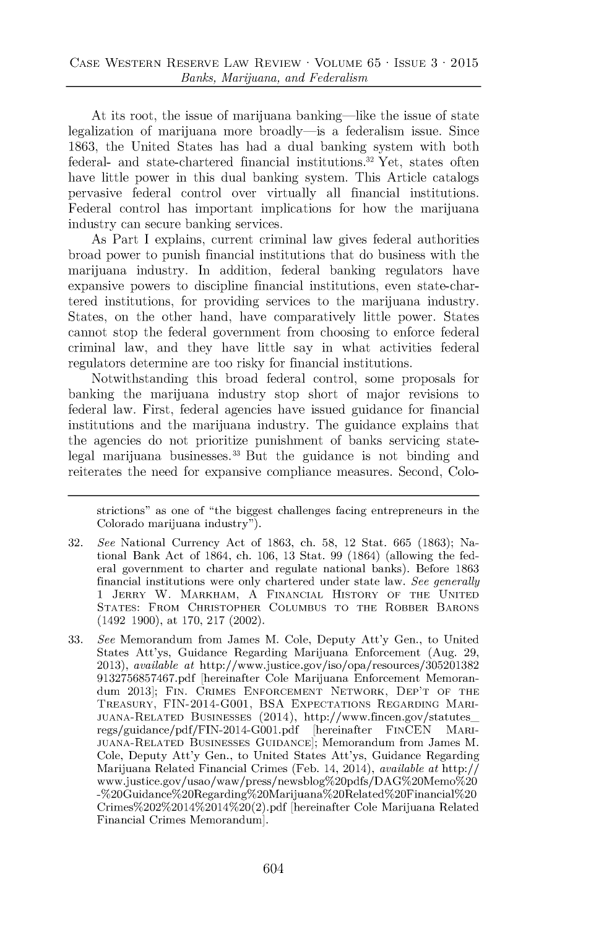At its root, the issue of marijuana banking—like the issue of state legalization of marijuana more broadly-is a federalism issue. Since **1863,** the United States has had a dual banking system with both federal- and state-chartered financial institutions.<sup>32</sup> Yet, states often have little power in this dual banking system. This Article catalogs pervasive federal control over virtually all financial institutions. Federal control has important implications for how the marijuana industry can secure banking services.

As Part **I** explains, current criminal law gives federal authorities broad power to punish financial institutions that do business with the marijuana industry. In addition, federal banking regulators have expansive powers to discipline financial institutions, even state-chartered institutions, for providing services to the marijuana industry. States, **on** the other hand, have comparatively little power. States cannot stop the federal government from choosing to enforce federal criminal law, and they have little say in what activities federal regulators determine are too risky for financial institutions.

Notwithstanding this broad federal control, some proposals for banking the marijuana industry stop short of major revisions to federal law. First, federal agencies have issued guidance for financial institutions and the marijuana industry. The guidance explains that the agencies do not prioritize punishment of banks servicing statelegal marijuana businesses.<sup>33</sup> But the guidance is not binding and reiterates the need for expansive compliance measures. Second, Colo-

strictions" as one of "the biggest challenges facing entrepreneurs in the Colorado marijuana industry").

- **32.** *See* National Currency Act of **1863,** ch. **58,** 12 Stat. **665 (1863);** National Bank Act of 1864, ch. **106, 13** Stat. **99** (1864) (allowing the federal government to charter and regulate national banks). Before **1863** financial institutions were only chartered under state law. *See generally* 1 **JERRY** W. **MARKHAM, A FINANCIAL HISTORY OF THE UNITED STATES: FROM CHRISTOPHER COLUMBUS TO THE ROBBER BARONS** (1492 **1900),** at **170, 217** (2002).
- **33.** *See* Memorandum from James M. Cole, Deputy Att'y Gen., to United States Att'ys, Guidance Regarding Marijuana Enforcement (Aug. **29, 2013),** *available* at http://www.justice.gov/iso/opa/resources/305201382 **9132756857467.pdf** [hereinafter Cole Marijuana Enforcement Memorandum **2013]; FIN.** CRIMES **ENFORCEMENT NETWORK, DEP'T OF THE TREASURY, FIN-2014-G001, BSA EXPECTATIONS REGARDING MARI-JUANA-RELATED BUSINESSES** (2014), http://www.fincen.gov/statutesregs/guidance/pdf/FIN-2014-G001.pdf [hereinafter **FINCEN MARI-JUANA-RELATED BUSINESSES GUIDANCE];** Memorandum from James M. Cole, Deputy Att'y Gen., to United States Att'ys, Guidance Regarding Marijuana Related Financial Crimes (Feb. 14, 2014), *available* at http:// www.justice.gov/usao/waw/press/newsblog%20pdfs/DAG%20Memo%20 -%20Guidance%20Regarding%20Marijuana%20Related%20Financial%20 Crimes%202%2014%2014%20(2).pdf [hereinafter Cole Marijuana Related Financial Crimes Memorandum].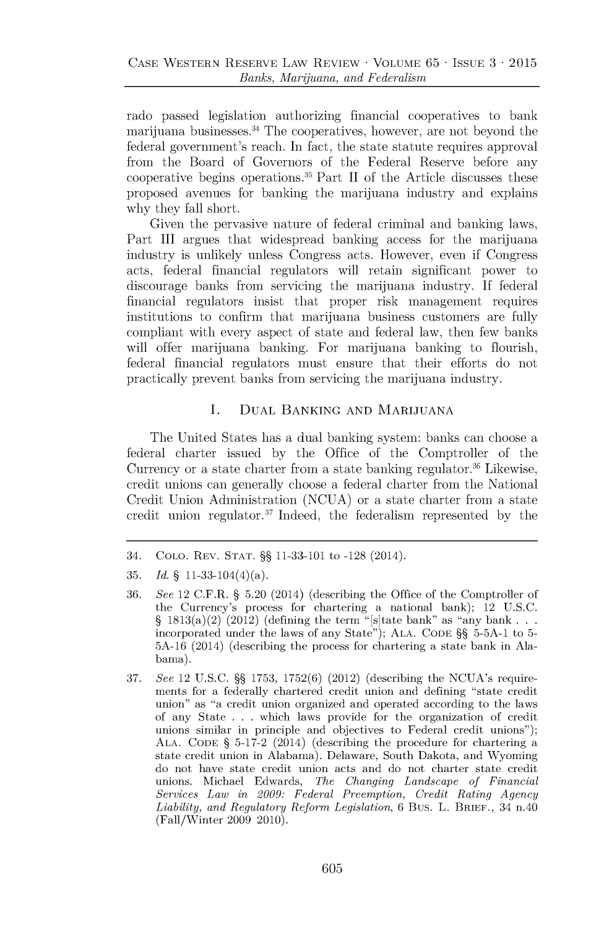rado passed legislation authorizing financial cooperatives to bank marijuana businesses.<sup>34</sup> The cooperatives, however, are not beyond the federal government's reach. In fact, the state statute requires approval from the Board of Governors of the Federal Reserve before any cooperative begins operations. $35$  Part II of the Article discusses these proposed avenues for banking the marijuana industry and explains why they fall short.

Given the pervasive nature of federal criminal and banking laws, Part **III** argues that widespread banking access for the marijuana industry is unlikely unless Congress acts. However, even if Congress acts, federal financial regulators will retain significant power to discourage banks from servicing the marijuana industry. **If** federal financial regulators insist that proper risk management requires institutions to confirm that marijuana business customers are fully compliant with every aspect of state and federal law, then few banks will offer marijuana banking. For marijuana banking to flourish, federal financial regulators must ensure that their efforts do not practically prevent banks from servicing the marijuana industry.

## **I. DUAL BANKING AND MARIJUANA**

The United States has a dual banking system: banks can choose a federal charter issued **by** the Office of the Comptroller of the Currency or a state charter from a state banking regulator.<sup>36</sup> Likewise, credit unions can generally choose a federal charter from the National Credit Union Administration **(NCUA)** or a state charter from a state credit union regulator.<sup>37</sup>Indeed, the federalism represented **by** the

<sup>34.</sup> **COLO.** REV. **STAT. §§ 11-33-101** to **-128** (2014).

**<sup>35.</sup>** *Id.* **§** 11-33-104(4)(a).

**<sup>36.</sup>** *See* 12 C.F.R. **§ 5.20** (2014) (describing the Office of the Comptroller of the Currency's process for chartering a national bank); 12 **U.S.C.** §  $1813(a)(2)$  (2012) (defining the term "[s]tate bank" as "any bank  $\ldots$ incorporated under the laws of any State"); **ALA. CODE §§ 5-5A-1** to **5- 5A-16** (2014) (describing the process for chartering a state bank in Alabama).

**<sup>37.</sup>** *See 12* **U.S.C. §§ 1753, 1752(6)** (2012) (describing the NCUA's requirements for a federally chartered credit union and defining "state credit union" as "a credit union organized and operated according to the laws of any State **. . .** which laws provide for the organization of credit unions similar in principle and objectives to Federal credit unions"); **ALA. CODE § 5-17-2** (2014) (describing the procedure for chartering a state credit union in Alabama). Delaware, South Dakota, and Wyoming do not have state credit union acts and do not charter state credit unions. Michael Edwards, *The Changing Landscape of Financial Services Law in 2009: Federal Preemption, Credit Rating Agency Liability, and Regulatory Reform Legislation,* **6** Bus. L. BRIEF., 34 n.40 (Fall/Winter **2009** 2010).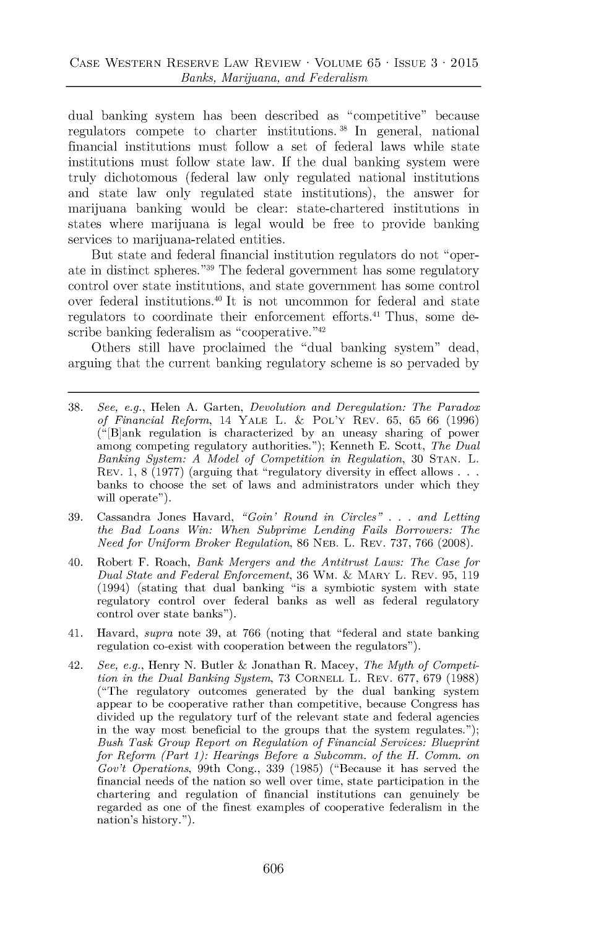dual banking system has been described as "competitive" because regulators compete to charter institutions. **38** In general, national financial institutions must follow a set of federal laws while state institutions must follow state law. **If** the dual banking system were truly dichotomous (federal law only regulated national institutions and state law only regulated state institutions), the answer for marijuana banking would be clear: state-chartered institutions in states where marijuana is legal would be free to provide banking services to marijuana-related entities.

But state and federal financial institution regulators do not "operate in distinct spheres."<sup>39</sup> The federal government has some regulatory control over state institutions, and state government has some control over federal institutions.<sup>40</sup> It is not uncommon for federal and state regulators to coordinate their enforcement efforts.<sup>41</sup> Thus, some describe banking federalism as "cooperative." $42$ 

Others still have proclaimed the "dual banking system" dead, arguing that the current banking regulatory scheme is so pervaded **by**

- **38.** *See, e.g.,* Helen **A.** Garten, *Devolution and Deregulation: The Paradox of Financial Reform,* 14 YALE L. **&** POL'Y REV. **65, 65 66 (1996)** (" [B]ank regulation is characterized **by** an uneasy sharing of power among competing regulatory authorities."); Kenneth **E.** Scott, *The Dual Banking System: A Model of Competition in Regulation,* **30 STAN.** L. REV. **1, 8 (1977)** (arguing that "regulatory diversity in effect allows **. .** banks to choose the set of laws and administrators under which they will operate").
- **39.** Cassandra Jones Havard, *"Goin' Round in Circles"* . . . *and Letting the Bad Loans Win: When Subprime Lending Fails Borrowers: The Need for Uniform Broker Regulation,* **86 NEB.** L. REV. **737, 766 (2008).**
- 40. Robert F. Roach, *Bank Mergers and the Antitrust Laws: The Case for Dual State and Federal Enforcement,* **36** Wm. **&** MARY L. REV. **95, 119** (1994) (stating that dual banking "is a symbiotic system with state regulatory control over federal banks as well as federal regulatory control over state banks").
- 41. Havard, *supra* note **39,** at **766** (noting that "federal and state banking regulation co-exist with cooperation between the regulators").
- 42. *See, e.g.,* Henry **N.** Butler **&** Jonathan R. Macey, *The Myth of Competition in the Dual Banking System,* **73** CORNELL L. REV. **677, 679 (1988)** ("The regulatory outcomes generated **by** the dual banking system appear to be cooperative rather than competitive, because Congress has divided up the regulatory turf of the relevant state and federal agencies in the way most beneficial to the groups that the system regulates."); *Bush Task Group Report on Regulation of Financial Services: Blueprint for Reform (Part 1): Hearings Before a Subcomm. of the H. Comm. on Gov't Operations,* 99th Cong., **339 (1985)** ("Because it has served the financial needs of the nation so well over time, state participation in the chartering and regulation of financial institutions can genuinely be regarded as one of the finest examples of cooperative federalism in the nation's history.").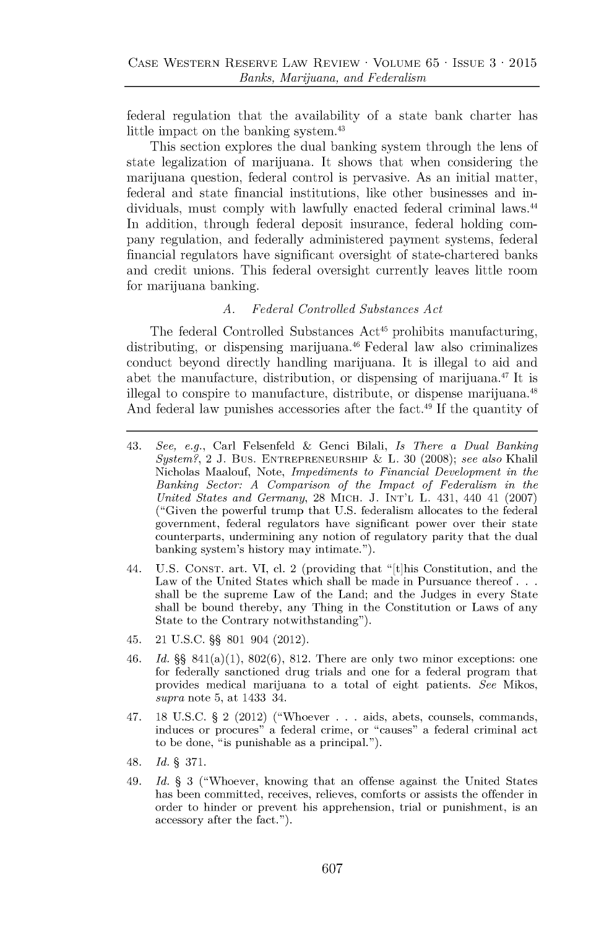federal regulation that the availability of a state bank charter has little impact on the banking system.<sup>43</sup>

This section explores the dual banking system through the lens of state legalization of marijuana. It shows that when considering the marijuana question, federal control is pervasive. As an initial matter, federal and state financial institutions, like other businesses and individuals, must comply with lawfully enacted federal criminal laws.<sup>44</sup> In addition, through federal deposit insurance, federal holding company regulation, and federally administered payment systems, federal financial regulators have significant oversight of state-chartered banks and credit unions. This federal oversight currently leaves little room for marijuana banking.

#### *A. Federal Controlled Substances Act*

The federal Controlled Substances  $Act^{45}$  prohibits manufacturing, distributing, or dispensing marijuana.<sup>46</sup> Federal law also criminalizes conduct beyond directly handling marijuana. It is illegal to aid and abet the manufacture, distribution, or dispensing of marijuana.<sup>47</sup>It **is** illegal to conspire to manufacture, distribute, or dispense marijuana.<sup>48</sup> **And** federal law punishes accessories after the fact.<sup>49</sup>**If** the quantity of

- *44.* **U.S. CONST.** art. VI, cl. 2 (providing that "[t]his Constitution, and the Law of the United States which shall be made in Pursuance thereof **. .** shall be the supreme Law of the Land; and the Judges in every State shall be bound thereby, any Thing in the Constitution or Laws of any State to the Contrary notwithstanding").
- 45. 21 **U.S.C. §§ 801** 904 (2012).
- *46. Id.* **§§** 841(a)(1), **802(6), 812.** There are only two minor exceptions: one for federally sanctioned drug trials and one for a federal program that provides medical marijuana to a total of eight patients. *See* Mikos, *supra* note **5,** at 1433 34.
- 47. **18 U.S.C. §** 2 (2012) ("Whoever ... aids, abets, counsels, commands, induces or procures" a federal crime, or "causes" a federal criminal act to be done, "is punishable as a principal.").
- 48. *Id.* § **371.**
- 49. *Id.* § **3** ("Whoever, knowing that an offense against the United States has been committed, receives, relieves, comforts or assists the offender in order to hinder or prevent his apprehension, trial or punishment, is an accessory after the fact.").

<sup>43.</sup> *See, e.g.,* Carl Felsenfeld **&** Genci Bilali, *Is There a Dual Banking System?,* 2 **J.** Bus. **ENTREPRENEURSHIP &** L. **30 (2008);** *see also* Khalil Nicholas Maalouf, Note, *Impediments to Financial Development in the Banking Sector: A Comparison of the Impact of Federalism in the United States and Germany,* **28** MICH. **J. INT'L** L. 431, 440 41 **(2007)** ("Given the powerful trump that **U.S.** federalism allocates to the federal government, federal regulators have significant power over their state counterparts, undermining any notion of regulatory parity that the dual banking system's history may intimate.").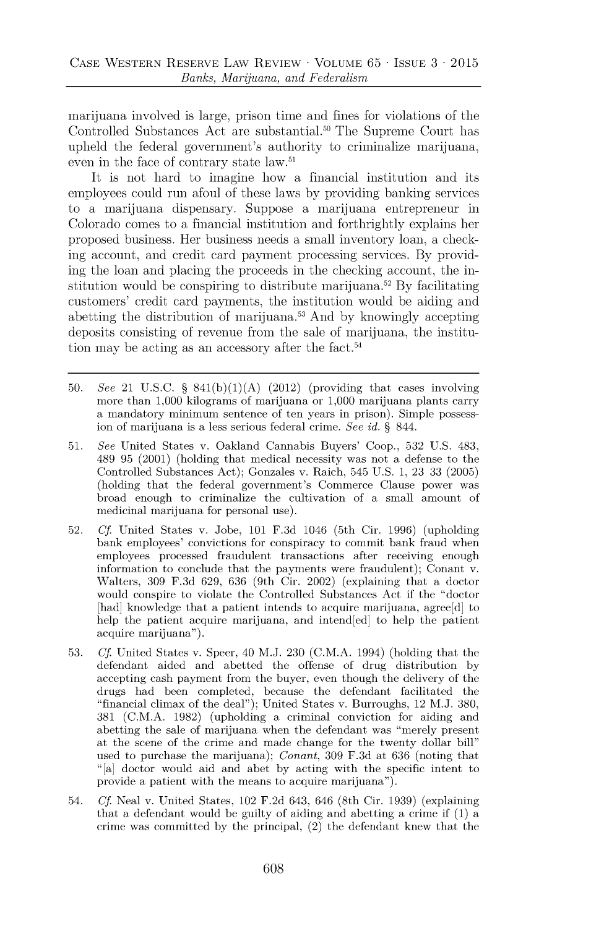marijuana involved is large, prison time and fines for violations of the Controlled Substances Act are substantial.<sup>50</sup> The Supreme Court has upheld the federal government's authority to criminalize marijuana, even in the face of contrary state law.<sup>51</sup>

It is not hard to imagine how a financial institution and its employees could run afoul of these laws **by** providing banking services to a marijuana dispensary. Suppose a marijuana entrepreneur in Colorado comes to a financial institution and forthrightly explains her proposed bushiess. Her bushiess needs a small inventory loan, a checkhig account, and credit card payment processing services. **By** providing the loan and placing the proceeds in the checking account, the institution would be conspiring to distribute marijuana.<sup>52</sup> By facilitating customers' credit card payments, the institution would be aiding and abetting the distribution of marijuana.<sup>5</sup> <sup>3</sup>And **by** knowingly accepting deposits consisting of revenue from the sale of marijuana, the institution may be acting as an accessory after the fact.<sup>54</sup>

- **50.** *See* 21 **U.S.C. § 841(b)(1)(A)** (2012) (providing that cases involving more than **1,000** kilograms of marijuana or **1,000** marijuana plants carry a mandatory minimum sentence of ten years in prison). Simple possession of marijuana is a less serious federal crime. *See id.* **§** 844.
- **51.** *See* United States v. Oakland Cannabis Buyers' Coop., **532 U.S.** 483, 489 **95** (2001) (holding that medical necessity was not a defense to the Controlled Substances Act); Gonzales v. Raich, 545 **U.S. 1, 23 33 (2005)** (holding that the federal government's Commerce Clause power was broad enough to criminalize the cultivation of a small amount of medicinal marijuana for personal use).
- **52.** *Cf.* United States v. Jobe, **101 F.3d** 1046 (5th Cir. **1996)** (upholding bank employees' convictions for conspiracy to commit bank fraud when employees processed fraudulent transactions after receiving enough information to conclude that the payments were fraudulent); Conant v. Walters, **309 F.3d 629, 636** (9th Cir. 2002) (explaining that a doctor would conspire to violate the Controlled Substances Act if the "doctor [had] knowledge that a patient intends to acquire marijuana, agree<sup>[d]</sup> to help the patient acquire marijuana, and intend[ed] to help the patient acquire marijuana").
- **53.** *Cf* United States v. Speer, 40 **M.J. 230 (C.M.A.** 1994) (holding that the defendant aided and abetted the offense of drug distribution **by** accepting cash payment from the buyer, even though the delivery of the drugs had been completed, because the defendant facilitated the "financial climax of the deal"); United States v. Burroughs, 12 **M.J. 380, 381 (C.M.A. 1982)** (upholding a criminal conviction for aiding and abetting the sale of marijuana when the defendant was "merely present at the scene of the crime and made change for the twenty dollar bill" used to purchase the marijuana); *Conant,* **309 F.3d** at **636** (noting that "[a] doctor would aid and abet **by** acting with the specific intent to provide a patient with the means to acquire marijuana").
- 54. *Cf.* Neal v. United States, 102 **F.2d** 643, 646 (8th Cir. **1939)** (explaining that a defendant would be guilty of aiding and abetting a crime if **(1)** a crime was committed **by** the principal, (2) the defendant knew that the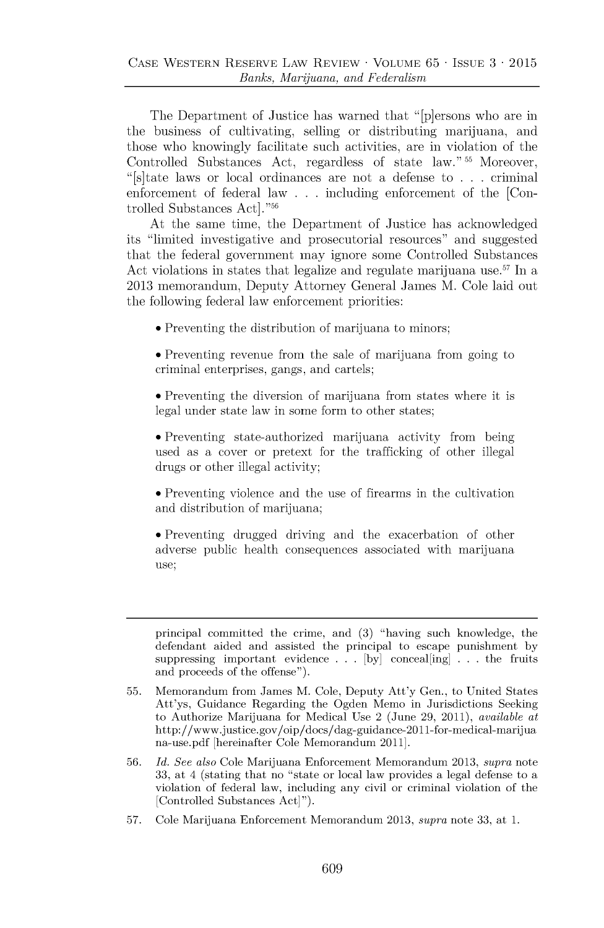The Department of Justice has warned that "[p]ersons who are in the business of cultivating, selling or distributing marijuana, and those who knowingly facilitate such activities, are in violation of the Controlled Substances Act, regardless of state law."<sup>55</sup> Moreover, "[s]tate laws or local ordinances are not a defense to **. . .** criminal enforcement of federal law **. . .** including enforcement of the **[Con**trolled Substances Act]."56

At the same time, the Department of Justice has acknowledged its "limited investigative and prosecutorial resources" and suggested that the federal government may ignore some Controlled Substances Act violations in states that legalize and regulate marijuana use.<sup>57</sup> In a **2013** memorandum, Deputy Attorney General James M. Cole laid out the following federal law enforcement priorities:

\* Preventing the distribution of marijuana to minors;

• Preventing revenue from the sale of marijuana from going to criminal enterprises, gangs, and cartels;

\* Preventing the diversion of marijuana from states where it is legal under state law in some form to other states;

\* Preventing state-authorized marijuana activity from being used as a cover or pretext for the trafficking of other illegal drugs or other illegal activity;

\* Preventing violence and the use of firearms in the cultivation and distribution of marijuana;

• Preventing drugged driving and the exacerbation of other adverse public health consequences associated with marijuana use;

principal committed the crime, and **(3)** "having such knowledge, the defendant aided and assisted the principal to escape punishment **by** suppressing important evidence **. . . [by]** conceal[ing] **. . .** the fruits and proceeds of the offense").

**57.** Cole Marijuana Enforcement Memorandum **2013,** *supra* note **33,** at **1.**

**<sup>55.</sup>** Memorandum from James M. Cole, Deputy Att'y Gen., to United States Att'ys, Guidance Regarding the Ogden Memo in Jurisdictions Seeking to Authorize Marijuana for Medical Use 2 (June **29,** 2011), *available at* http://www.justice.gov/oip/docs/dag-guidance-2011-for-medical-marijua na-use.pdf [hereinafter Cole Memorandum 2011].

**<sup>56.</sup>** *Id. See also* Cole Marijuana Enforcement Memorandum **2013,** *supra* note **33,** at *4* (stating that no "state or local law provides a legal defense to a violation of federal law, including any civil or criminal violation of the [Controlled Substances Act]").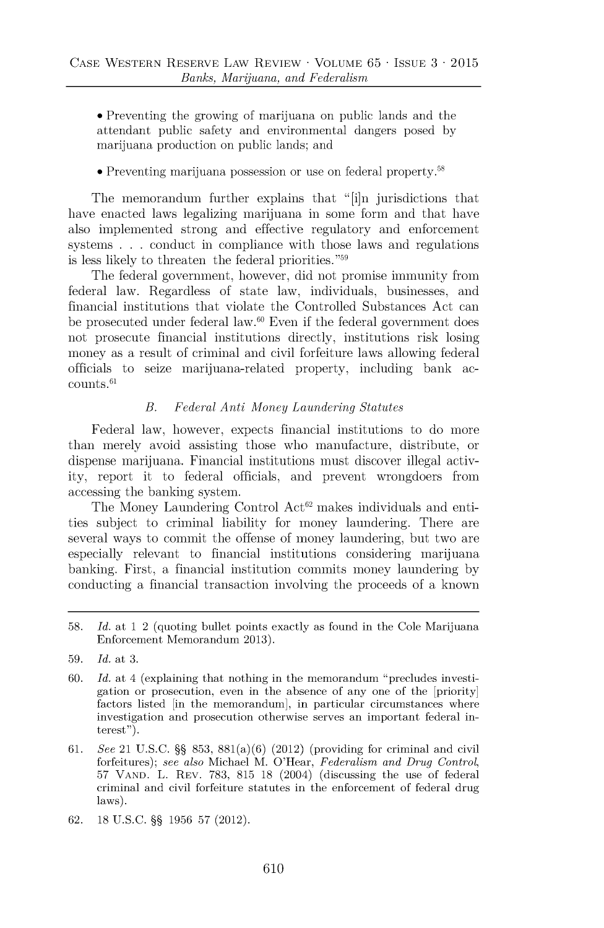\* Preventing the growing of marijuana on public lands and the attendant public safety and environmental dangers posed **by** marijuana production on public lands; and

#### \* Preventing marijuana possession or use on federal property.<sup>58</sup>

The memorandum further explains that "[i]n jurisdictions that have enacted laws legalizing marijuana in some form and that have also implemented strong and effective regulatory and enforcement systems **. . .** conduct in compliance with those laws and regulations is less likely to threaten the federal priorities."<sup>59</sup>

The federal government, however, did not promise immunity from federal law. Regardless of state law, individuals, businesses, and financial institutions that violate the Controlled Substances Act can be prosecuted under federal law. $60$  Even if the federal government does not prosecute financial institutions directly, institutions risk losing money as a result of criminal and civil forfeiture laws allowing federal officials to seize marijuana-related property, including bank ac $counts.<sup>61</sup>$ 

#### *B. Federal Anti Money Laundering Statutes*

Federal law, however, expects financial institutions to do more than merely avoid assisting those who manufacture, distribute, or dispense marijuana. Financial institutions must discover illegal activity, report it to federal officials, and prevent wrongdoers from accessing the banking system.

The Money Laundering Control  $Act^{62}$  makes individuals and entities subject to criminal liability for money laundering. There are several ways to commit the offense of money laundering, but two are especially relevant to financial institutions considering marijuana banking. First, a financial institution commits money laundering **by** conducting a financial transaction involving the proceeds of a known

- **61.** *See* 21 **U.S.C. §§ 853,** 881(a)(6) (2012) (providing for criminal and civil forfeitures); *see also* Michael M. O'Hear, *Federalism and Drug Control,* **57 VAND.** L. REV. **783, 815 18** (2004) (discussing the use of federal criminal and civil forfeiture statutes in the enforcement of federal drug laws).
- **62. 18 U.S.C. §§ 1956 57** (2012).

**<sup>58.</sup>** *Id. at* **1** 2 (quoting bullet points exactly as found in the Cole Marijuana Enforcement Memorandum **2013).**

**<sup>59.</sup>** *Id. at* **3.**

**<sup>60.</sup>** *Id. at* 4 (explaining that nothing in the memorandum "precludes investigation or prosecution, even in the absence of any one of the [priority] factors listed [in the memorandum], in particular circumstances where investigation and prosecution otherwise serves an important federal interest").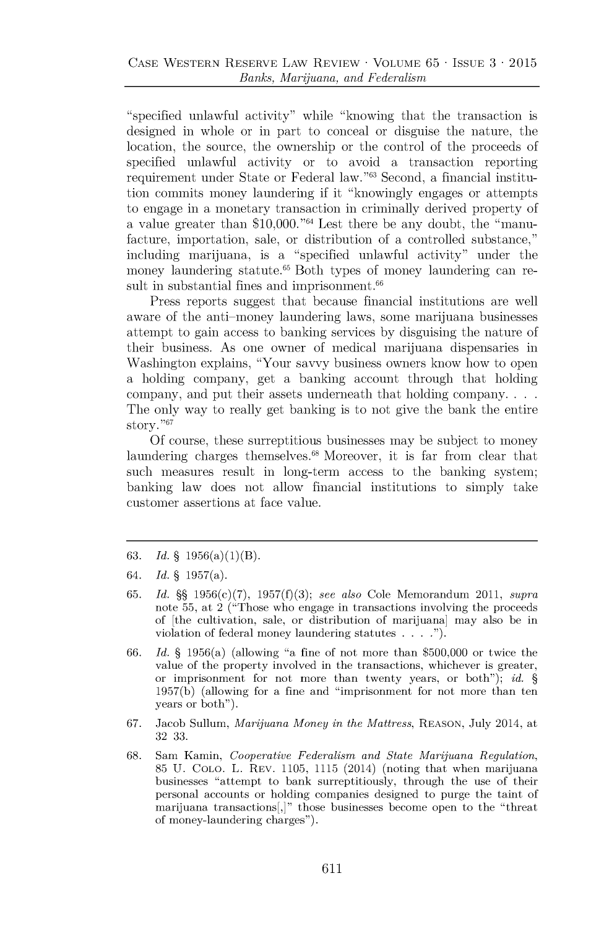"specified unlawful activity" while "knowing that the transaction is designed in whole or in part to conceal or disguise the nature, the location, the source, the ownership or the control of the proceeds of specified unlawful activity or to avoid a transaction reporting requirement under State or Federal law."<sup>63</sup> Second, a financial institution commits money laundering if it "knowingly engages or attempts to engage in a monetary transaction in criminally derived property of a value greater than **\$10,000."6** Lest there be any doubt, the "manufacture, importation, sale, or distribution of a controlled substance," **including** marijuana, is a "specified unlawful activity" under the money laundering statute.<sup>65</sup> Both types of money laundering can result in substantial fines and imprisonment.<sup>66</sup>

Press reports suggest that because financial institutions are well aware of the anti-money laundering laws, some marijuana businesses attempt to gain access to banking services **by** disguising the nature of their business. As one owner of medical marijuana dispensaries in Washington explains, "Your savvy business owners know how to open a holding company, get a banking account through that holding company, and put their assets underneath that holding company. **. .** The only way to really get banking is to not give the bank the entire story. **"67**

**Of** course, these surreptitious businesses may be subject to money laundering charges themselves.<sup>68</sup> Moreover, it is far from clear that such measures result in long-term access to the banking system; banking law does not allow financial institutions to simply take customer assertions at face value.

- **63.** *Id.* **§** 1956(a)(1)(B).
- *64. Id.* **§** 1957(a).
- **65.** *Id.* **§§** 1956(c)(7), **1957(f)(3);** *see also* **Cole Memorandum 2011,** *supra* **note 55, at 2 ("Those who engage in transactions involving the proceeds of [the cultivation, sale, or distribution of marijuana] may also be in violation of federal money laundering statutes . . . .").**
- **66.** *Id.* **§ 1956(a) (allowing "a fine of not more than \$500,000 or twice the value of the property involved in the transactions, whichever is greater, or imprisonment for not more than twenty years, or both");** *id.* **§ 1957(b) (allowing for a fine and "imprisonment for not more than ten years or both").**
- **67. Jacob Sullum,** *Marijuana Money in the Mattress,* **REASON, July 2014, at 32 33.**
- **68. Sam Kamin,** *Cooperative Federalism and State Marijuana Regulation,* **85 U. COLO. L. REV. 1105, 1115 (2014) (noting that when marijuana** businesses "attempt to bank surreptitiously, through the use of their personal accounts or holding companies designed to purge the taint of **marijuana transactions[,]" those businesses become open to the "threat of money-laundering charges").**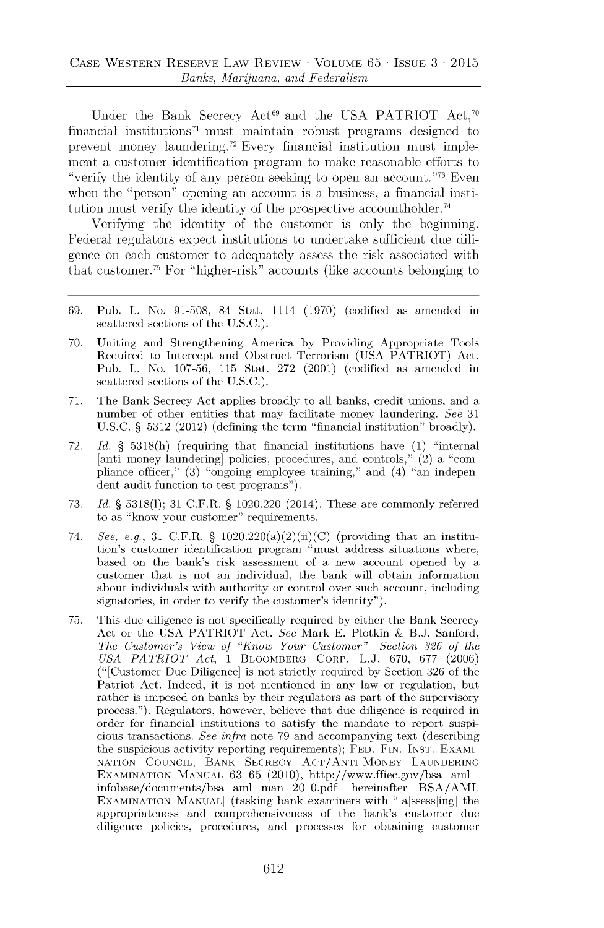Under the Bank Secrecy Act<sup>69</sup> and the USA PATRIOT Act,<sup>70</sup> financial institutions<sup> $71$ </sup> must maintain robust programs designed to prevent money laundering.<sup>72</sup> Every financial institution must implement a customer identification program to make reasonable efforts to "verify the identity of any person seeking to open an account."<sup>73</sup> Even when the "person" opening an account is a business, a financial institution must verify the identity of the prospective accountholder.<sup>74</sup>

Verifying the identity of the customer is only the beginning. Federal regulators expect institutions to undertake sufficient due diligence on each customer to adequately assess the risk associated with that customer.<sup>75</sup> For "higher-risk" accounts (like accounts belonging to

- **69.** Pub. L. No. **91-508,** 84 Stat. 1114 **(1970)** (codified as amended in scattered sections of the **U.S.C.).**
- **70.** Uniting and Strengthening America **by** Providing Appropriate Tools Required to Intercept and Obstruct Terrorism **(USA** PATRIOT) Act, Pub. L. No. **107-56, 115** Stat. **272** (2001) (codified as amended in scattered sections of the **U.S.C.).**
- **71.** The Bank Secrecy Act applies broadly to all banks, credit unions, and a number of other entities that may facilitate money laundering. *See 31* **U.S.C. § 5312** (2012) (defining the term "financial institution" broadly).
- **72.** *Id.* **§ 5318(h)** (requiring that financial institutions have **(1)** "internal [anti money laundering] policies, procedures, and controls," (2) a "compliance officer," **(3)** "ongoing employee training," and (4) "an independent audit function to test programs").
- **73.** *Id.* **§ 5318(1); 31** C.F.R. **§** 1020.220 (2014). These are commonly referred to as "know your customer" requirements.
- 74. *See, e.g.,* **31** C.F.R. **§** 1020.220(a)(2)(ii)(C) (providing that an institution's customer identification program "must address situations where, based on the bank's risk assessment of a new account opened **by** a customer that is not an individual, the bank will obtain information about individuals with authority or control over such account, including signatories, in order to verify the customer's identity").
- **75.** This due diligence is not specifically required **by** either the Bank Secrecy Act or the **USA** PATRIOT Act. *See* Mark **E.** Plotkin **& B.J.** Sanford, *The Customer's View of "Know Your Customer" Section 326 of the USA PATRIOT Act,* 1 BLOOMBERG CORP. **L.J. 670, 677 (2006)** ("[ Customer Due Diligence] is not strictly required **by** Section **326** of the Patriot Act. Indeed, it is not mentioned in any law or regulation, but rather is imposed on banks **by** their regulators as part of the supervisory process."). Regulators, however, believe that due diligence is required in order for financial institutions to satisfy the mandate to report suspicious transactions. *See infra* note **79** and accompanying text (describing the suspicious activity reporting requirements); **FED. FIN. INST.** EXAMI-**NATION COUNCIL,** BANK SECRECY **ACT/ANTI-MONEY LAUNDERING** EXAMINATION MANUAL 63 65 (2010), http://www.ffiec.gov/bsa\_aml\_ infobase/documents/bsa aml **man\_2010.pdf** [hereinafter **BSA/AML EXAMINATION MANUAL** (tasking bank examiners with "[a]ssess[ing] the appropriateness and comprehensiveness of the bank's customer due diligence policies, procedures, and processes for obtaining customer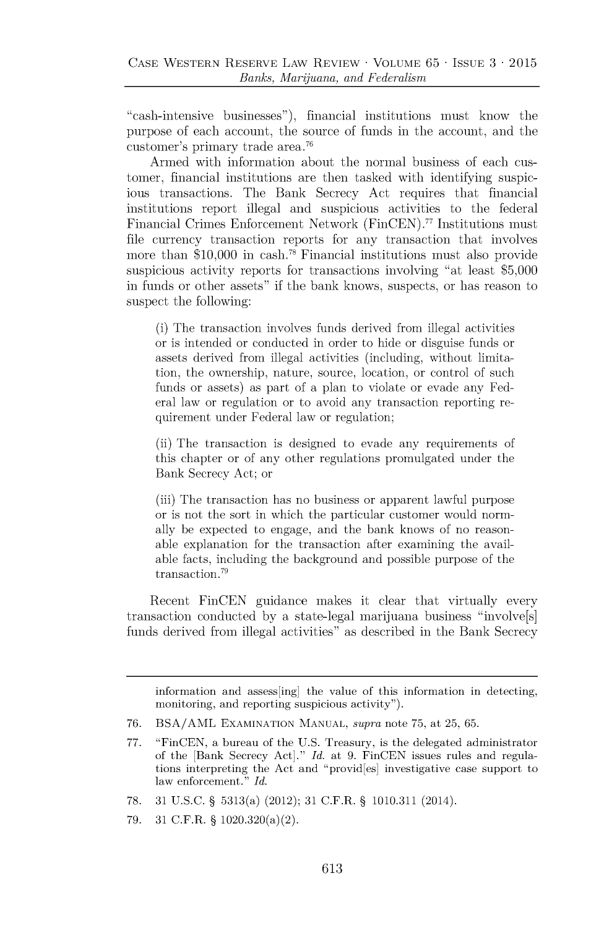"cash-intensive businesses"), financial institutions must know the purpose of each account, the source of funds in the account, and the customer's primary trade area.<sup>76</sup>

Armed with information about the normal business of each customer, financial institutions are then tasked with identifying suspicious transactions. The Bank Secrecy Act requires that financial histitutions report illegal and suspicious activities to the federal Financial Crimes Enforcement Network (FinCEN).<sup>77</sup> Institutions must file currency transaction reports for any transaction that involves more than \$10,000 in cash.<sup>78</sup> Financial institutions must also provide suspicious activity reports for transactions involving "at least **\$5,000** in funds or other assets" if the bank knows, suspects, or has reason to suspect the following:

(i) The transaction involves funds derived from illegal activities or is intended or conducted in order to hide or disguise funds or assets derived from illegal activities (including, without limitation, the ownership, nature, source, location, or control of such funds or assets) as part of a plan to violate or evade any Federal law or regulation or to avoid any transaction reporting requirement under Federal law or regulation;

(ii) The transaction is designed to evade any requirements of this chapter or of any other regulations promulgated under the Bank Secrecy Act; or

(iii) The transaction has no business or apparent lawful purpose or is not the sort in which the particular customer would normally be expected to engage, and the bank knows of no reasonable explanation for the transaction after examining the available facts, including the background and possible purpose of the transaction.<sup>79</sup>

Recent FinCEN guidance makes it clear that virtually every transaction conducted **by** a state-legal marijuana business "involve[s] funds derived from illegal activities" as described in the Bank Secrecy

information and assess[ing] the value of this information in detecting, monitoring, and reporting suspicious activity").

- **78. 31 U.S.C. §** 5313(a) (2012); **31** C.F.R. **§ 1010.311** (2014).
- **79. 31** C.F.R. **§** 1020.320(a)(2).

**<sup>76.</sup> BSA/AML EXAMINATION MANUAL,** *supra* note **75,** at **25, 65.**

**<sup>77.</sup>** "FinCEN, a bureau of the **U.S.** Treasury, is the delegated administrator of the [Bank Secrecy Act]." *Id.* at **9.** FinCEN issues rules and regulations interpreting the Act and "provid[es] investigative case support to law enforcement." *Id.*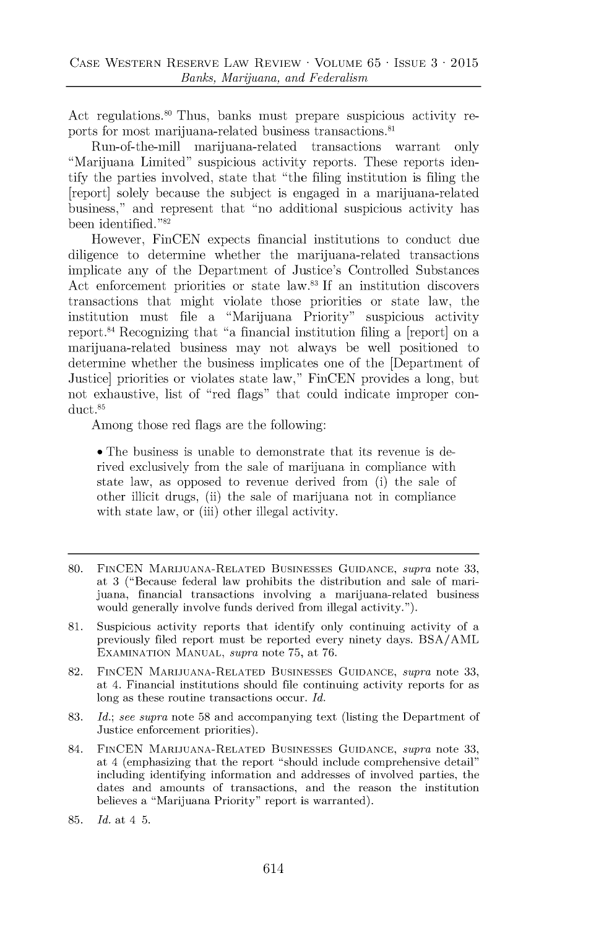Act regulations.<sup>80</sup> Thus, banks must prepare suspicious activity reports for most marijuana-related business transactions.<sup>81</sup>

Run-of-the-mill marijuana-related transactions warrant only "Marijuana Limited" suspicious activity reports. These reports identify the parties involved, state that "the filing institution is filing the [report] solely because the subject is engaged in a marijuana-related business," and represent that "no additional suspicious activity has been identified. "82

However, FinCEN expects financial institutions to conduct due diligence to determine whether the marijuana-related transactions implicate any of the Department of Justice's Controlled Substances Act enforcement priorities or state law.<sup>83</sup>**If** an institution discovers transactions that might violate those priorities or state law, the institution must file a "Marijuana Priority" suspicious activity report.<sup>84</sup> Recognizing that "a financial institution filing a [report] on a marijuana-related business may not always be well positioned to determine whether the business implicates one of the [Department of Justice] priorities or violates state law," FinCEN provides a long, but not exhaustive, list of "red flags" that could indicate improper conduct.85

Among those red flags are the following:

• The business is unable to demonstrate that its revenue is derived exclusively from the sale of marijuana in compliance with state law, as opposed to revenue derived from (i) the sale of other illicit drugs, (ii) the sale of marijuana not in compliance with state law, or (iii) other illegal activity.

- **81.** Suspicious activity reports that identify only continuing activity of a previously filed report must be reported every ninety days. **BSA/AML EXAMINATION MANUAL,** *supra* note **75,** at **76.**
- **82. FINCEN MARIJUANA-RELATED BUSINESSES GUIDANCE,** *supra* note **33,** at 4. Financial institutions should file continuing activity reports for as long as these routine transactions occur. *Id.*
- **83.** *Id.; see supra* note **58** and accompanying text (listing the Department of Justice enforcement priorities).
- 84. **FINCEN MARIJUANA-RELATED BUSINESSES GUIDANCE,** *supra* note **33,** at 4 (emphasizing that the report "should include comprehensive detail" including identifying information and addresses of involved parties, the dates and amounts of transactions, and the reason the institution believes a "Marijuana Priority" report is warranted).
- **85.** *Id.* at *4* **5.**

**<sup>80.</sup> FINCEN MARIJUANA-RELATED BUSINESSES GUIDANCE,** *supra* note **33,** at **3** ("Because federal law prohibits the distribution and sale of marijuana, financial transactions involving a marijuana-related business would generally involve funds derived from illegal activity.").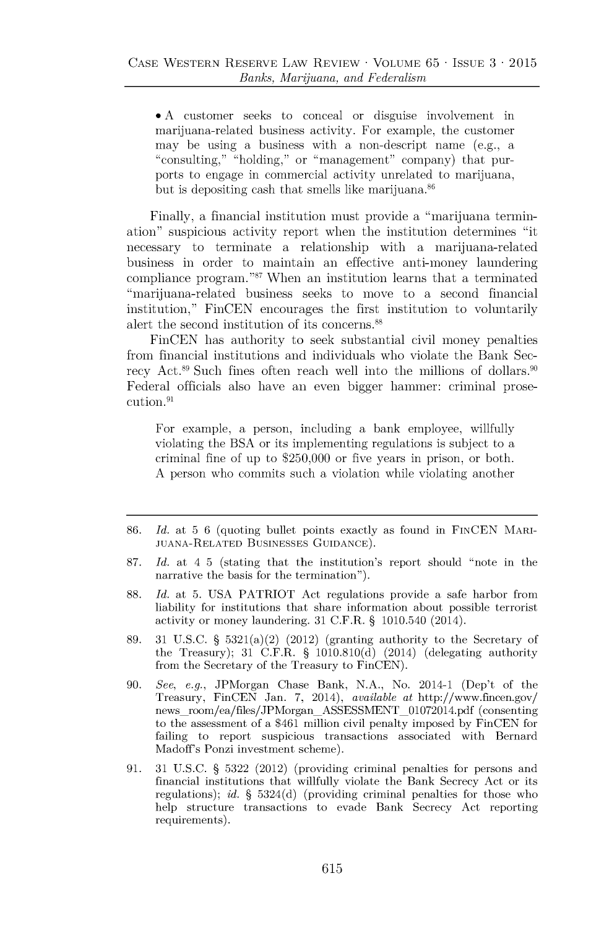\* **A** customer seeks to conceal or disguise involvement in marijuana-related business activity. For example, the customer may be using a business with a non-descript name (e.g., a "consulting," "holding," or "management" company) that purports to engage in commercial activity unrelated to marijuana, but is depositing cash that smells like marijuana.<sup>86</sup>

Finally, a financial institution must provide a "marijuana termination" suspicious activity report when the institution determines "it necessary to terminate a relationship with a marijuana-related business in order to maintain an effective anti-money laundering compliance program."<sup>87</sup> When an institution learns that a terminated "marijuana-related business seeks to move to a second financial institution," FinCEN encourages the first institution to voluntarily alert the second institution of its concerns.<sup>88</sup>

FinCEN has authority to seek substantial civil money penalties from financial institutions and individuals who violate the Bank Secrecy Act.<sup>89</sup> Such fines often reach well into the millions of dollars.<sup>90</sup> Federal officials also have an even bigger hammer: criminal prosecution.<sup>91</sup>

For example, a person, including a bank employee, willfully violating the **BSA** or its implementing regulations is subject to a criminal fine of up to **\$250,000** or five years in prison, or both. **A** person who commits such a violation while violating another

- **86.** *Id. at* **5 6** (quoting bullet points exactly as found in **FINCEN** MARI-**JUANA-RELATED BUSINESSES GUIDANCE).**
- **87.** *Id.* at 4 **5** (stating that the institution's report should "note in the narrative the basis for the termination").
- **88.** *Id.* at **5. USA** PATRIOT Act regulations provide a safe harbor from liability for institutions that share information about possible terrorist activity or money laundering. **31** C.F.R. **§** 1010.540 (2014).
- **89. 31 U.S.C. §** 5321(a)(2) (2012) (granting authority to the Secretary of the Treasury); **31** C.F.R. **§ 1010.810(d)** (2014) (delegating authority from the Secretary of the Treasury to FinCEN).
- **90.** *See, e.g.,* JPMorgan Chase Bank, **N.A.,** No. 2014-1 (Dep't of the Treasury, FinCEN Jan. **7,** 2014), *available* at http://www.fmcen.gov/ news\_room/ea/files/JPMorgan\_ASSESSMENT\_01072014.pdf (consenting to the assessment of a \$461 million civil penalty imposed **by** FinCEN for failing to report suspicious transactions associated with Bernard Madoff's Ponzi investment scheme).
- **91. 31 U.S.C. § 5322** (2012) (providing criminal penalties for persons and financial institutions that willfully violate the Bank Secrecy Act or its regulations); *id.* **§ 5324(d)** (providing criminal penalties for those who help structure transactions to evade Bank Secrecy Act reporting requirements).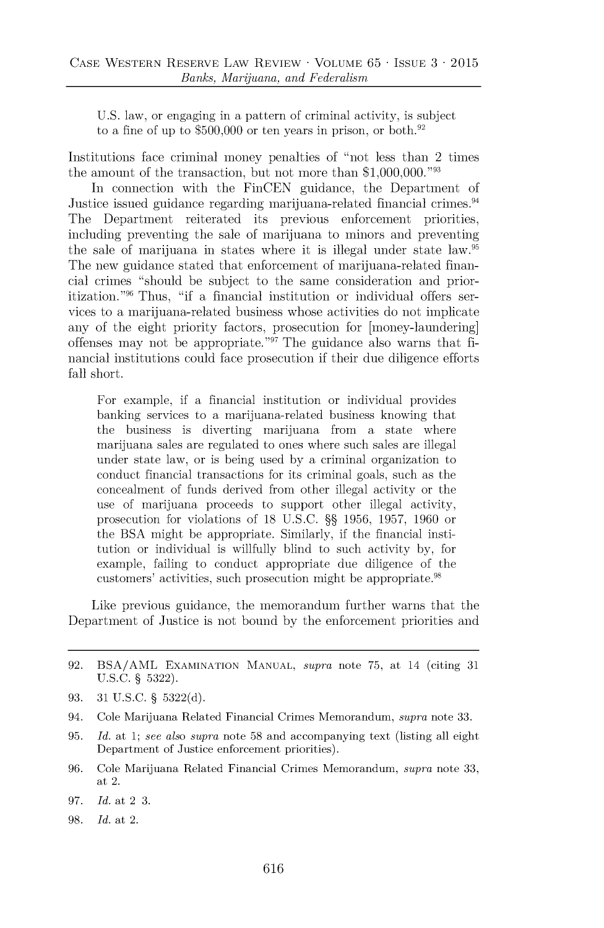**U.S.** law, or engaging in a pattern of criminal activity, is subject to a fine of up to  $$500,000$  or ten years in prison, or both.<sup>92</sup>

Institutions face criminal money penalties of "not less than 2 times the amount of the transaction, but not more than **\$1,000,000."93**

In connection with the FinCEN guidance, the Department of Justice issued guidance regarding marijuana-related financial crimes.<sup>94</sup> The Department reiterated its previous enforcement priorities, including preventing the sale of marijuana to minors and preventing the sale of marijuana in states where it is illegal under state law.<sup>95</sup> The new guidance stated that enforcement of marijuana-related financial crimes "should be subject to the same consideration and prioritization."96 Thus, "if a financial institution or individual offers services to a marijuana-related business whose activities do not implicate any of the eight priority factors, prosecution for [money-laundering] offenses may not be appropriate."" The guidance also warns that **fi**nancial institutions could face prosecution if their due diligence efforts fall short.

For example, if a financial institution or individual provides banking services to a marijuana-related business knowing that the business is diverting marijuana from a state where marijuana sales are regulated to ones where such sales are illegal under state law, or is being used **by** a criminal organization to conduct financial transactions for its criminal goals, such as the concealment of funds derived from other illegal activity or the use of marijuana proceeds to support other illegal activity, prosecution for violations of 18 **U.S.C. §§ 1956, 1957, 1960** or the **BSA** might be appropriate. Similarly, if the financial institution or individual is willfully blind to such activity **by,** for example, failing to conduct appropriate due diligence of the customers' activities, such prosecution might be appropriate.<sup>98</sup>

Like previous guidance, the memorandum further warns that the Department of Justice is not bound **by** the enforcement priorities and

- **93. 31 U.S.C. § 5322(d).**
- *94.* Cole Marijuana Related Financial Crimes Memorandum, *supra* note **33.**
- **95.** *Id.* at **1;** *see also supra* note **58** and accompanying text (listing all eight Department of Justice enforcement priorities).
- *96.* Cole Marijuana Related Financial Crimes Memorandum, *supra* note **33,** at 2.
- *97. Id.* at 2 **3.**
- **98.** *Id.* at 2.

**<sup>92.</sup> BSA/AML EXAMINATION MANUAL,** *supra* note **75,** at 14 (citing **31 U.S.C. § 5322).**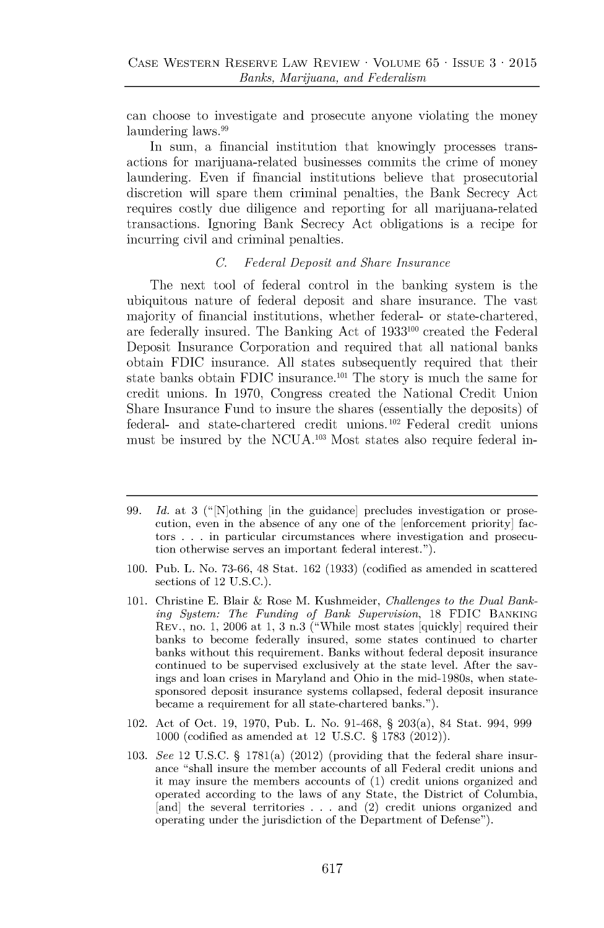can choose to investigate and prosecute anyone violating the money laundering laws.<sup>99</sup>

In sum, a financial institution that knowingly processes transactions for marijuana-related businesses commits the crime of money laundering. Even if financial institutions believe that prosecutorial discretion will spare them criminal penalties, the Bank Secrecy Act requires costly due diligence and reporting for all marijuana-related transactions. Ignoring Bank Secrecy Act obligations is a recipe for incurring civil and criminal penalties.

#### *C. Federal Deposit and Share Insurance*

The next tool of federal control in the banking system is the ubiquitous nature of federal deposit and share insurance. The vast majority of financial institutions, whether federal- or state-chartered, are federally insured. The Banking Act of **1933100** created the Federal Deposit Insurance Corporation and required that all national banks obtain **FDIC** insurance. **All** states subsequently required that their state banks obtain **FDIC** insurance.<sup>101</sup> The story is much the same for credit unions. In **1970,** Congress created the National Credit Union Share Insurance Fund to insure the shares (essentially the deposits) **of** federal- and state-chartered credit **unions.102** Federal credit unions must be insured **by** the **NCUA. <sup>103</sup>**Most states also require federal in-

- *99. Id. at* **3** (" [N]othing [in the guidance] precludes investigation or prosecution, even in the absence of any one of the [enforcement priority] factors **. . .** in particular circumstances where investigation and prosecution otherwise serves an important federal interest.").
- **100.** Pub. L. No. **73-66,** 48 Stat. **162 (1933)** (codified as amended in scattered sections of 12 **U.S.C.).**
- **101.** Christine **E.** Blair **&** Rose M. Kushmeider, *Challenges to the Dual Banking System: The Funding of Bank Supervision,* **18 FDIC BANKING** REV., no. **1, 2006** at **1, 3** n.3 ("While most states [quickly] required their banks to become federally insured, some states continued to charter banks without this requirement. Banks without federal deposit insurance continued to be supervised exclusively at the state level. After the savings and loan crises in Maryland and Ohio in the mid-1980s, when statesponsored deposit insurance systems collapsed, federal deposit insurance became a requirement for all state-chartered banks.").
- 102. Act of Oct. **19, 1970,** Pub. L. No. **91-468, §** 203(a), 84 Stat. 994, **999 1000** (codified as amended at 12 **U.S.C. § 1783** (2012)).
- **103.** *See* 12 **U.S.C. §** 1781(a) (2012) (providing that the federal share insurance "shall insure the member accounts of all Federal credit unions and it may insure the members accounts of **(1)** credit unions organized and operated according to the laws of any State, the District of Columbia, [and] the several territories **. . .** and (2) credit unions organized and operating under the jurisdiction of the Department of Defense").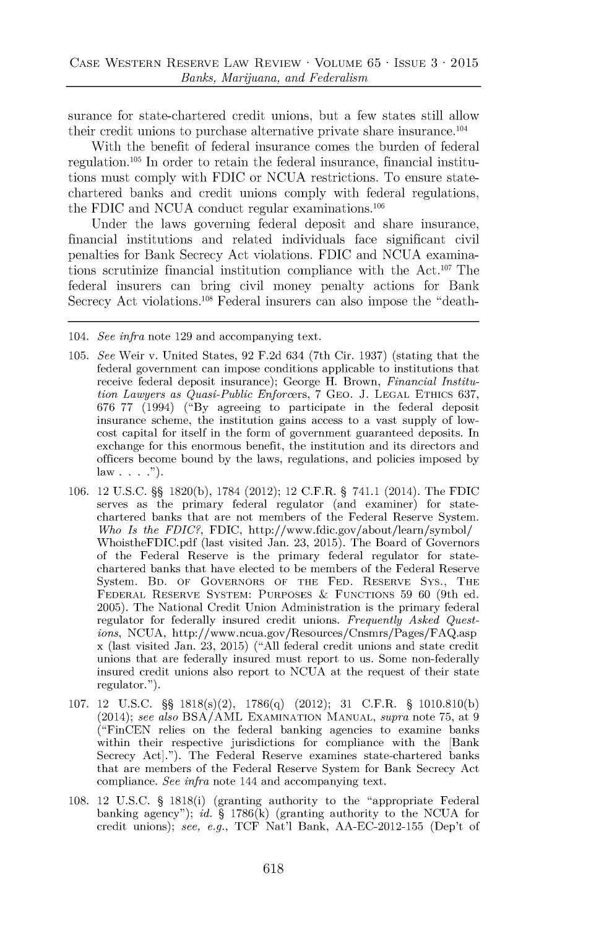surance for state-chartered credit unions, but a few states still allow their credit unions to purchase alternative private share insurance.<sup>104</sup>

With the benefit of federal insurance comes the burden of federal regulation.<sup>105</sup> In order to retain the federal insurance, financial institutions must comply with **FDIC** or **NCUA** restrictions. To ensure statechartered banks and credit unions comply with federal regulations, the FDIC and NCUA conduct regular examinations.<sup>106</sup>

Under the laws governing federal deposit and share insurance, financial institutions and related individuals face significant civil penalties for Bank Secrecy Act violations. **FDIC** and **NCUA** examinations scrutinize financial institution compliance with the  $Act.^{107}$  The federal insurers can bring civil money penalty actions for Bank Secrecy Act violations.108 Federal insurers can also impose the "death-

- **105.** *See* Weir v. United States, **92 F.2d** 634 (7th Cir. **1937)** (stating that the federal government can impose conditions applicable to institutions that receive federal deposit insurance); George H. Brown, *Financial Institution Lawyers as Quasi-Public Enforcers,* **7 GEO. J. LEGAL** ETHICS **637, 676 77** (1994) **("By** agreeing to participate in the federal deposit insurance scheme, the institution gains access to a vast supply of lowcost capital for itself in the form of government guaranteed deposits. In exchange for this enormous benefit, the institution and its directors and officers become bound **by** the laws, regulations, and policies imposed **by** law **. . ...**
- **106.** 12 **U.S.C. §§ 1820(b), 1784** (2012); 12 C.F.R. **§** 741.1 (2014). The **FDIC** serves as the primary federal regulator (and examiner) for statechartered banks that are not members of the Federal Reserve System. *Who Is the FDIC?,* **FDIC,** http://www.fdic.gov/about/learn/symbol/ WhoistheFDIC.pdf (last visited Jan. **23, 2015).** The Board of Governors of the Federal Reserve is the primary federal regulator for statechartered banks that have elected to be members of the Federal Reserve System. BD. OF GOVERNORS OF THE **FED.** RESERVE Sys., THE FEDERAL RESERVE SYSTEM: **PURPOSES & FUNCTIONS 59 60** (9th ed. **2005).** The National Credit Union Administration is the primary federal regulator for federally insured credit unions. *Frequently Asked Questions,* **NCUA,** http://www.ncua.gov/Resources/Cnsmrs/Pages/FAQ.asp x (last visited Jan. **23, 2015) ("All** federal credit unions and state credit unions that are federally insured must report to us. Some non-federally insured credit unions also report to **NCUA** at the request of their state regulator.").
- **107.** 12 **U.S.C. §§** 1818(s)(2), **1786(q)** (2012); **31** C.F.R. **§ 1010.810(b)** (2014); *see also* **BSA/AML EXAMINATION MANUAL,** *supra* note **75,** at **9** ("FinCEN relies on the federal banking agencies to examine banks within their respective jurisdictions for compliance with the [Bank Secrecy Act]."). The Federal Reserve examines state-chartered banks that are members of the Federal Reserve System for Bank Secrecy Act compliance. *See infra* note 144 and accompanying text.
- **108.** 12 **U.S.C. §** 1818(i) (granting authority to the "appropriate Federal banking agency"); *id.* **§ 1786(k)** (granting authority to the **NCUA** for credit unions); *see, e.g.,* **TCF** Nat'l Bank, **AA-EC-2012-155** (Dep't of

<sup>104.</sup> *See infra* note **129** and accompanying text.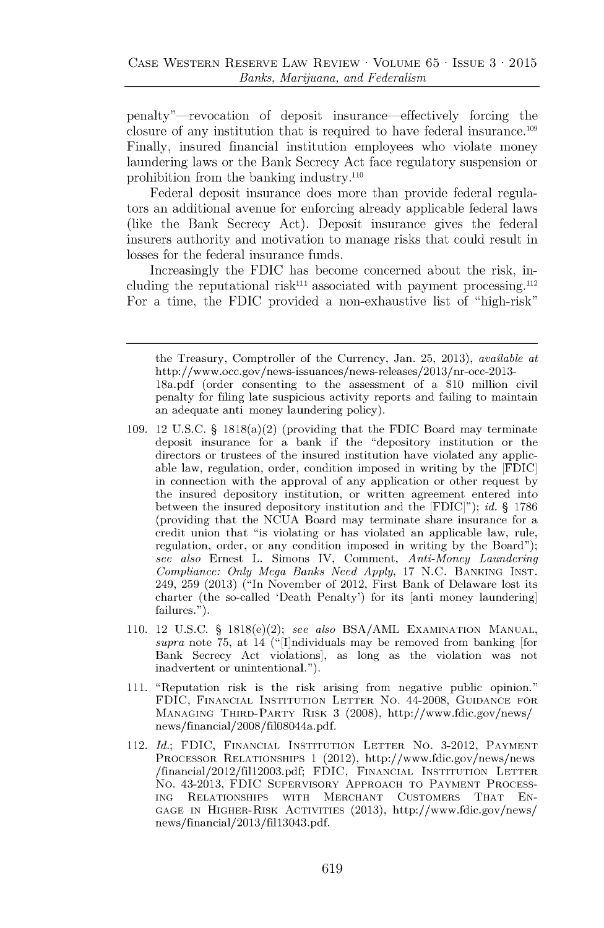penalty"-revocation of deposit insurance-effectively forcing the closure of any institution that is required to have federal insurance.<sup>109</sup> Finally, insured financial institution employees who violate money laundering laws or the Bank Secrecy Act face regulatory suspension or prohibition from the banking industry.110

Federal deposit insurance does more than provide federal regulators an additional avenue for enforcing already applicable federal laws (like the Bank Secrecy Act). Deposit insurance gives the federal insurers authority and motivation to manage risks that could result in losses for the federal insurance funds.

Increasingly the **FDIC** has become concerned about the risk, including the reputational risk<sup>111</sup> associated with payment processing.<sup>112</sup> For a time, the **FDIC** provided a non-exhaustive list of "high-risk"

the Treasury, Comptroller of the Currency, Jan. **25, 2013),** *available at* http://www.occ.gov/news-issuances/news-releases/2013/nr-occ-2013- 18a.pdf (order consenting to the assessment of a **\$10** million civil penalty for filing late suspicious activity reports and failing to maintain an adequate anti money laundering policy).

- **109.** 12 **U.S.C. §** 1818(a)(2) (providing that the **FDIC** Board may terminate deposit insurance for a bank if the "depository institution or the directors or trustees of the insured institution have violated any applicable law, regulation, order, condition imposed in writing **by** the **[FDIC]** in connection with the approval of any application or other request **by** the insured depository institution, or written agreement entered into between the insured depository institution and the **[FDIC]");** *id.* **§ 1786** (providing that the **NCUA** Board may terminate share insurance for a credit union that "is violating or has violated an applicable law, rule, regulation, order, or any condition imposed in writing **by** the Board"); *see also* Ernest L. Simons IV, Comment, *Anti-Money Laundering Compliance: Only Mega Banks Need Apply,* **17 N.C. BANKING INST.** 249, **259 (2013)** ("In November of 2012, First Bank of Delaware lost its charter (the so-called 'Death Penalty') for its [anti money laundering] failures.").
- **110.** 12 **U.S.C. §** 1818(e)(2); *see also* **BSA/AML EXAMINATION MANUAL,** *supra* note **75,** at 14 (" [I]ndividuals may be removed from banking [for Bank Secrecy Act violations], as long as the violation was not inadvertent or unintentional.").
- **111.** "Reputation risk is the risk arising from negative public opinion." **FDIC, FINANCIAL INSTITUTION** LETTER No. 44-2008, **GUIDANCE** FOR **MANAGING** THIRD-PARTY RISK **3 (2008),** http://www.fdic.gov/news/ news/financial/2008/fil08044a.pdf.
- 112. *Id.;* **FDIC, FINANCIAL INSTITUTION** LETTER No. **3-2012,** PAYMENT PROCESSOR **RELATIONSHIPS 1** (2012), http://www.fdic.gov/news/news /financial/2012/fill2003.pdf; **FDIC, FINANCIAL INSTITUTION** LETTER No. 43-2013, **FDIC** SUPERVISORY APPROACH TO PAYMENT **PROCESS-ING RELATIONSHIPS** WITH MERCHANT CUSTOMERS THAT **EN-GAGE IN** HIGHER-RISK **ACTIVITIES (2013),** http://www.fdic.gov/news/ news/financial/2013/fil3043.pdf.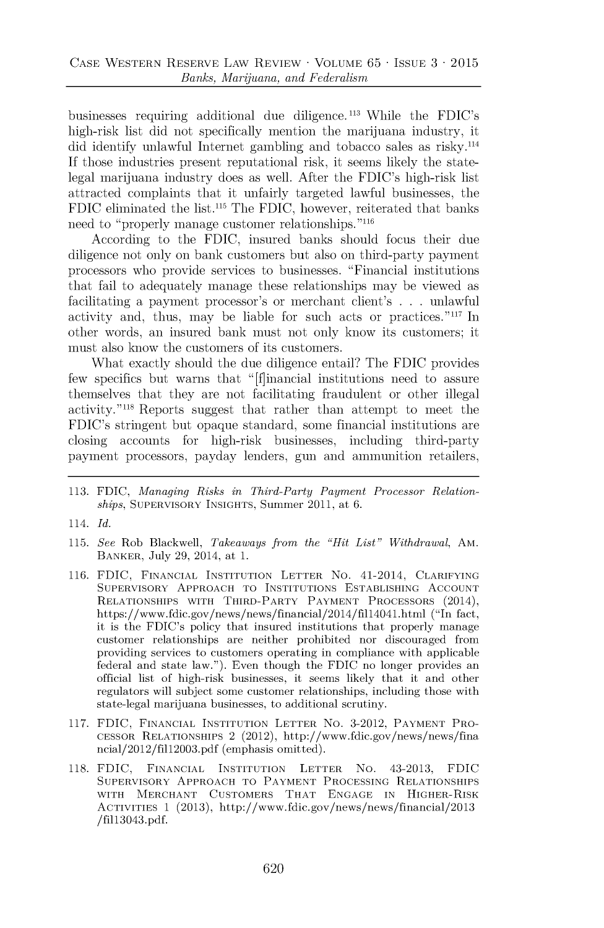businesses requiring additional due diligence.113 While the FDIC's high-risk list did **not** specifically mention the marijuana industry, it did identify unlawful Internet gambling and tobacco sales as risky.<sup>114</sup> **If** those industries present reputational risk, it seems likely the statelegal marijuana industry does as well. After the FDIC's high-risk list attracted complaints that it unfairly targeted lawful businesses, the **FDIC** eliminated the list." The **FDIC,** however, reiterated that banks need to "properly manage customer relationships."<sup>11</sup><sup>6</sup>

According to the **FDIC,** insured banks should focus their due diligence not only on bank customers but also on third-party payment processors who provide services to businesses. "Financial institutions that fail to adequately manage these relationships may be viewed as facilitating a payment processor's or merchant client's **. . .** unlawful activity and, thus, may be liable for such acts or practices. $"117$  In other words, an insured bank must not only know its customers; it must also know the customers of its customers.

What exactly should the due diligence entail? The **FDIC** provides few specifies but warns that "[f]inancial institutions need to assure themselves that they are not facilitating fraudulent or other illegal activity."<sup>118</sup> Reports suggest that rather than attempt to meet the FDIC's stringent but opaque standard, some financial institutions are closing accounts for high-risk businesses, including third-party payment processors, payday lenders, gun and ammunition retailers,

- **115.** *See* Rob Blackwell, *Takeaways from the "Hit List" Withdrawal,* AM. BANKER, July **29,** 2014, at **1.**
- **116. FDIC, FINANCIAL INSTITUTION LETTER** No. 41-2014, **CLARIFYING SUPERVISORY APPROACH TO INSTITUTIONS ESTABLISHING ACCOUNT RELATIONSHIPS WITH THIRD-PARTY PAYMENT PROCESSORS** (2014), https://www.fdic.gov/news/news/financial/2014/fill4041.html ("In fact, it is the FDIC's policy that insured institutions that properly manage customer relationships are neither prohibited nor discouraged from providing services to customers operating in compliance with applicable federal and state law."). Even though the **FDIC** no longer provides an official list of high-risk businesses, it seems likely that it and other regulators will subject some customer relationships, including those with state-legal marijuana businesses, to additional scrutiny.
- **117. FDIC, FINANCIAL INSTITUTION LETTER** No. **3-2012, PAYMENT PRO-CESSOR RELATIONSHIPS** 2 (2012), http://www.fdic.gov/news/news/fina ncial/2012/fill2003.pdf (emphasis omitted).
- **118. FDIC, FINANCIAL INSTITUTION LETTER** No. 43-2013, **FDIC SUPERVISORY APPROACH TO PAYMENT PROCESSING RELATIONSHIPS WITH MERCHANT CUSTOMERS THAT ENGAGE IN HIGHER-RISK ACTIVITIES 1 (2013),** http://www.fdic.gov/news/news/financial/2013 **/fi113043.pdf.**

**<sup>113.</sup> FDIC,** *Managing Risks in Third-Party Payment Processor Relationships,* **SUPERVISORY INSIGHTS,** Summer 2011, at **6.**

<sup>114.</sup> *Id.*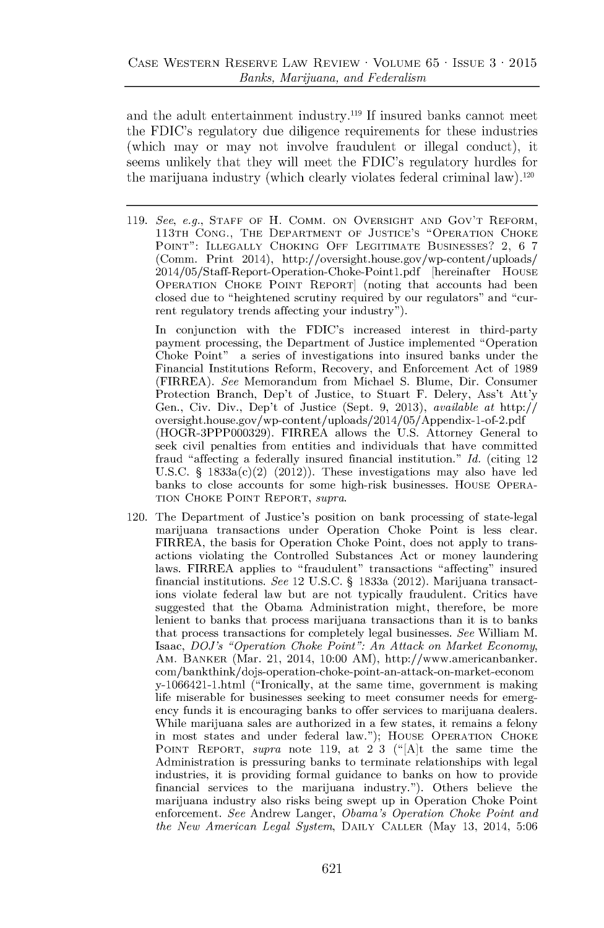and the adult entertainment industry.<sup>1</sup>**If** insured banks cannot meet the FDIC's regulatory due diligence requirements for these industries (which may or may not involve fraudulent or illegal conduct), it seems unlikely that they will meet the FDIC's regulatory hurdles for the marijuana industry (which clearly violates federal criminal law).120

**119.** *See, e.g.,* **STAFF** OF H. COMM. **ON** OVERSIGHT **AND** Gov'T REFORM, 113TH **CONG.,** THE DEPARTMENT OF **JUSTICE'S** "OPERATION CHOKE **POINT":** ILLEGALLY **CHOKING** OFF **LEGITIMATE BUSINESSES?** 2, **6** *7* (Comm. Print 2014), http://oversight.house.gov/wp-content/uploads/ 2014/05/Staff-Report-Operation-Choke-Pointl.pdf [hereinafter **HOUSE** OPERATION CHOKE **POINT** REPORT] (noting that accounts had been closed due to "heightened scrutiny required **by** our regulators" and "current regulatory trends affecting your industry").

In conjunction with the FDIC's increased interest in third-party payment processing, the Department of Justice implemented "Operation Choke Point" a series of investigations into insured banks under the Financial Institutions Reform, Recovery, and Enforcement Act of **1989** (FIRREA). *See* Memorandum from Michael **S.** Blume, Dir. Consumer Protection Branch, Dep't of Justice, to Stuart F. Delery, Ass't Att'y Gen., Civ. Div., Dep't of Justice (Sept. **9, 2013),** *available* at http:// oversight.house.gov/wp-content/uploads/2014/05/Appendix-1-of-2.pdf (HOGR-3PPP000329). FIRREA allows the **U.S.** Attorney General to seek civil penalties from entities and individuals that have committed fraud "affecting a federally insured financial institution." *Id.* (citing 12 **U.S.C. §** 1833a(c)(2) (2012)). These investigations may also have led banks to close accounts for some high-risk businesses. HOUSE OPERA-**TION** CHOKE **POINT** REPORT, *supra.*

120. The Department of Justice's position on bank processing of state-legal marijuana transactions under Operation Choke Point is less clear. FIRREA, the basis for Operation Choke Point, does not apply to transactions violating the Controlled Substances Act or money laundering laws. FIRREA applies to "fraudulent" transactions "affecting" insured financial institutions. *See* 12 **U.S.C. §** 1833a (2012). Marijuana transactions violate federal law but are not typically fraudulent. Critics have suggested that the Obama Administration might, therefore, be more lenient to banks that process marijuana transactions than it is to banks that process transactions for completely legal businesses. *See* William M. *Isaac, DOJ's "Operation Choke Point": An Attack on Market Economy,* AM. BANKER (Mar. 21, 2014, **10:00** AM), http://www.americanbanker. com/bankthink/dojs-operation-choke-point-an-attack-on-market-econom y-1066421-1.html ("Ironically, at the same time, government is making life miserable for businesses seeking to meet consumer needs for emergency funds it is encouraging banks to offer services to marijuana dealers. While marijuana sales are authorized in a few states, it remains a felony in most states and under federal law."); **HOUSE** OPERATION CHOKE **POINT** REPORT, *supra* note **119,** at 2 **3** ("[A]t the same time the Administration is pressuring banks to terminate relationships with legal industries, it is providing formal guidance to banks on how to provide financial services to the marijuana industry."). Others believe the marijuana industry also risks being swept up in Operation Choke Point enforcement. *See* Andrew Langer, *Obama's Operation Choke Point and the New American Legal System,* DAILY CALLER (May **13,** 2014, **5:06**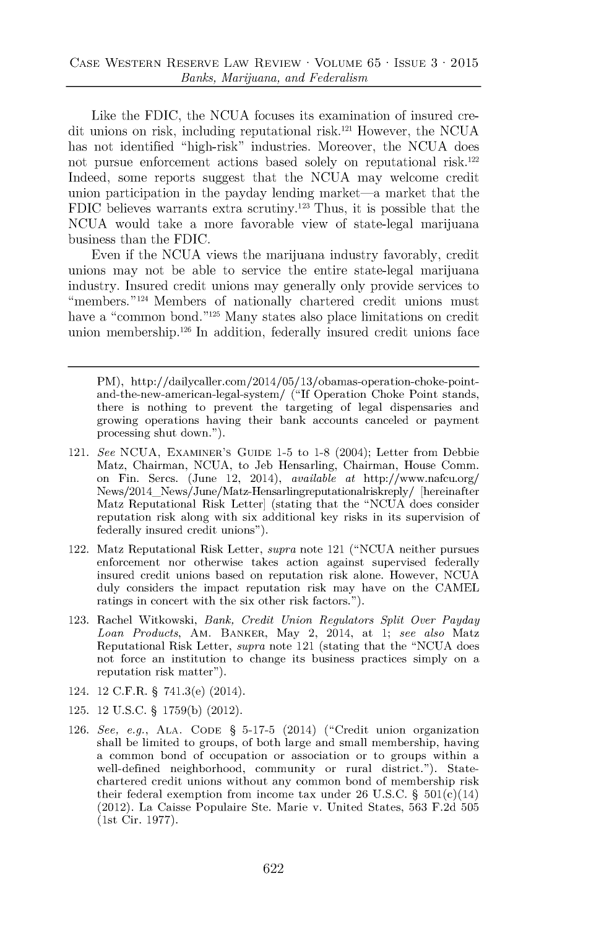Like the **FDIC,** the **NCUA** focuses its examination of insured credit unions on risk, including reputational risk.<sup>121</sup> However, the NCUA has not identified "high-risk" industries. Moreover, the **NCUA** does not pursue enforcement actions based solely on reputational risk.<sup>122</sup> Indeed, some reports suggest that the **NCUA** may welcome credit union participation in the payday lending market-a market that the **FDIC** believes warrants extra scrutiny.<sup>123</sup>Thus, it is possible that the **NCUA** would take a more favorable view of state-legal marijuana business than the **FDIC.**

Even if the **NCUA** views the marijuana industry favorably, credit unions may not be able to service the entire state-legal marijuana industry. Insured credit unions may generally only provide services to "members."<sup>124</sup> Members of nationally chartered credit unions must have a "common bond."<sup>125</sup> Many states also place limitations on credit union membership.<sup>126</sup> In addition, federally insured credit unions face

PM), http://dailycaller.com/2014/05/13/obamas-operation-choke-pointand-the-new-american-legal-system/ **("If** Operation Choke Point stands, there is nothing to prevent the targeting of legal dispensaries and growing operations having their bank accounts canceled or payment processing shut down.").

- 121. *See* **NCUA,** EXAMINER'S **GUIDE 1-5** to **1-8** (2004); Letter from Debbie Matz, Chairman, **NCUA,** to Jeb Hensarling, Chairman, House Comm. on Fin. Sercs. (June 12, 2014), *available* at http://www.nafcu.org/ News/2014\_News/June/Matz-Hensarlingreputationalriskreply/ [hereinafter Matz Reputational Risk Letter] (stating that the **"NCUA** does consider reputation risk along with six additional key risks in its supervision of federally insured credit unions").
- 122. Matz Reputational Risk Letter, *supra* note 121 **("NCUA** neither pursues enforcement nor otherwise takes action against supervised federally insured credit unions based on reputation risk alone. However, **NCUA** duly considers the impact reputation risk may have on the **CAMEL** ratings in concert with the six other risk factors.").
- **123.** Rachel Witkowski, *Bank, Credit Union Regulators Split Over Payday Loan Products,* AM. BANKER, May 2, 2014, at **1;** *see also* Matz Reputational Risk Letter, *supra* note 121 (stating that the **"NCUA** does not force an institution to change its business practices simply on a reputation risk matter").
- 124. 12 C.F.R. **§** 741.3(e) (2014).
- **125.** 12 **U.S.C. § 1759(b)** (2012).
- **126.** *See, e.g.,* **ALA. CODE § 5-17-5** (2014) ("Credit union organization shall be limited to groups, of both large and small membership, having a common bond of occupation or association or to groups within a well-defined neighborhood, community or rural district."). Statechartered credit unions without any common bond of membership risk their federal exemption from income tax under **26 U.S.C. §** 501(c)(14) (2012). La Caisse Populaire Ste. Marie v. United States, **563 F.2d 505** (1st Cir. **1977).**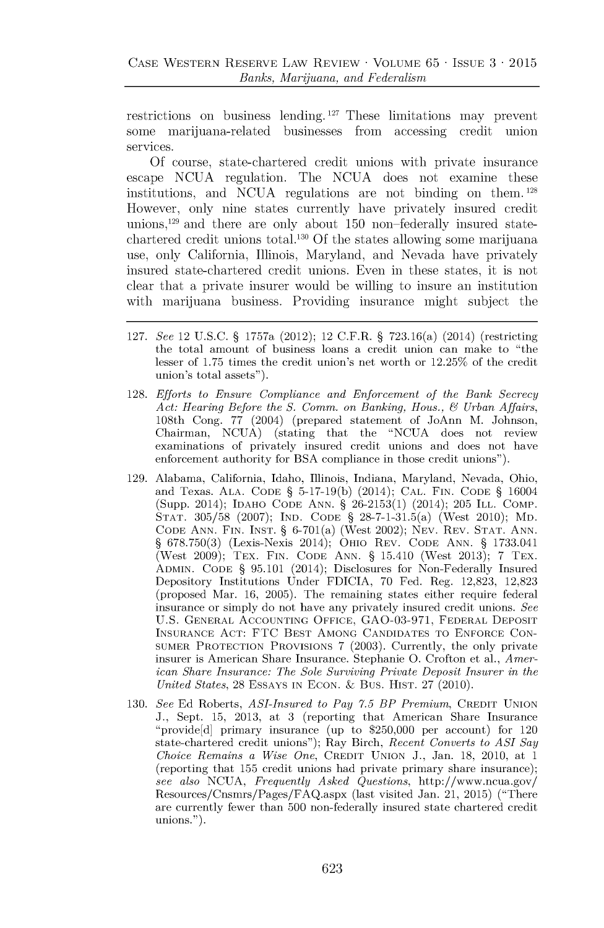restrictions on business lending. 127 These limitations may prevent some marijuana-related businesses from accessing credit union services.

**Of** course, state-chartered credit unions with private insurance escape **NCUA** regulation. The **NCUA** does not examine these institutions, and **NCUA** regulations are not binding on them. <sup>128</sup> However, only nine states currently have privately insured credit **unions, <sup>129</sup>**and there are only about **150** non-federally insured statechartered credit unions total.<sup>130</sup>**Of** the states allowing some marijuana use, only California, Illinois, Maryland, and Nevada have privately insured state-chartered credit unions. Even in these states, it is not clear that a private insurer would be willing to insure an institution with marijuana business. Providing insurance might subject the

- **127.** *See* 12 **U.S.C. §** 1757a (2012); 12 C.F.R. **§** 723.16(a) (2014) (restricting the total amount of business loans a credit union can make to "the lesser of **1.75** times the credit union's net worth or **12.25%** of the credit union's total assets").
- **128.** *Efforts to Ensure Compliance and Enforcement of the Bank Secrecy Act: Hearing Before the S. Comm. on Banking, Hous., 6 Urban Affairs,* 108th Cong. *77* (2004) (prepared statement of JoAnn M. Johnson, Chairman, **NCUA)** (stating that the **"NCUA** does not review examinations of privately insured credit unions and does not have enforcement authority for **BSA** compliance in those credit unions").
- **129.** Alabama, California, Idaho, Illinois, Indiana, Maryland, Nevada, Ohio, and Texas. **ALA. CODE § 5-17-19(b)** (2014); **CAL. FIN. CODE §** 16004 (Supp. 2014); **IDAHO CODE ANN. § 26-2153(1)** (2014); **205** ILL. COMP. **STAT. 305/58 (2007); IND. CODE §** 28-7-1-31.5(a) (West 2010); MD. **CODE ANN. FIN. INST. §** 6-701(a) (West 2002); **NEV.** REV. **STAT. ANN. § 678.750(3)** (Lexis-Nexis 2014); OHIO REV. **CODE ANN. § 1733.041** (West **2009);** TEX. **FIN. CODE ANN. §** 15.410 (West **2013);** *7* TEX. **ADMIN. CODE § 95.101** (2014); Disclosures for Non-Federally Insured Depository Institutions Under **FDICIA, 70** Fed. Reg. **12,823, 12,823** (proposed Mar. **16, 2005).** The remaining states either require federal insurance or simply do not have any privately insured credit unions. *See* **U.S. GENERAL ACCOUNTING OFFICE, GAO-03-971,** FEDERAL **DEPOSIT INSURANCE ACT: FTC BEST AMONG CANDIDATES** TO **ENFORCE CON-SUMER** PROTECTION PROVISIONS **7 (2003).** Currently, the only private insurer is American Share Insurance. Stephanie **0.** Crofton et al., *American Share Insurance: The Sole Surviving Private Deposit Insurer in the United States,* **28 ESSAYS IN ECON. &** Bus. HiST. **27** (2010).
- **130.** *See* **Ed** Roberts, *ASI-Insured to Pay 7.5 BP Premium,* CREDIT **UNION J.,** Sept. **15, 2013,** at **3** (reporting that American Share Insurance "provide[d] primary insurance (up to **\$250,000** per account) for 120 state-chartered credit unions"); Ray Birch, *Recent Converts to ASI Say Choice Remains a Wise One,* CREDIT **UNION J.,** Jan. **18,** 2010, at 1 (reporting that **155** credit unions had private primary share insurance); *see also* **NCUA,** *Frequently Asked Questions,* http://www.ncua.gov/ Resources/Cnsmrs/Pages/FAQ.aspx (last visited Jan. 21, **2015)** ("There are currently fewer than **500** non-federally insured state chartered credit unions.").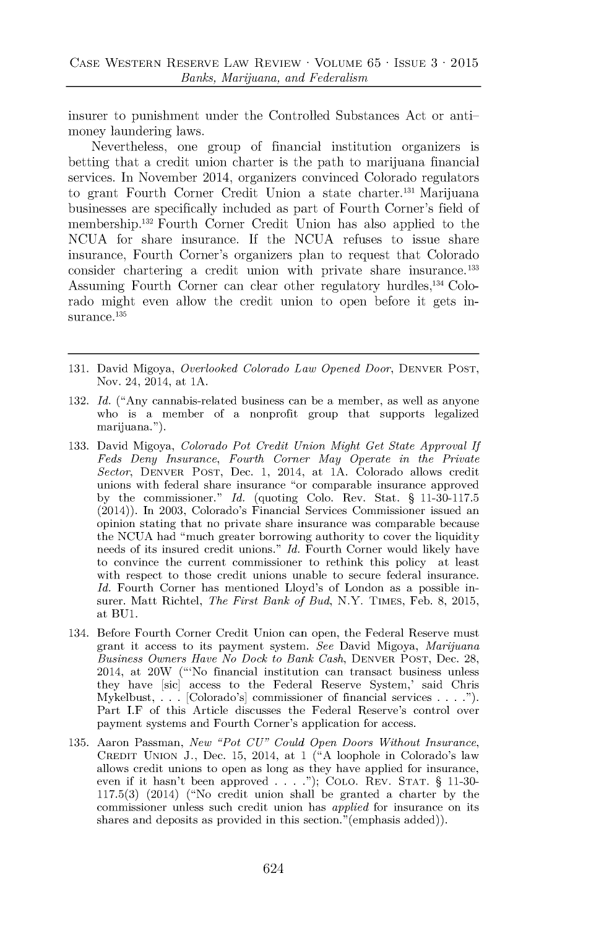insurer to punishment under the Controlled Substances Act or antimoney laundering laws.

Nevertheless, one group of financial institution organizers is betting that a credit union charter is the path to marijuana financial services. In November 2014, organizers convinced Colorado regulators to grant Fourth Corner Credit Union a state charter.<sup>131</sup> Marijuana businesses are specifically included as part of Fourth Corner's field of membership.<sup>132</sup> Fourth Corner Credit Union has also applied to the **NCUA** for share insurance. **If** the **NCUA** refuses to issue share insurance, Fourth Corner's organizers plan to request that Colorado consider chartering a credit union with private share insurance.<sup>133</sup> Assuming Fourth Corner can clear other regulatory hurdles,<sup>134</sup> Colorado might even allow the credit union to open before it gets insurance.<sup>135</sup>

- **131.** David Migoya, *Overlooked Colorado Law Opened Door,* DENVER **POST,** Nov. 24, 2014, at **1A.**
- **132.** *Id.* ("Any cannabis-related business can be a member, as well as anyone who is a member of a nonprofit group that supports legalized marijuana.").
- **133.** David Migoya, *Colorado Pot Credit Union Might Get State Approval If Feds Deny Insurance, Fourth Corner May Operate in the Private Sector,* DENVER **POST,** Dec. **1,** 2014, at **1A.** Colorado allows credit unions with federal share insurance "or comparable insurance approved **by** the commissioner." *Id.* (quoting Colo. Rev. Stat. **§ 11-30-117.5** (2014)). In **2003,** Colorado's Financial Services Commissioner issued an opinion stating that no private share insurance was comparable because the **NCUA** had "much greater borrowing authority to cover the liquidity needs of its insured credit unions." *Id.* Fourth Corner would likely have to convince the current commissioner to rethink this policy at least with respect to those credit unions unable to secure federal insurance. *Id.* Fourth Corner has mentioned Lloyd's of London as a possible insurer. Matt Richtel, *The First Bank of Bud,* N.Y. **TIMES,** Feb. **8, 2015,** at **BU1.**
- 134. Before Fourth Corner Credit Union can open, the Federal Reserve must grant it access to its payment system. *See* David Migoya, *Marijuana Business Owners Have No Dock to Bank Cash,* DENVER **POST,** Dec. **28,** 2014, at 20W ("'No financial institution can transact business unless they have [sic] access to the Federal Reserve System,' said Chris Mykelbust, **. . .** [Colorado's] commissioner of financial services **. . . .").** Part J.F of this Article discusses the Federal Reserve's control over payment systems and Fourth Corner's application for access.
- **135.** Aaron Passman, *New "Pot CU" Could Open Doors Without Insurance,* CREDIT **UNION J.,** Dec. **15,** 2014, at 1 **("A** loophole in Colorado's law allows credit unions to open as long as they have applied for insurance, even if it hasn't been approved **. . . ."); COLO. REV. STAT. § 11-30- 117.5(3)** (2014) ("No credit union shall be granted a charter **by** the commissioner unless such credit union has *applied* for insurance on its shares and deposits as provided in this section."(emphasis added)).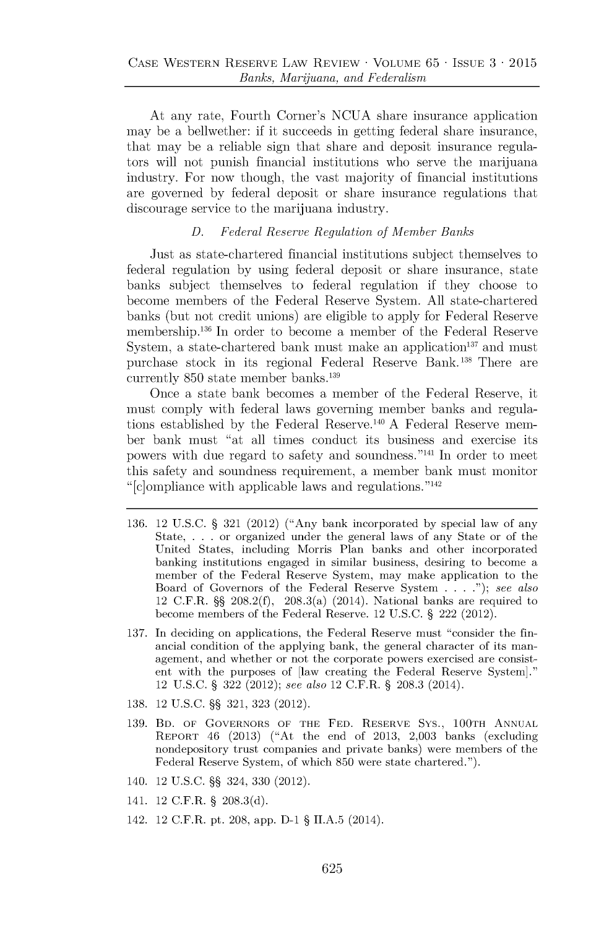At any rate, Fourth Corner's **NCUA** share insurance application may be a bellwether: if it succeeds in getting federal share insurance, that may be a reliable sign that share and deposit insurance regulators will not punish financial institutions who serve the marijuana industry. For now though, the vast majority of financial institutions are governed **by** federal deposit or share insurance regulations that discourage service to the marijuana industry.

## *D. Federal Reserve Regulation of Member Banks*

Just as state-chartered financial institutions subject themselves to federal regulation **by** using federal deposit or share insurance, state banks subject themselves to federal regulation if they choose to become members of the Federal Reserve System. **All** state-chartered banks (but not credit unions) are eligible to apply for Federal Reserve membership. <sup>136</sup>**In** order to become a member of the Federal Reserve System, a state-chartered bank must make an application<sup>137</sup> and must purchase stock in its regional Federal Reserve Bank. <sup>13</sup><sup>8</sup>There are currently **850** state member banks. <sup>13</sup><sup>9</sup>

Once a state bank becomes a member of the Federal Reserve, it must comply with federal laws governing member banks and regulations established **by** the Federal Reserve. <sup>1</sup>40 **A** Federal Reserve member bank must "at all times conduct its business and exercise its powers with due regard to safety and soundness."<sup>141</sup> In order to meet this safety and soundness requirement, a member bank must monitor " $[c]$ ompliance with applicable laws and regulations."<sup>142</sup>

- **136.** 12 **U.S.C. § 321** (2012) ("Any bank incorporated **by** special law of any State, **. . .** or organized under the general laws of any State or of the United States, including Morris Plan banks and other incorporated banking institutions engaged in similar business, desiring to become a member of the Federal Reserve System, may make application to the Board of Governors of the Federal Reserve System **. . . .");** *see also* 12 C.F.R. **§§ 208.2(f),** 208.3(a) (2014). National banks are required to become members of the Federal Reserve. 12 **U.S.C. §** 222 (2012).
- **137.** In deciding on applications, the Federal Reserve must "consider the financial condition of the applying bank, the general character of its management, and whether or not the corporate powers exercised are consistent with the purposes of [law creating the Federal Reserve System]." 12 **U.S.C.** § **322** (2012); *see also* 12 C.F.R. **§ 208.3** (2014).
- **138.** 12 **U.S.C.** §§ **321, 323** (2012).
- **139.** BD. **OF GOVERNORS OF THE FED. RESERVE Sys.,** 100TH **ANNUAL REPORT** 46 **(2013)** ("At the end of **2013, 2,003** banks (excluding nondepository trust companies and private banks) were members of the Federal Reserve System, of which **850** were state chartered.").
- 140. 12 **U.S.C.** §§ 324, **330** (2012).
- 141. 12 C.F.R. § **208.3(d).**
- 142. 12 C.F.R. pt. **208,** app. **D-1 § II.A.5** (2014).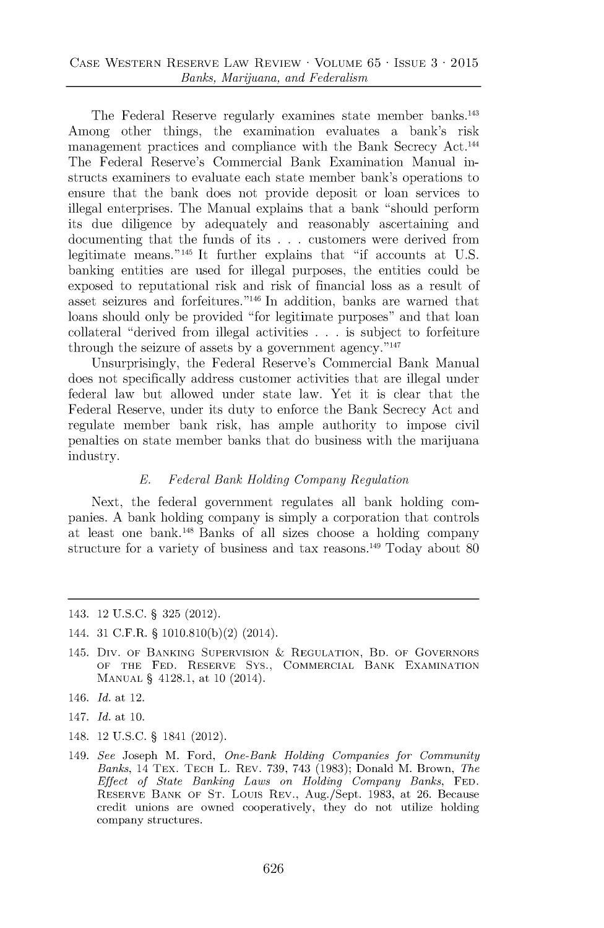The Federal Reserve regularly examines state member banks.<sup>143</sup> Among other things, the examination evaluates a bank's risk management practices and compliance with the Bank Secrecy Act.<sup>144</sup> The Federal Reserve's Commercial Bank Examination Manual instructs examiners to evaluate each state member bank's operations to ensure that the bank does not provide deposit or loan services to illegal enterprises. The Manual explains that a bank "should perform its due diligence **by** adequately and reasonably ascertaining and documenting that the funds of its **. . .** customers were derived from legitimate means.<sup>"145</sup> It further explains that "if accounts at U.S. banking entities are used for illegal purposes, the entities could be exposed to reputational risk and risk of financial loss as a result of asset seizures and forfeitures."<sup>146</sup> In addition, banks are warned that loans should only be provided "for legitimate purposes" and that loan collateral "derived from illegal activities **. . .** is subject to forfeiture through the seizure of assets by a government agency.<sup>"147</sup>

Unsurprisingly, the Federal Reserve's Commercial Bank Manual does not specifically address customer activities that are illegal under federal law but allowed under state law. Yet **it** is clear that the Federal Reserve, under its duty to enforce the Bank Secrecy Act and regulate member bank risk, has ample authority to impose civil penalties on state member banks that do business with the marijuana industry.

#### *E. Federal Bank Holding Company Regulation*

Next, the federal government regulates all bank holding companies. **A** bank holding company is simply a corporation that controls at least one bank.<sup>148</sup> Banks of all sizes choose a holding company structure for a variety of business and tax reasons.<sup>149</sup> Today about 80

- **143.** 12 **U.S.C. § 325** (2012).
- 144. **31** C.F.R. **§ 1010.810(b)(2)** (2014).
- 145. Div. **OF BANKING SUPERVISION & REGULATION, BD. OF GOVERNORS OF THE FED. RESERVE SYS., COMMERCIAL BANK EXAMINATION MANUAL** § **4128.1, at 10 (2014).**
- 146. *Id. at* **12.**
- **147.** *Id. at* **10.**
- 148. 12 **U.S.C.** § 1841 (2012).
- **149.** *See* **Joseph M. Ford,** *One-Bank Holding Companies for Community Banks,* **14 TEX. TECH L. REV. 739, 743 (1983); Donald M. Brown,** *The Effect of State Banking Laws on Holding Company Banks,* **FED. RESERVE BANK OF ST. LouIs REV.,** Aug./Sept. **1983, at 26. Because credit unions are owned cooperatively, they do not utilize holding company structures.**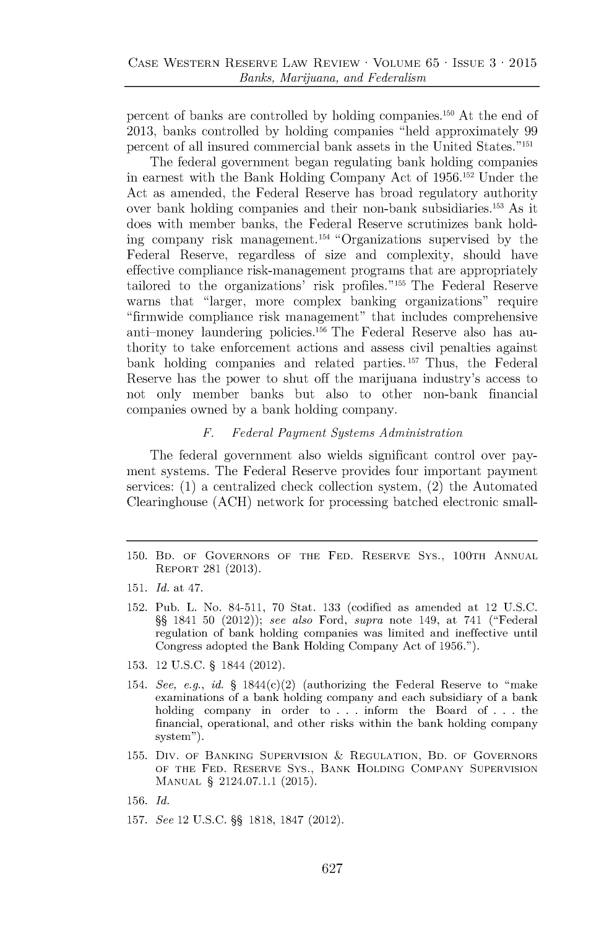percent of banks are controlled by holding companies.<sup>150</sup> At the end of **2013,** banks controlled **by** holding companies "held approximately **99** percent of all insured commercial bank assets in the United States."<sup>151</sup>

The federal government began regulating bank holding companies in earnest with the Bank Holding Company Act of **1956.152** Under the Act as amended, the Federal Reserve has broad regulatory authority over bank holding companies and their non-bank subsidiaries.<sup>153</sup> As it does with member banks, the Federal Reserve scrutinizes bank holding company risk management.<sup>154</sup> "Organizations supervised by the Federal Reserve, regardless of size and complexity, should have effective compliance risk-management programs that are appropriately tailored to the organizations' risk profiles."<sup>155</sup> The Federal Reserve warns that "larger, more complex banking organizations" require "firmwide compliance risk management" that includes comprehensive anti-money laundering policies.156 The Federal Reserve also has authority to take enforcement actions and assess civil penalties against bank holding companies and related parties.<sup>157</sup> Thus, the Federal Reserve has the power to shut off the marijuana industry's access to not only member banks but also to other non-bank financial companies owned **by** a bank holding company.

#### *F. Federal Payment Systems Administration*

The federal government also wields significant control over payment systems. The Federal Reserve provides four important payment services: **(1)** a centralized check collection system, (2) the Automated Clearinghouse **(ACH)** network for processing batched electronic small-

- **150.** BD. OF GOVERNORS OF THE **FED.** RESERVE **SYS.,** 100TH **ANNUAL** REPORT **281 (2013).**
- **151.** *Id. at 47.*
- **152.** Pub. L. No. 84-511, **70** Stat. **133** (codified as amended at 12 **U.S.C. §§** 1841 **50** (2012)); *see also* Ford, *supra* note 149, at 741 ("Federal regulation of bank holding companies was limited and ineffective until Congress adopted the Bank Holding Company Act of **1956.").**
- **153.** 12 **U.S.C. §** 1844 (2012).
- 154. *See, e.g., id.* **§** 1844(c)(2) (authorizing the Federal Reserve to "make examinations of a bank holding company and each subsidiary of a bank holding company in order to **. . .** inform the Board of **. . .** the financial, operational, and other risks within the bank holding company system").
- **155.** Div. OF **BANKING SUPERVISION & REGULATION,** BD. OF GOVERNORS **OF THE FED. RESERVE Sys., BANK HOLDING COMPANY SUPERVISION MANUAL §** 2124.07.1.1 **(2015).**
- **156.** *Id.*
- **157.** *See* 12 **U.S.C. §§ 1818, 1847** (2012).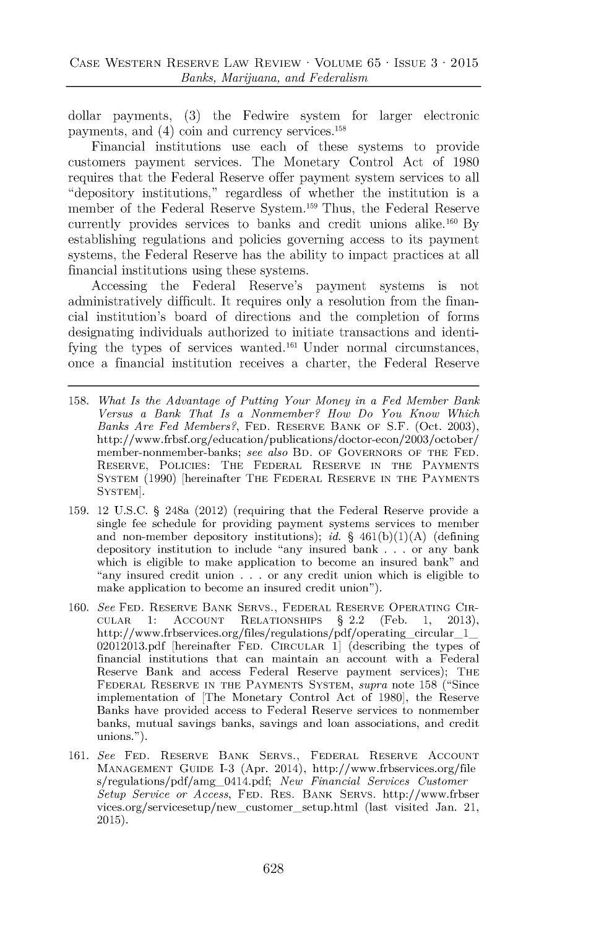dollar payments, **(3)** the Fedwire system for larger electronic payments, and  $(4)$  coin and currency services.<sup>158</sup>

Financial institutions use each of these systems to provide customers payment services. The Monetary Control Act of **1980** requires that the Federal Reserve offer payment system services to all "depository institutions," regardless of whether the institution is a member of the Federal Reserve System.<sup>159</sup> Thus, the Federal Reserve currently provides services to banks and credit unions alike.<sup>160</sup> By establishing regulations and policies governing access to its payment systems, the Federal Reserve has the ability to impact practices at all financial institutions using these systems.

Accessing the Federal Reserve's payment systems is not administratively difficult. It requires only a resolution from the financial institution's board of directions and the completion of forms designating individuals authorized to initiate transactions and identifying the types of services wanted.<sup>161</sup> Under normal circumstances, once a financial institution receives a charter, the Federal Reserve

- **158.** *What Is the Advantage of Putting Your Money in a Fed Member Bank Versus a Bank That Is a Nonmember? How Do You Know Which Banks Are Fed Members?,* **FED.** RESERVE BANK OF **S.F.** (Oct. **2003),** http://www.frbsf.org/education/publications/doctor-econ/2003/october/ member-nonmember-banks; *see also* BD. OF GOVERNORS OF THE **FED.** RESERVE, **POLICIES:** THE FEDERAL RESERVE **IN** THE **PAYMENTS** SYSTEM **(1990)** [hereinafter THE FEDERAL RESERVE **IN** THE **PAYMENTS** SYSTEM].
- **159.** 12 **U.S.C. §** 248a (2012) (requiring that the Federal Reserve provide a single fee schedule for providing payment systems services to member and non-member depository institutions); *id.* **§ 461(b)(1)(A)** (defining depository institution to include "any insured bank **. . .** or any bank which is eligible to make application to become an insured bank" and "any insured credit union **. . .** or any credit union which is eligible to make application to become an insured credit union").
- 160. *See* FED. RESERVE BANK SERVS., FEDERAL RESERVE OPERATING CIR-<br> **CULAR** 1: ACCOUNT RELATIONSHIPS § 2.2 (Feb. 1, 2013). **CULAR 1:** ACCOUNT **RELATIONSHIPS §** 2.2 (Feb. **1, 2013),** http://www.frbservices.org/files/regulations/pdf/operating\_circular\_1\_ **02012013.pdf** [hereinafter **FED.** CIRCULAR **1]** (describing the types of financial institutions that can maintain an account with a Federal Reserve Bank and access Federal Reserve payment services); THE FEDERAL RESERVE **IN** THE **PAYMENTS** SYSTEM, *supra* note **158** ("Since implementation of [The Monetary Control Act of **1980],** the Reserve Banks have provided access to Federal Reserve services to nonmember banks, mutual savings banks, savings and loan associations, and credit unions.").
- **161.** *See* **FED.** RESERVE BANK SERVS., FEDERAL RESERVE ACCOUNT **MANAGEMENT GUIDE 1-3** (Apr. 2014), http://www.frbservices.org/file s/regulations/pdf/amg\_0414.pdf; *New Financial Services Customer Setup Service or Access,* **FED.** RES. BANK SERVS. http://www.frbser vices. org/servicesetup/new-customer\_setup. html (last visited Jan. 21, **2015).**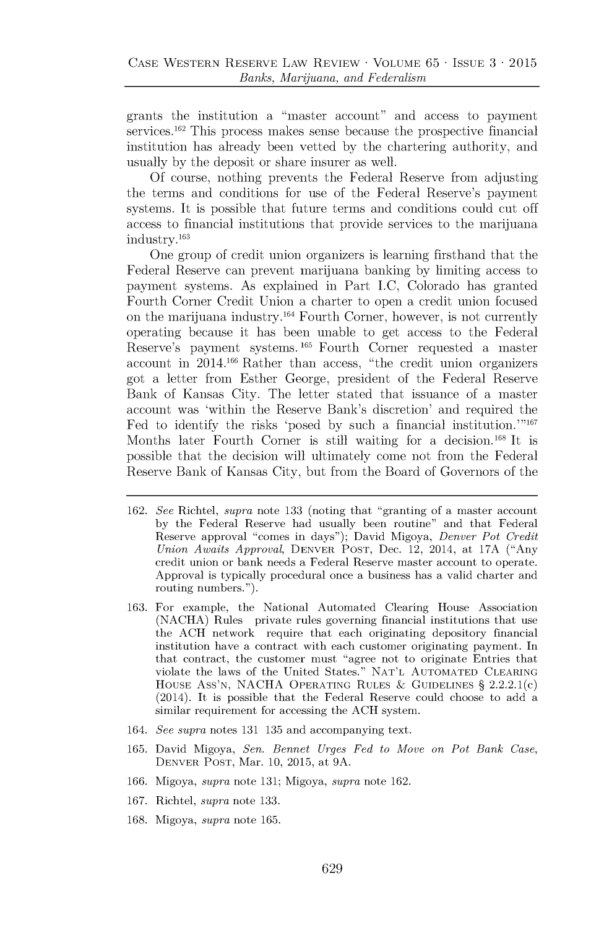grants the institution a "master account" and access to payment services.<sup>162</sup> This process makes sense because the prospective financial institution has already been vetted **by** the chartering authority, and usually **by** the deposit or share insurer as well.

**Of** course, nothing prevents the Federal Reserve from adjusting the terms and conditions for use of the Federal Reserve's payment systems. It is possible that future terms and conditions could cut off access to financial institutions that provide services to the marijuana industry.<sup>163</sup>

One group of credit union organizers is learning firsthand that the Federal Reserve can prevent marijuana banking **by** limiting access to payment systems. As explained in Part **I.C,** Colorado has granted Fourth Corner Credit Union a charter to open a credit union focused on the marijuana industry.<sup>164</sup> Fourth Corner, however, is not currently operating because it has been unable to get access to the Federal Reserve's payment systems.<sup>165</sup> Fourth Corner requested a master account in 2014.166 Rather than access, "the credit union organizers got a letter from Esther George, president of the Federal Reserve Bank of Kansas City. The letter stated that issuance of a master account was 'within the Reserve Bank's discretion' and required the Fed to identify the risks 'posed **by** such a financial institution."'167 Months later Fourth Corner is still waiting for a decision.<sup>168</sup> It is possible that the decision will ultimately come not from the Federal Reserve Bank of Kansas City, but from the Board of Governors of the

- **162.** *See* Richtel, *supra* note **133** (noting that "granting of a master account **by** the Federal Reserve had usually been routine" and that Federal Reserve approval "comes in days"); David Migoya, *Denver Pot Credit Union Awaits Approval,* DENVER **POST,** Dec. 12, 2014, at **17A** ("Any credit union or bank needs a Federal Reserve master account to operate. Approval is typically procedural once a business has a valid charter and routing numbers.").
- **163.** For example, the National Automated Clearing House Association **(NACHA)** Rules private rules governing financial institutions that use the **ACH** network require that each originating depository financial institution have a contract with each customer originating payment. In that contract, the customer must "agree not to originate Entries that violate the laws of the United States." **NAT'L AUTOMATED CLEARING HOUSE** Ass'N, **NACHA** OPERATING **RULES & GUIDELINES §** 2.2.2.1(c) (2014). It is possible that the Federal Reserve could choose to add a similar requirement for accessing the **ACH** system.
- 164. *See supra* notes **131 135** and accompanying text.
- **165.** David Migoya, *Sen. Bennet Urges Fed to Move on Pot Bank Case,* DENVER **POST,** Mar. **10, 2015,** at **9A.**
- **166.** Migoya, *supra* note **131;** Migoya, *supra* note **162.**
- **167.** Richtel, *supra* note **133.**
- **168.** Migoya, *supra* note **165.**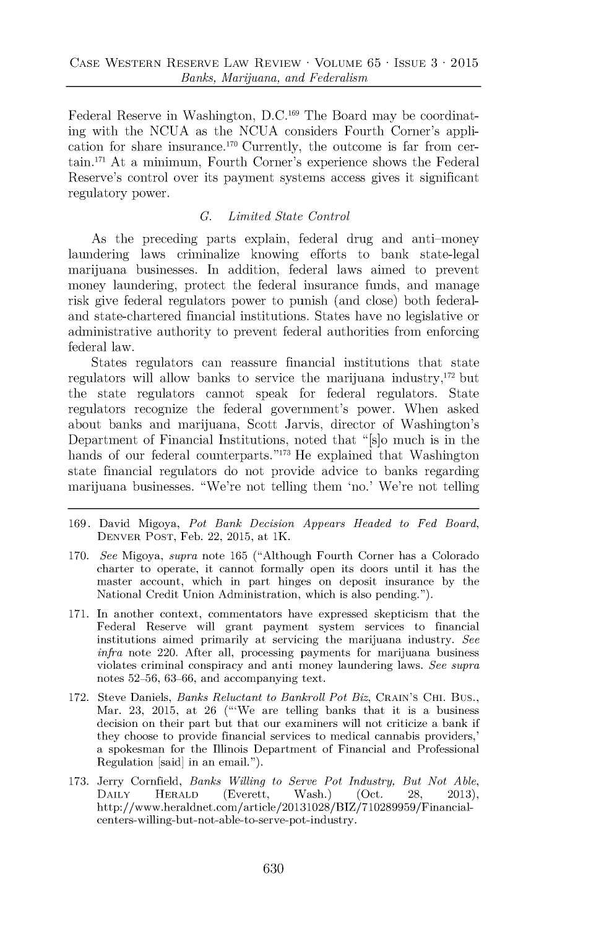Federal Reserve in Washington, D.C.<sup>169</sup> The Board may be coordinating with the NCUA as the NCUA considers Fourth Corner's application for share insurance.<sup> $170$ </sup> Currently, the outcome is far from certain. <sup>171</sup>At a minimum, Fourth Corner's experience shows the Federal Reserve's control over its payment systems access gives it significant regulatory power.

## *C. Limited State Control*

As the preceding parts explain, federal drug and anti-money laundering laws criminalize knowing efforts to bank state-legal marijuana businesses. In addition, federal laws aimed to prevent money laundering, protect the federal insurance funds, and manage risk give federal regulators power to punish (and close) both federaland state-chartered financial institutions. States have **no** legislative or administrative authority to prevent federal authorities from enforcing federal law.

States regulators can reassure financial institutions that state regulators will allow banks to service the marijuana industry, $172$  but the state regulators cannot speak for federal regulators. State regulators recognize the federal government's power. When asked about banks and marijuana, Scott Jarvis, director of Washington's Department of Financial Institutions, noted that "[s]o much is in the hands of our federal counterparts."<sup>173</sup> He explained that Washington state financial regulators do not provide advice to banks regarding marijuana businesses. "We're not telling them 'no.' We're not telling

- **169.** David Migoya, *Pot Bank Decision Appears Headed to Fed Board,* **DENVER POST,** Feb. 22, **2015,** at 1K.
- **170.** *See* Migoya, *supra* note **165** ("Although Fourth Corner has a Colorado charter to operate, it cannot formally open its doors until it has the master account, which in part hinges on deposit insurance **by** the National Credit Union Administration, which is also pending.").
- **171.** In another context, commentators have expressed skepticism that the Federal Reserve will grant payment system services to financial institutions aimed primarily at servicing the marijuana industry. *See infra* note 220. After all, processing payments for marijuana business violates criminal conspiracy and anti money laundering laws. *See supra* notes **52-56, 63-66,** and accompanying text.
- **172.** Steve Daniels, *Banks Reluctant to Bankroll Pot Biz,* **CRAIN'S CHI. Bus.,** Mar. **23, 2015,** at **26** ("'We are telling banks that it is a business decision on their part but that our examiners will not criticize a bank if they choose to provide financial services to medical cannabis providers,' a spokesman for the Illinois Department of Financial and Professional Regulation [said] in an email.").
- **173.** Jerry Cornfield, *Banks Willing to Serve Pot Industry, But Not Able,* **DAILY HERALD** (Everett, Wash.) (Oct. **28, 2013),**  ${\rm http://www.heraldnet.com/article/20131028/BIZ/710289959/Financia}$ centers-willing-but-not-able-to-serve-pot-industry.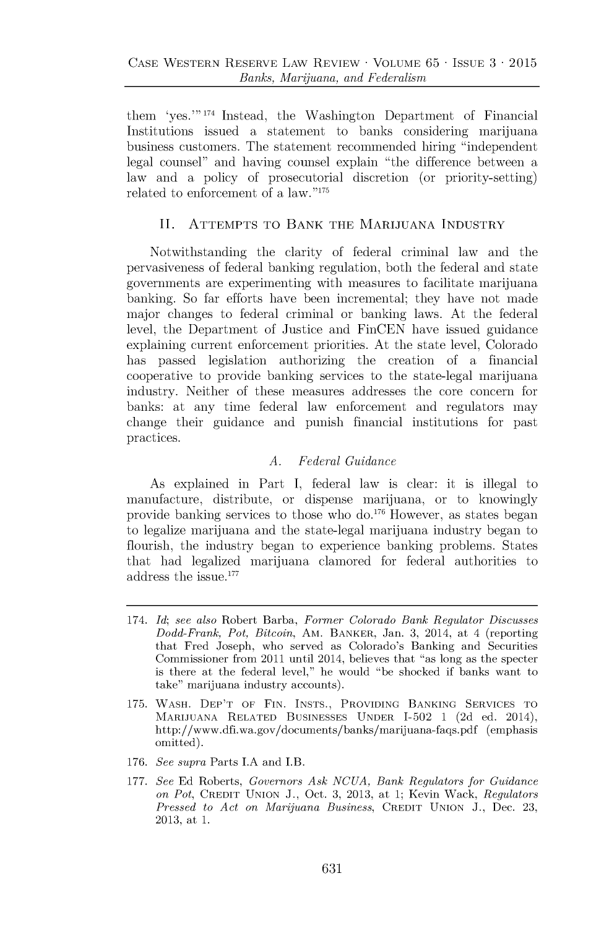them 'yes."' **174** Instead, the Washington Department of Financial Institutions issued a statement to banks considering marijuana business customers. The statement recommended hiring "independent legal counsel" and having counsel explain "the difference between a law and a policy of prosecutorial discretion (or priority-setting) related to enforcement of a law."<sup>175</sup>

## **II. ATTEMPTS TO BANK THE MARIJUANA INDUSTRY**

Notwithstanding the clarity of federal criminal law and the pervasiveness of federal banking regulation, both the federal and state governments are experimenting with measures to facilitate marijuana banking. So far efforts have been incremental; they have not made major changes to federal criminal or banking laws. At the federal level, the Department of Justice and FinCEN have issued guidance explaining current enforcement priorities. At the state level, Colorado has passed legislation authorizing the creation of a financial cooperative to provide banking services to the state-legal marijuana industry. Neither of these measures addresses the core concern for banks: at any time federal law enforcement and regulators may change their guidance and punish financial institutions for past practices.

## *A. Federal Guidance*

As explained in Part **I,** federal law is clear: it is illegal to manufacture, distribute, or dispense marijuana, or to knowingly provide banking services to those who do.<sup>176</sup> However, as states began to legalize marijuana and the state-legal marijuana industry began to flourish, the industry began to experience banking problems. States that had legalized marijuana clamored for federal authorities to address the issue.<sup>177</sup>

- **176.** *See supra* **Parts L.A and I.B.**
- **177.** *See* **Ed Roberts,** *Governors Ask NCUA, Bank Regulators for Guidance on Pot,* CREDIT **UNION J., Oct. 3, 2013, at 1; Kevin Wack,** *Regulators Pressed to Act on Marijuana Business,* CREDIT **UNION J., Dec. 23, 2013, at 1.**

<sup>174.</sup> *Id; see also* Robert **Barba,** *Former Colorado Bank Regulator Discusses Dodd-Frank, Pot, Bitcoin,* Am. BANKER, **Jan. 3, 2014, at 4 (reporting that Fred Joseph, who served as Colorado's Banking and Securities Commissioner from 2011 until 2014, believes that "as long as the specter is there at the federal level," he would "be shocked if banks want to take" marijuana industry accounts).**

**<sup>175.</sup> WASH.** DEP'T OF **FIN. INSTS.,** PROVIDING **BANKING SERVICES** TO **MARIJUANA** RELATED **BUSINESSES UNDER 1-502 1 (2d ed. 2014), http://www.dfi.wa.gov/documents/banks/marijuana-faqs.pdf (emphasis omitted).**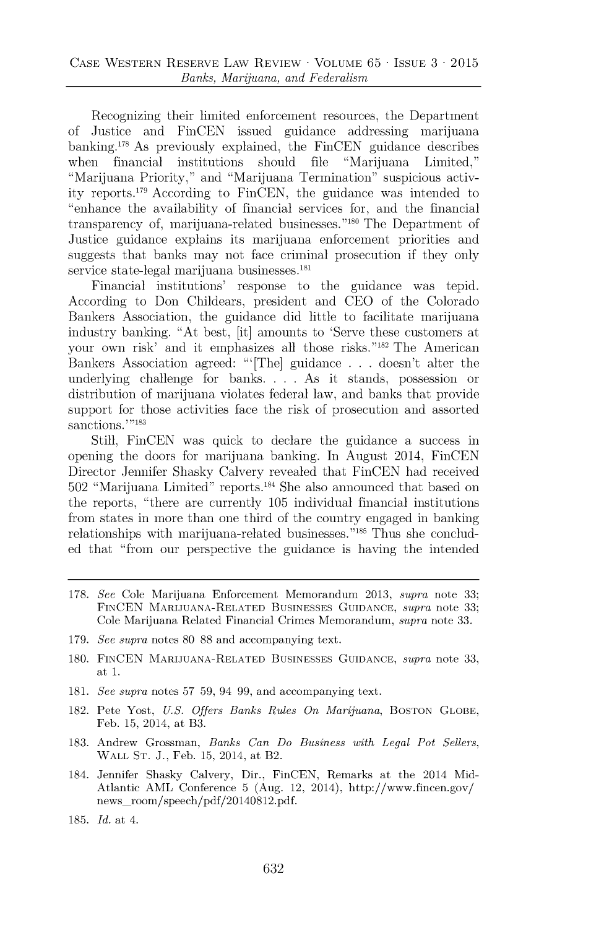Recognizing their limited enforcement resources, the Department of Justice and FinCEN issued guidance addressing marijuana banking.<sup>178</sup> As previously explained, the FinCEN guidance describes when financial institutions should file "Marijuana Limited," "Marijuana Priority," and "Marijuana Termination" suspicious activity reports."' According to FinCEN, the guidance was intended to "enhance the availability of financial services for, and the financial transparency of, marijuana-related businesses."<sup>180</sup> The Department of Justice guidance explains its marijuana enforcement priorities and suggests that banks may not face criminal prosecution if they only service state-legal marijuana businesses.<sup>181</sup>

Financial institutions' response to the guidance was tepid. According to Don Childears, president and **CEO** of the Colorado Bankers Association, the guidance did little to facilitate marijuana industry banking. "At best, [it] amounts to 'Serve these customers at your own risk' and it emphasizes all those risks."<sup>182</sup> The American Bankers Association agreed: "'[The] guidance **. . .** doesn't alter the underlying challenge for banks. **. . .** As it stands, possession or distribution of marijuana violates federal law, and banks that provide support for those activities face the risk of prosecution and assorted sanctions.'"<sup>183</sup>

Still, FinCEN was quick to declare the guidance a success in opening the doors for marijuana banking. In August 2014, FinCEN Director Jennifer Shasky Calvery revealed that FinCEN had received **502** "Marijuana Limited" reports.1 4 She also announced that based on the reports, "there are currently **105** individual financial institutions from states in more than one third of the country engaged in banking relationships with marijuana-related businesses."<sup>185</sup> Thus she concluded that "from our perspective the guidance is having the intended

- **178.** *See* Cole Marijuana Enforcement Memorandum **2013,** *supra* note **33; FINCEN MARIJUANA-RELATED BUSINESSES GUIDANCE,** *supra* note **33;** Cole Marijuana Related Financial Crimes Memorandum, *supra* note **33.**
- **179.** *See supra* notes **80 88** and accompanying text.
- **180. FINCEN MARIJUANA-RELATED BUSINESSES GUIDANCE,** *supra* note **33,** at **1.**
- **181.** *See supra* notes **57 59,** 94 **99,** and accompanying text.
- **182.** Pete Yost, *U.S. Offers Banks Rules On Marijuana,* **BoSToN GLOBE,** Feb. **15,** 2014, at B3.
- **183.** Andrew Grossman, *Banks Can Do Business with Legal Pot Sellers,* WALL **ST. J.,** Feb. **15,** 2014, at B2.
- 184. Jennifer Shasky Calvery, Dir., FinCEN, Remarks at the 2014 Mid-Atlantic AML Conference **5** (Aug. 12, 2014), http://www.fincen.gov/ news room/speech/pdf/20140812.pdf.
- **185.** *Id.* at 4.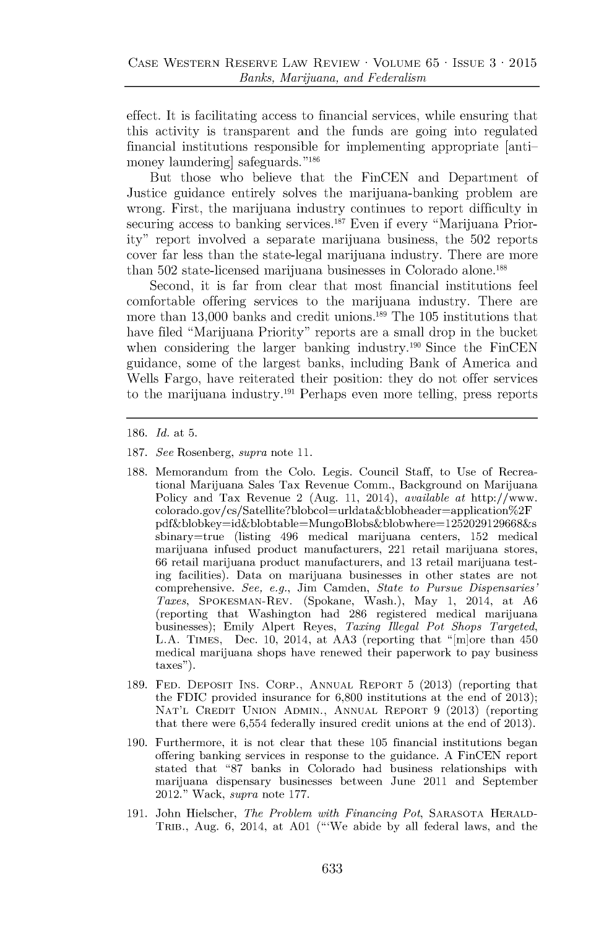effect. It is facilitating access to financial services, while ensuring that this activity is transparent and the funds are going into regulated financial institutions responsible for implementing appropriate [antimoney laundering safeguards."<sup>186</sup>

But those who believe that the FinCEN and Department of Justice guidance entirely solves the marijuana-banking problem are wrong. First, the marijuana industry continues to report difficulty in securing access to banking services.<sup>187</sup> Even if every "Marijuana Priority" report involved a separate marijuana business, the **502** reports cover far less than the state-legal marijuana industry. There are more than 502 state-licensed marijuana businesses in Colorado alone.<sup>188</sup>

Second, it is far from clear that most financial institutions feel comfortable offering services to the marijuana industry. There are more than 13,000 banks and credit unions.<sup>189</sup> The 105 institutions that have filed "Marijuana Priority" reports are a small drop in the bucket when considering the larger banking industry.<sup>190</sup> Since the FinCEN guidance, some of the largest banks, including Bank of America and Wells Fargo, have reiterated their position: they do not offer services to the marijuana industry.<sup>191</sup> Perhaps even more telling, press reports

**186.** *Id. at* **5.**

- **187.** *See* Rosenberg, *supra* note **11.**
- **188.** Memorandum from the Colo. Legis. Council Staff, to Use of Recreational Marijuana Sales Tax Revenue Comm., Background on Marijuana Policy and Tax Revenue 2 (Aug. **11,** 2014), *available* at http://www. colorado.gov/cs/Satellite?blobcol=urldata&blobheader=application%2F pdf&blobkey=id&blobtable=MungoBlobs&blobwhere= 1252029129668&s sbinary=true (listing 496 medical marijuana centers, **152** medical marijuana infused product manufacturers, 221 retail marijuana stores, **66** retail marijuana product manufacturers, and **13** retail marijuana testing facilities). Data on marijuana businesses in other states are not comprehensive. *See, e.g.,* Jim Camden, *State to Pursue Dispensaries' Taxes,* SPOKESMAN-REV. (Spokane, Wash.), May **1,** 2014, at **A6** (reporting that Washington had **286** registered medical marijuana businesses); Emily Alpert Reyes, *Taxing Illegal Pot Shops Targeted,* **L.A.** TIMES, Dec. **10,** 2014, at **AA3** (reporting that "[m]ore than 450 medical marijuana shops have renewed their paperwork to pay business taxes").
- **189. FED. DEPOSIT INS.** CORP., **ANNUAL** REPORT **5 (2013)** (reporting that the **FDIC** provided insurance for **6,800** institutions at the end of **2013); NAT'L** CREDIT **UNION ADMIN., ANNUAL** REPORT **9 (2013)** (reporting that there were **6,554** federally insured credit unions at the end of **2013).**
- **190.** Furthermore, it is not clear that these **105** financial institutions began offering banking services in response to the guidance. **A** FinCEN report stated that **"87** banks in Colorado had business relationships with marijuana dispensary businesses between June 2011 and September 2012." Wack, *supra* note **177.**
- **191.** John Hielscher, *The Problem with Financing Pot,* **SARASOTA** HERALD-TRIB., Aug. **6,** 2014, at **A01** ("'We abide **by** all federal laws, and the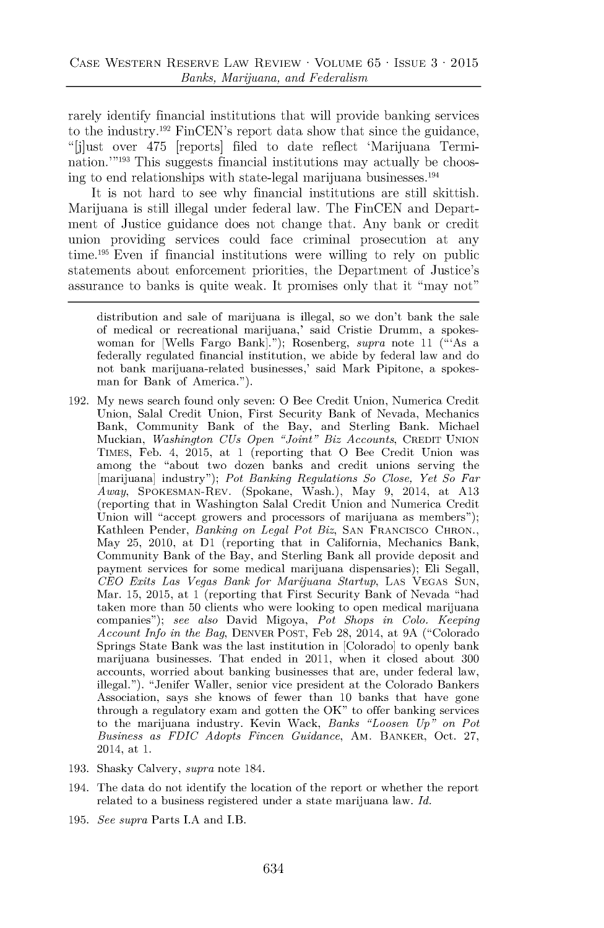rarely identify financial institutions that will provide banking services to the industry.<sup>192</sup> FinCEN's report data show that since the guidance, "[j]ust over 475 [reports] filed to date reflect 'Marijuana Termination.<sup>'"193</sup> This suggests financial institutions may actually be choosing to end relationships with state-legal marijuana businesses. $^{194}$ 

It is not hard to see why financial institutions are still skittish. Marijuana is still illegal under federal law. The FinCEN and Department of Justice guidance does not change that. Any bank or credit union providing services could face criminal prosecution at any time.<sup>195</sup> Even if financial institutions were willing to rely on public statements about enforcement priorities, the Department of Justice's assurance to banks is quite weak. It promises only that it "may not"

- **192. My** news search found only seven: **0** Bee Credit Union, Numerica Credit Union, Salal Credit Union, First Security Bank of Nevada, Mechanics Bank, Community Bank of the Bay, and Sterling Bank. Michael Muckian, *Washington CUs Open "Joint" Biz Accounts,* CREDIT **UNION TIMES,** Feb. 4, **2015,** at 1 (reporting that **0** Bee Credit Union was among the "about two dozen banks and credit unions serving the [marijuana] industry"); *Pot Banking Regulations So Close, Yet So Far Away,* SPOKESMAN-REV. (Spokane, Wash.), May **9,** 2014, at **A13** (reporting that in Washington Salal Credit Union and Numerica Credit Union will "accept growers and processors of marijuana as members"); Kathleen Pender, *Banking on Legal Pot Biz,* **SAN FRANCISCO** CHRON., May **25,** 2010, at **D1** (reporting that in California, Mechanics Bank, Community Bank of the Bay, and Sterling Bank all provide deposit and payment services for some medical marijuana dispensaries); Eli Segall, *CEO Exits Las Vegas Bank for Marijuana Startup,* **LAS VEGAS SUN,** Mar. **15, 2015,** at 1 (reporting that First Security Bank of Nevada "had taken more than **50** clients who were looking to open medical marijuana companies"); *see also* David Migoya, *Pot Shops in Colo. Keeping Account Info in the Bag,* DENVER **POST,** Feb **28,** 2014, at **9A** ("Colorado Springs State Bank was the last institution in [Colorado] to openly bank marijuana businesses. That ended in 2011, when it closed about **300** accounts, worried about banking businesses that are, under federal law, illegal."). "Jenifer Waller, senior vice president at the Colorado Bankers Association, says she knows of fewer than **10** banks that have gone through a regulatory exam and gotten the OK" to offer banking services to the marijuana industry. Kevin Wack, *Banks "Loosen Up" on Pot Business as FDIC Adopts Fincen Guidance,* AM. BANKER, Oct. **27,** 2014, at **1.**
- **193.** Shasky Calvery, *supra* note 184.
- 194. The data do not identify the location of the report or whether the report related to a business registered under a state marijuana law. *Id.*
- **195.** *See supra* Parts **L.A** and I.B.

distribution and sale of marijuana is illegal, so we don't bank the sale of medical or recreational marijuana,' said Cristie Drumm, a spokeswoman for [Wells Fargo Bank]."); Rosenberg, *supra* note **11** ("'As a federally regulated financial institution, we abide **by** federal law and do not bank marijuana-related businesses,' said Mark Pipitone, a spokesman for Bank of America.").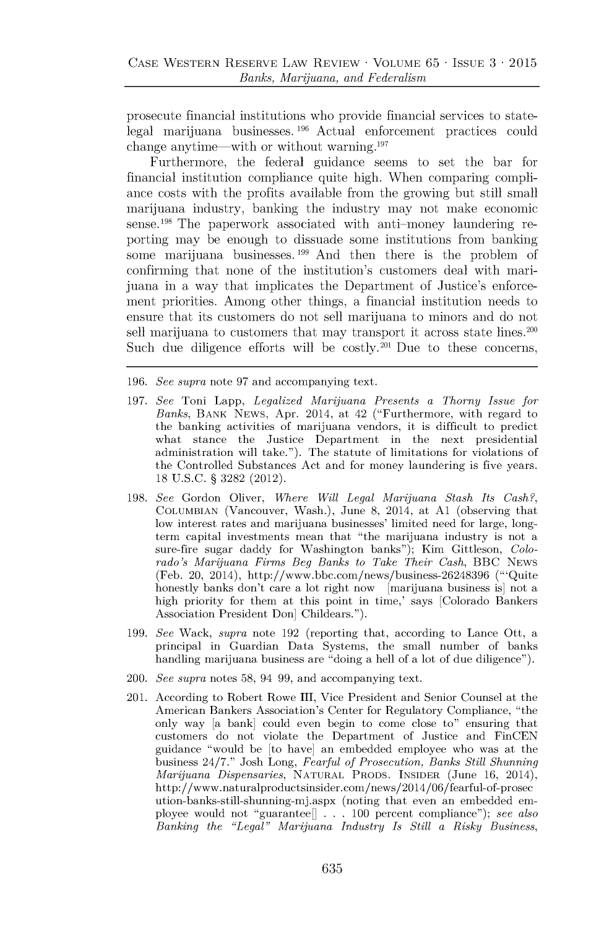prosecute financial institutions who provide financial services to statelegal marijuana businesses. 196 Actual enforcement practices could change anytime—with or without warning. $197$ 

Furthermore, the federal guidance seems to set the bar for financial institution compliance quite high. When comparing compliance costs with the profits available from the growing but still small marijuana industry, banking the industry may not make economic sense.<sup>198</sup> The paperwork associated with anti-money laundering reporting may be enough to dissuade some institutions from banking some marijuana businesses.<sup>199</sup> And then there is the problem of confirming that none of the institution's customers deal with marijuana in a way that implicates the Department of Justice's enforcement priorities. Among other things, a financial institution needs to ensure that its customers do not sell marijuana to minors and do not sell marijuana to customers that may transport it across state lines.<sup>200</sup> Such due diligence efforts will be costly.<sup>201</sup> Due to these concerns,

**196.** *See supra* note **97** and accompanying text.

- **197.** *See* Toni Lapp, *Legalized Marijuana Presents a Thorny Issue for Banks,* BANK **NEWS,** Apr. 2014, at 42 ("Furthermore, with regard to the banking activities of marijuana vendors, it is difficult to predict what stance the Justice Department in the next presidential administration will take."). The statute of limitations for violations of the Controlled Substances Act and for money laundering is five years. **18 U.S.C. § 3282** (2012).
- **198.** *See* Gordon Oliver, *Where Will Legal Marijuana Stash Its Cash?,* **COLUMBIAN** (Vancouver, Wash.), June **8,** 2014, at **Al** (observing that low interest rates and marijuana businesses' limited need for large, longterm capital investments mean that "the marijuana industry is not a sure-fire sugar daddy for Washington banks"); Kim Gittleson, *Colorado's Marijuana Firms Beg Banks to Take Their Cash,* BBC **NEWS** (Feb. 20, 2014), http://www.bbc.com/news/business-26248396 ("'Quite honestly banks don't care a lot right now [marijuana business is] not a high priority for them at this point in time,' says [Colorado Bankers Association President Don] Childears.").
- **199.** *See* Wack, *supra* note **192** (reporting that, according to Lance Ott, a principal in Guardian Data Systems, the small number of banks handling marijuana business are "doing a hell of a lot of due diligence").
- 200. *See supra* notes **58,** 94 **99,** and accompanying text.
- 201. According to Robert Rowe III, Vice President and Senior Counsel at the American Bankers Association's Center for Regulatory Compliance, "the only way [a bank] could even begin to come close to" ensuring that customers do not violate the Department of Justice and FinCEN guidance "would be [to have] an embedded employee who was at the business 24/7." Josh Long, *Fearful of Prosecution, Banks Still Shunning Marijuana Dispensaries,* **NATURAL** PRODS. **INSIDER** (June **16,** 2014), http://www.naturalproductsinsider.com/news/2014/06/fearful-of-prosec ution-banks-still-shunning-mj.aspx (noting that even an embedded employee would not "guarantee[] **. . . 100** percent compliance"); *see also Banking the "Legal" Marijuana Industry Is Still a Risky Business,*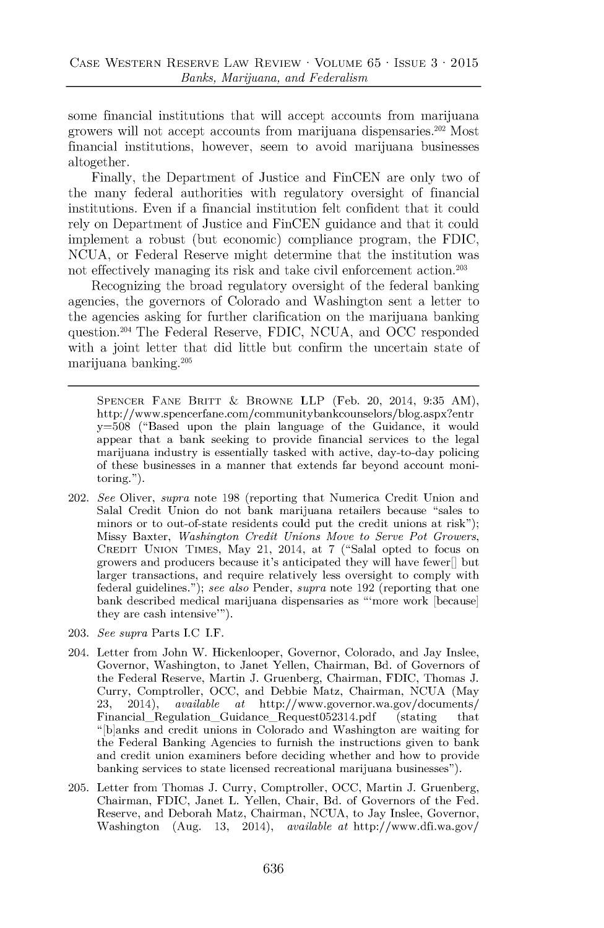some financial institutions that will accept accounts from marijuana growers will not accept accounts from marijuana dispensaries.<sup>202</sup> Most financial institutions, however, seem to avoid marijuana businesses altogether.

Finally, the Department of Justice and FinCEN are only two of the many federal authorities with regulatory oversight of financial institutions. Even if a financial institution felt confident that it could rely on Department of Justice and FinCEN guidance and that it could implement a robust (but economic) compliance program, the **FDIC, NCUA,** or Federal Reserve might determine that the institution was not effectively managing its risk and take civil enforcement action.<sup>203</sup>

Recognizing the broad regulatory oversight of the federal banking agencies, the governors of Colorado and Washington sent a letter to the agencies asking for further clarification on the marijuana banking question.204 The Federal Reserve, **FDIC, NCUA,** and **OCC** responded with a joint letter that did little but confirm the uncertain state of marijuana banking.<sup>20</sup><sup>5</sup>

**SPENCER FANE BRITT & BROWNE** LLP (Feb. 20, 2014, **9:35** AM), http://www.spencerfane.com/communitybankcounselors/blog.aspx?entr **y=508** ("Based upon the plain language of the Guidance, it would appear that a bank seeking to provide financial services to the legal marijuana industry is essentially tasked with active, day-to-day policing of these businesses in a manner that extends far beyond account monitoring.").

- 202. *See* Oliver, *supra* note **198** (reporting that Numerica Credit Union and Salal Credit Union do not bank marijuana retailers because "sales to minors or to out-of-state residents could put the credit unions at risk"); Missy Baxter, *Washington Credit Unions Move to Serve Pot Growers,* **CREDIT UNION TIMES,** May 21, 2014, at *7* ("Salal opted to focus on growers and producers because it's anticipated they will have fewer  $\parallel$  but larger transactions, and require relatively less oversight to comply with federal guidelines."); *see also* Pender, *supra* note **192** (reporting that one bank described medical marijuana dispensaries as "'more work [because] they are cash intensive"').
- **203.** *See supra* Parts **J.C** I.F.
- 204. Letter from John W. Hickenlooper, Governor, Colorado, and Jay Inslee, Governor, Washington, to Janet Yellen, Chairman, Bd. of Governors of the Federal Reserve, Martin **J.** Gruenberg, Chairman, **FDIC,** Thomas **J.** Curry, Comptroller, **OCC,** and Debbie Matz, Chairman, **NCUA** (May **23,** 2014), *available* at http://www.governor.wa.gov/documents/ Financial\_Regulation\_Guidance\_Request052314.pdf (stating that " [b]anks and credit unions in Colorado and Washington are waiting for the Federal Banking Agencies to furnish the instructions given to bank and credit union examiners before deciding whether and how to provide banking services to state licensed recreational marijuana businesses").
- **205.** Letter from Thomas **J.** Curry, Comptroller, **OCC,** Martin **J.** Gruenberg, Chairman, **FDIC,** Janet L. Yellen, Chair, Bd. of Governors of the Fed. Reserve, and Deborah Matz, Chairman, **NCUA,** to Jay Inslee, Governor, Washington (Aug. **13,** 2014), *available* at http://www.dfi.wa.gov/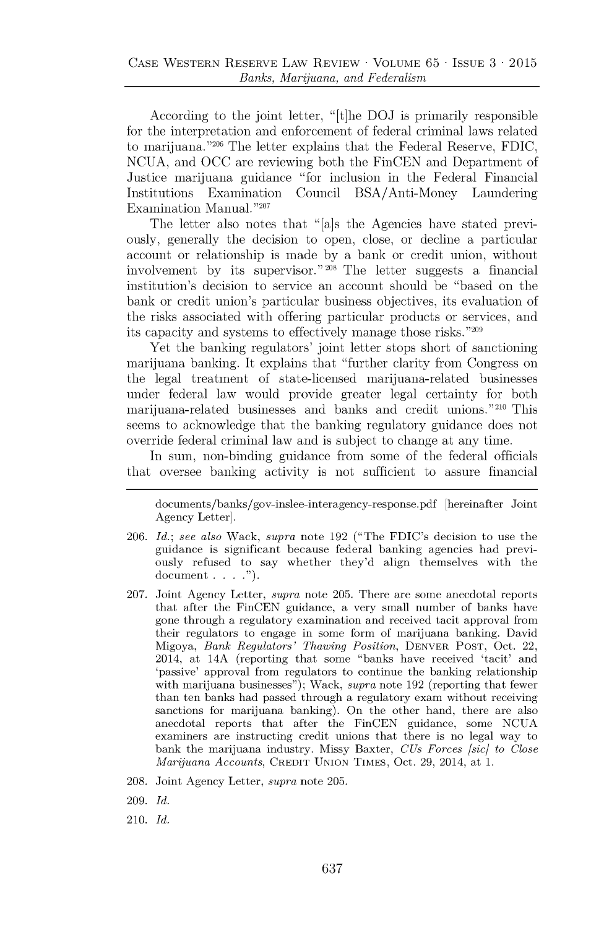According to the joint letter, "[t]he **DOJ** is primarily responsible for the interpretation and enforcement of federal criminal laws related to marijuana.<sup>"206</sup> The letter explains that the Federal Reserve, FDIC, **NCUA,** and **OCC** are reviewing both the FinCEN and Department of Justice marijuana guidance "for inclusion in the Federal Financial Institutions Examination Council BSA/Anti-Money Laundering Examination Manual."207

The letter also notes that "[a]s the Agencies have stated previously, generally the decision to open, close, or decline a particular account or relationship is made **by** a bank or credit union, without involvement **by** its supervisor." **208** The letter suggests a financial institution's decision to service an account should be "based **on** the bank or credit union's particular business objectives, its evaluation of the risks associated with offering particular products or services, and its capacity and systems to effectively manage those risks." <sup>209</sup>

Yet the banking regulators' joint letter stops short of sanctioning marijuana banking. It explains that "further clarity from Congress on the legal treatment of state-licensed marijuana-related businesses under federal law would provide greater legal certainty for both marijuana-related businesses and banks and credit unions.<sup>"210</sup> This seems to acknowledge that the banking regulatory guidance does not override federal criminal law and is subject to change at any time.

In sum, non-binding guidance from some of the federal officials that oversee banking activity is not sufficient to assure financial

documents/banks/gov-inslee-interagency-response.pdf [hereinafter Joint Agency Letter].

- **206.** *Id.; see also* Wack, *supra* note **192** ("The FDIC's decision to use the guidance is significant because federal banking agencies had previously refused to say whether they'd align themselves with the document **. . . .").**
- **207.** Joint Agency Letter, *supra* note **205.** There are some anecdotal reports that after the FinCEN guidance, a very small number of banks have gone through a regulatory examination and received tacit approval from their regulators to engage in some form of marijuana banking. David Migoya, *Bank Regulators' Thawing Position,* DENVER **POST,** Oct. 22, 2014, at 14A (reporting that some "banks have received 'tacit' and Ipassive' approval from regulators to continue the banking relationship with marijuana businesses"); Wack, *supra* note **192** (reporting that fewer than ten banks had passed through a regulatory exam without receiving sanctions for marijuana banking). On the other hand, there are also anecdotal reports that after the FinCEN guidance, some **NCUA** examiners are instructing credit unions that there is no legal way to bank the marijuana industry. Missy Baxter, *CUs Forces [sic] to Close Marijuana Accounts,* CREDIT **UNION** TIMES, Oct. **29,** 2014, at **1.**
- **208.** Joint Agency Letter, *supra* note **205.**
- **209.** *Id.*
- *210. Id.*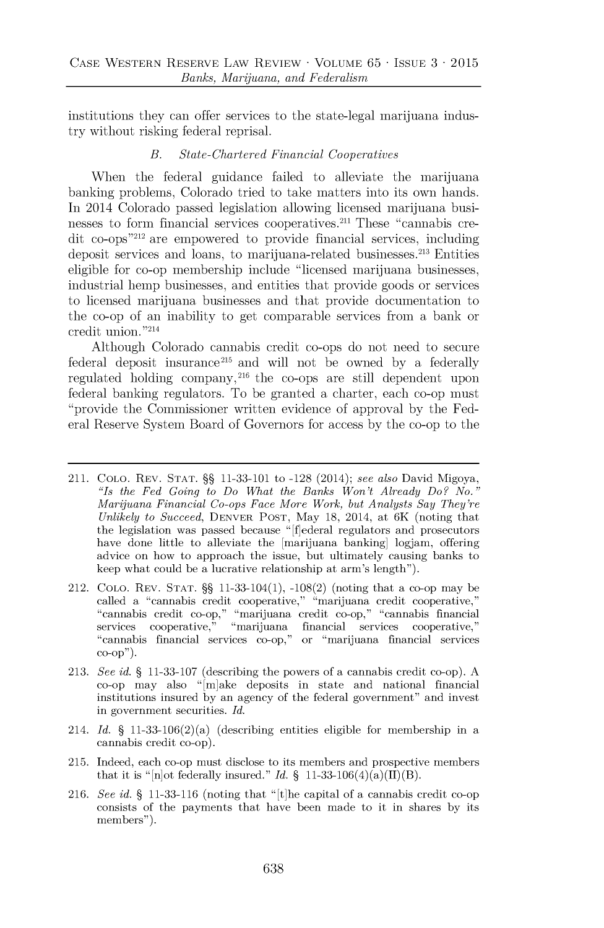institutions they can offer services to the state-legal marijuana industry without risking federal reprisal.

#### *B. State-Chartered Financial Cooperatives*

When the federal guidance failed to alleviate the marijuana banking problems, Colorado tried to take matters into its own hands. In 2014 Colorado passed legislation allowing licensed marijuana businesses to form financial services cooperatives.<sup>211</sup> These "cannabis credit co-ops"<sup>212</sup> are empowered to provide financial services, including deposit services and loans, to marijuana-related businesses.<sup>213</sup> Entities eligible for co-op membership include "licensed marijuana businesses, industrial hemp businesses, and entities that provide goods or services to licensed marijuana businesses and that provide documentation to the co-op of an inability to get comparable services from a bank or credit union. **"214**

Although Colorado cannabis credit co-ops do not need to secure federal deposit insurance<sup>215</sup> and will not be owned by a federally regulated holding company,<sup>216</sup> the co-ops are still dependent upon federal banking regulators. To be granted a charter, each co-op must "provide the Commissioner written evidence of approval **by** the Federal Reserve System Board of Governors for access **by** the co-op to the

- 211. **COLO.** REV. **STAT. §§ 11-33-101** to **-128** (2014); *see also* David Migoya, *"Is the Fed Going to Do What the Banks Won't Already Do? No." Marijuana Financial Co-ops Face More Work, but Analysts Say They're Unlikely to Succeed,* DENVER **POST,** May **18,** 2014, at 6K (noting that the legislation was passed because "[f]ederal regulators and prosecutors have done little to alleviate the marijuana banking logjam, offering advice on how to approach the issue, but ultimately causing banks to keep what could be a lucrative relationship at arm's length").
- 212. **COLO.** REV. **STAT. §§** 11-33-104(1), **-108(2)** (noting that a co-op may be called a "cannabis credit cooperative," "marijuana credit cooperative," "cannabis credit co-op," "marijuana credit co-op," "cannabis financial services cooperative," "marijuana financial services cooperative," "cannabis financial services co-op," or "marijuana financial services **co-op").**
- **213.** *See id.* **§ 11-33-107** (describing the powers of a cannabis credit co-op). **A** co-op may also "[m]ake deposits in state and national financial institutions insured **by** an agency of the federal government" and invest in government securities. *Id.*
- 214. *Id.* § 11-33-106(2)(a) (describing entities eligible for membership in a cannabis credit co-op).
- **215.** Indeed, each co-op must disclose to its members and prospective members that it is "[n]ot federally insured." *Id.* § 11-33-106(4)(a)(II)(B).
- **216.** *See id.* **§ 11-33-116** (noting that "[t]he capital of a cannabis credit co-op consists of the payments that have been made to it in shares **by** its members").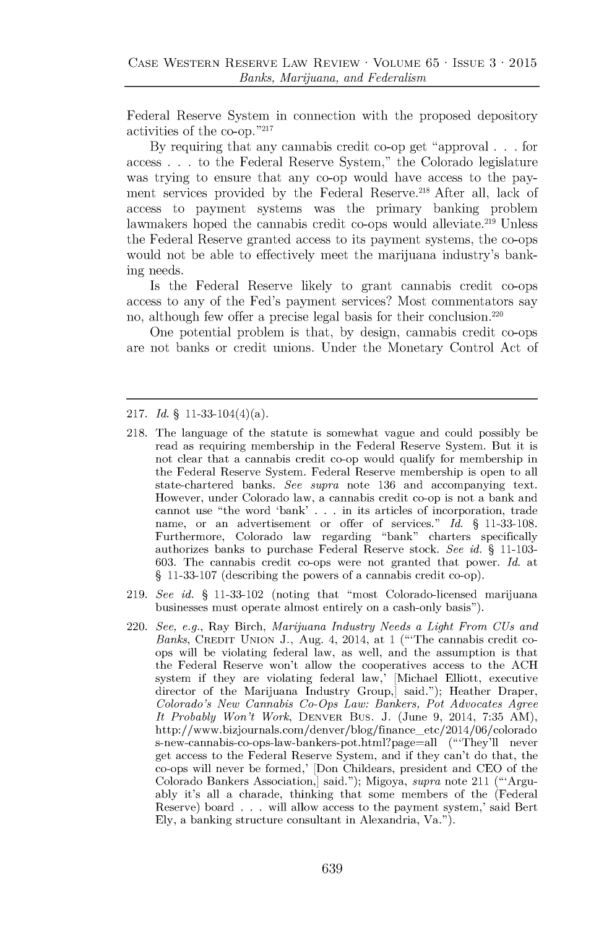Federal Reserve System in connection with the proposed depository activities of the co-op."217

**By** requiring that any cannabis credit co-op get "approval **. . .** for access **. . .** to the Federal Reserve System," the Colorado legislature was trying to ensure that any co-op would have access to the payment services provided by the Federal Reserve.<sup>218</sup> After all, lack of access to payment systems was the primary banking problem lawmakers hoped the cannabis credit co-ops would alleviate.<sup>219</sup> Unless the Federal Reserve granted access to its payment systems, the co-ops would not be able to effectively meet the marijuana industry's banking needs.

Is the Federal Reserve likely to grant cannabis credit co-ops access to any of the Fed's payment services? Most commentators say no, although few offer a precise legal basis for their **conclusion. <sup>220</sup>**

One potential problem is that, **by** design, cannabis credit co-ops are not banks or credit unions. Under the Monetary Control Act of

#### **217.** *Id.* **§** 11-33-104(4)(a).

- **218.** The language of the statute is somewhat vague and could possibly be read as requiring membership in the Federal Reserve System. But it is not clear that a cannabis credit co-op would qualify for membership in the Federal Reserve System. Federal Reserve membership is open to all state-chartered banks. *See supra* note **136** and accompanying text. However, under Colorado law, a cannabis credit co-op is not a bank and cannot use "the word 'bank' **. . .** in its articles of incorporation, trade name, or an advertisement or offer of services." *Id.* **§ 11-33-108.** Furthermore, Colorado law regarding "bank" charters specifically authorizes banks to purchase Federal Reserve stock. *See id.* **§ 11-103- 603.** The cannabis credit co-ops were not granted that power. *Id.* at **§ 11-33-107** (describing the powers of a cannabis credit co-op).
- **219.** *See id.* **§ 11-33-102** (noting that "most Colorado-licensed marijuana businesses must operate almost entirely on a cash-only basis").
- 220. *See, e.g.,* Ray Birch, *Marijuana Industry Needs a Light From CUs and Banks,* CREDIT **UNION J.,** Aug. 4, 2014, at 1 ("'The cannabis credit coops will be violating federal law, as well, and the assumption is that the Federal Reserve won't allow the cooperatives access to the **ACH** system if they are violating federal law,' [Michael Elliott, executive director of the Marijuana Industry Group,] said."); Heather Draper, *Colorado's New Cannabis Co-Ops Law: Bankers, Pot Advocates Agree It Probably Won't Work,* DENVER Bus. **J.** (June **9,** 2014, **7:35** AM), http://www.bizjournals.com/denver/blog/finance-etc/2014/06/colorado s-new-cannabis-co-ops-law-bankers-pot.html?page=all ("'They'll never get access to the Federal Reserve System, and if they can't do that, the co-ops will never be formed,' [Don Childears, president and **CEO** of the Colorado Bankers Association,] said."); Migoya, *supra* note 211 ("'Arguably it's all a charade, thinking that some members of the (Federal Reserve) board **. . .** will allow access to the payment system,' said Bert **Ely,** a banking structure consultant in Alexandria, Va.").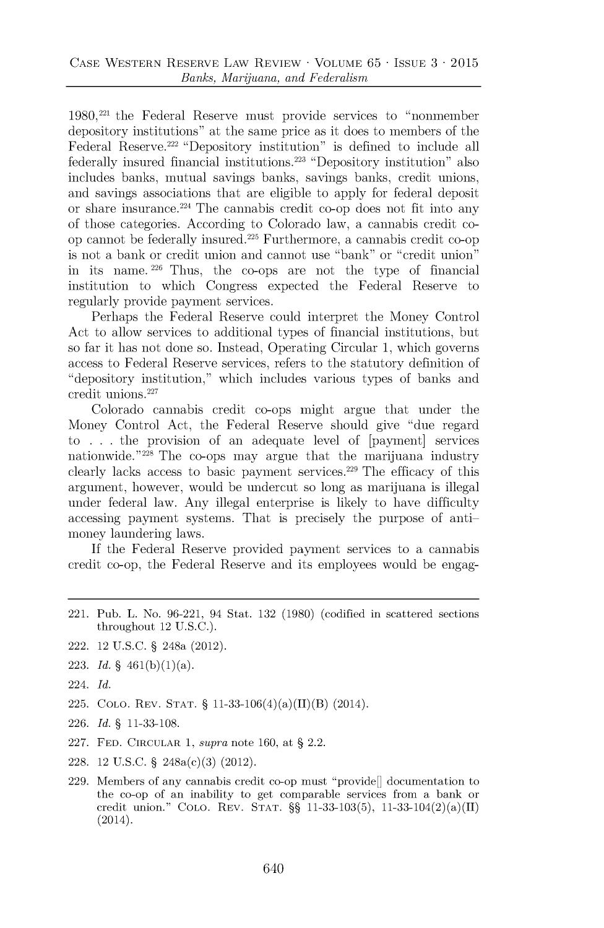1980,221 the Federal Reserve must provide services to "nonmember depository institutions" at the same price as it does to members of the Federal Reserve.<sup>222</sup> "Depository institution" is defined to include all federally insured financial institutions.<sup>223</sup> "Depository institution" also includes banks, mutual savings banks, savings banks, credit unions, and savings associations that are eligible to apply for federal deposit or share insurance. <sup>22</sup><sup>4</sup>The cannabis credit co-op does not fit into any of those categories. According to Colorado law, a cannabis credit coop cannot be federally insured. <sup>22</sup><sup>5</sup>Furthermore, a cannabis credit co-op is not a bank or credit union and cannot use "bank" or "credit union" in its name. **226** Thus, the co-ops are not the type of financial institution to which Congress expected the Federal Reserve to regularly provide payment services.

Perhaps the Federal Reserve could interpret the Money Control Act to allow services to additional types of financial institutions, but so far it has not done so. Instead, Operating Circular **1,** which governs access to Federal Reserve services, refers to the statutory definition of "depository institution," which includes various types of banks and credit **unions.227**

Colorado cannabis credit co-ops might argue that under the Money Control Act, the Federal Reserve should give "due regard to **. . .** the provision of an adequate level of [payment] services nationwide."<sup>228</sup> The co-ops may argue that the marijuana industry clearly lacks access to basic payment services. $229$  The efficacy of this argument, however, would be undercut so long as marijuana is illegal under federal law. Any illegal enterprise is likely to have difficulty accessing payment systems. That is precisely the purpose of antimoney laundering laws.

**If** the Federal Reserve provided payment services to a cannabis credit co-op, the Federal Reserve and its employees would be engag-

- 221. Pub. L. No. **96-221,** 94 Stat. **132 (1980)** (codified in scattered sections throughout 12 **U.S.C.).**
- 222. 12 **U.S.C. §** 248a (2012).
- **223.** *Id.* **§** 461(b)(1)(a).
- 224. *Id.*
- **225. COLO.** REV. **STAT. §** 11-33-106(4)(a)(JJ)(B) (2014).
- **226.** *Id.* **§ 11-33-108.**
- **227. FED.** CIRCULAR **1,** *supra* note **160,** at **§** 2.2.
- **228.** 12 **U.S.C. §** 248a(c)(3) (2012).
- **229.** Members of any cannabis credit co-op must "provide[] documentation to the co-op of an inability to get comparable services from a bank or credit union." **CoLO.** REV. **STAT. §§ 11-33-103(5),** 11-33-104(2)(a)(J) (2014).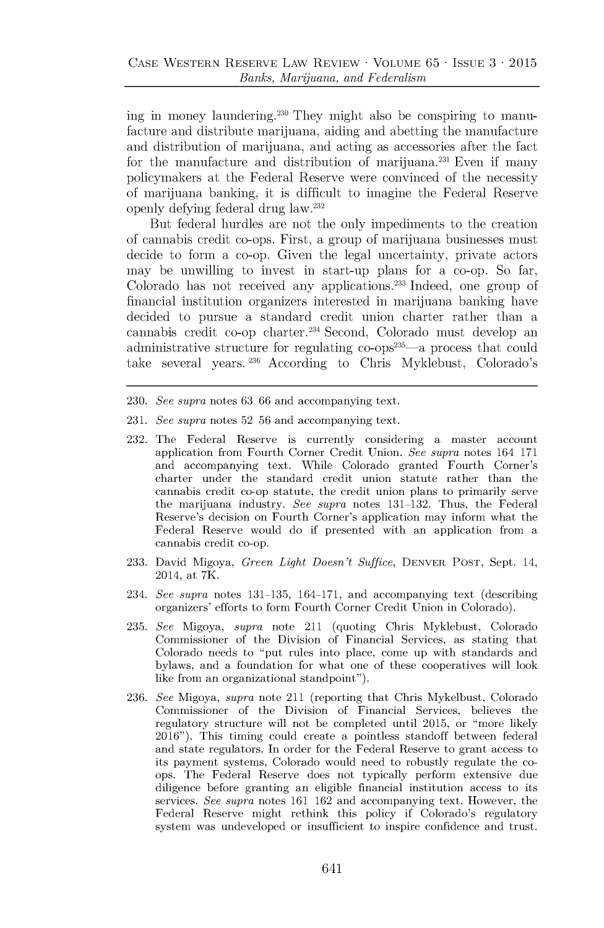ing in money laundering.<sup>230</sup> They might also be conspiring to manufacture and distribute marijuana, aiding and abetting the manufacture and distribution of marijuana, and acting as accessories after the fact for the manufacture and distribution of marijuana.<sup>231</sup> Even if many policymakers at the Federal Reserve were convinced of the necessity of marijuana banking, it is difficult to imagine the Federal Reserve openly defying federal drug law. <sup>232</sup>

But federal hurdles are not the only impediments to the creation of cannabis credit co-ops. First, a group of marijuana businesses must decide to form a co-op. Given the legal uncertainty, private actors may be unwilling to invest in start-up plans for a co-op. So far, Colorado has not received any applications. $233$  Indeed, one group of financial institution organizers interested in marijuana banking have decided to pursue a standard credit union charter rather than a cannabis credit co-op charter.<sup>234</sup> Second, Colorado must develop an administrative structure for regulating co-ops<sup>235</sup>—a process that could take several years. **236** According to Chris Myklebust, Colorado's

- **230.** *See supra* notes **63 66** and accompanying text.
- **231.** *See supra* notes **52 56** and accompanying text.
- **232.** The Federal Reserve is currently considering a master account application from Fourth Corner Credit Union. *See supra* notes 164 **171** and accompanying text. While Colorado granted Fourth Corner's charter under the standard credit union statute rather than the cannabis credit co-op statute, the credit union plans to primarily serve the marijuana industry. *See supra* notes **131-132.** Thus, the Federal Reserve's decision on Fourth Corner's application may inform what the Federal Reserve would do if presented with an application from a cannabis credit co-op.
- **233.** David Migoya, *Green Light Doesn't Suffice,* DENVER **POST,** Sept. 14, 2014, at 7K.
- 234. *See supra* notes **131-135,** 164-171, and accompanying text (describing organizers' efforts to form Fourth Corner Credit Union in Colorado).
- **235.** *See* Migoya, *supra* note 211 (quoting Chris Myklebust, Colorado Commissioner of the Division of Financial Services, as stating that Colorado needs to "put rules into place, come up with standards and bylaws, and a foundation for what one of these cooperatives will look like from an organizational standpoint").
- **236.** *See* Migoya, *supra* note 211 (reporting that Chris Mykelbust, Colorado Commissioner of the Division of Financial Services, believes the regulatory structure will not be completed until **2015,** or "more likely **2016").** This timing could create a pointless standoff between federal and state regulators. In order for the Federal Reserve to grant access to its payment systems, Colorado would need to robustly regulate the coops. The Federal Reserve does not typically perform extensive due diligence before granting an eligible financial institution access to its services. *See supra* notes **161 162** and accompanying text. However, the Federal Reserve might rethink this policy if Colorado's regulatory system was undeveloped or insufficient to inspire confidence and trust.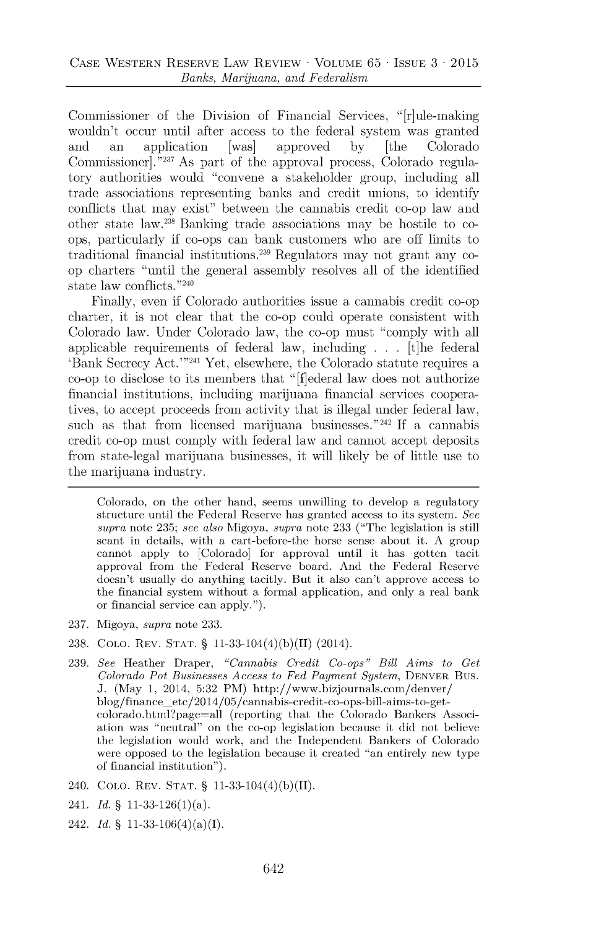Commissioner of the Division of Financial Services, "[r]ule-making wouldn't occur until after access to the federal system was granted and an application [was] approved **by** [the Colorado Commissioner]."<sup>237</sup> As part of the approval process, Colorado regulatory authorities would "convene a stakeholder group, including all trade associations representing banks and credit unions, to identify conflicts that may exist" between the cannabis credit co-op law and other state law.<sup>238</sup> Banking trade associations may be hostile to coops, particularly if co-ops can bank customers who are off limits to traditional financial institutions.<sup>239</sup> Regulators may not grant any coop charters "until the general assembly resolves all of the identified state law conflicts."<sup>240</sup>

Finally, even if Colorado authorities issue a cannabis credit co-op charter, it is not clear that the co-op could operate consistent with Colorado law. Under Colorado law, the co-op must "comply with all applicable requirements of federal law, including **. . .** [t]he federal 'Bank Secrecy Act.'<sup>"241</sup> Yet, elsewhere, the Colorado statute requires a co-op to disclose to its members that "[f]ederal law does not authorize financial institutions, including marijuana financial services cooperatives, to accept proceeds from activity that is illegal under federal law, such as that from licensed marijuana businesses." <sup>242</sup>**If** a cannabis credit co-op must comply with federal law and cannot accept deposits from state-legal marijuana businesses, it will likely be of little use to the marijuana industry.

Colorado, on the other hand, seems unwilling to develop a regulatory structure until the Federal Reserve has granted access to its system. *See supra* note **235;** *see also* Migoya, *supra* note **233** ("The legislation is still scant in details, with a cart-before-the horse sense about it. **A** group cannot apply to [Colorado] for approval until it has gotten tacit approval from the Federal Reserve board. And the Federal Reserve doesn't usually do anything tacitly. But it also can't approve access to the financial system without a formal application, and only a real bank or financial service can apply.").

- **237.** Migoya, *supra* note **233.**
- **238. COLO.** REV. **STAT. §** 11-33-104(4)(b)(J) (2014).
- **239.** *See* Heather Draper, *"Cannabis Credit Co-ops" Bill Aims to Get Colorado Pot Businesses Access to Fed Payment System,* **DENVER** Bus. **J.** (May 1, 2014, 5:32 PM) http://www.bizjournals.com/denver/ blog/finance-etc/2014/05/cannabis-credit-co-ops-bill-aims-to-getcolorado.html?page=all (reporting that the Colorado Bankers Association was "neutral" on the co-op legislation because it did not believe the legislation would work, and the Independent Bankers of Colorado were opposed to the legislation because it created "an entirely new type of financial institution").
- 240. **COLO.** REV. **STAT. §** 11-33-104(4)(b)(JJ).
- 241. *Id.* **§** 11-33-126(1)(a).
- 242. *Id.* **§** 11-33-106(4)(a)(I).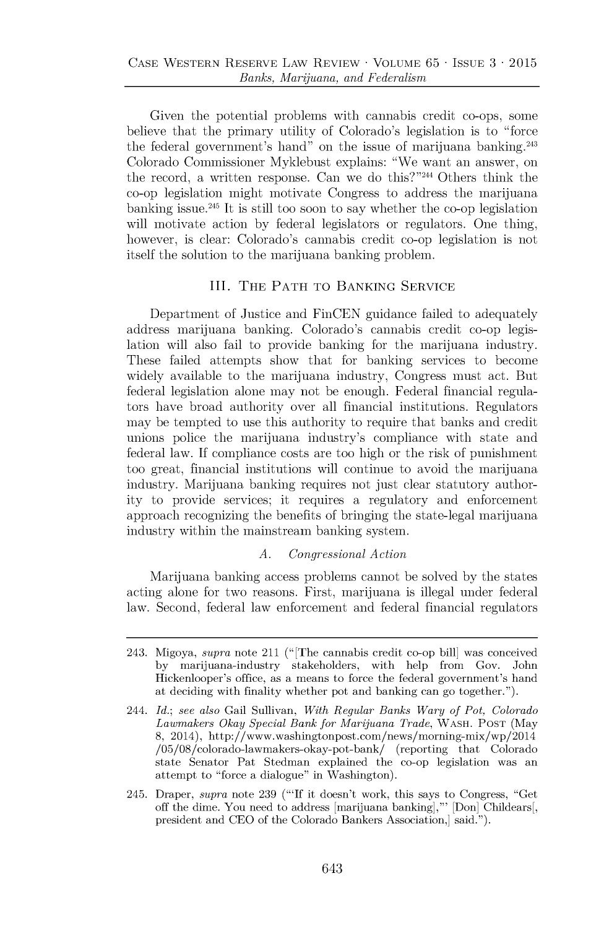Given the potential problems with cannabis credit co-ops, some believe that the primary utility of Colorado's legislation is to "force the federal government's hand" on the issue of marijuana banking.<sup>243</sup> Colorado Commissioner Myklebust explains: "We want an answer, on the record, a written response. Can we do this?"<sup>244</sup> Others think the co-op legislation might motivate Congress to address the marijuana banking issue.<sup>245</sup> It is still too soon to say whether the co-op legislation will motivate action **by** federal legislators or regulators. One thing, however, is clear: Colorado's cannabis credit co-op legislation is not itself the solution to the marijuana banking problem.

## III. THE PATH TO **BANKING** SERVICE

Department of Justice and FinCEN guidance failed to adequately address marijuana banking. Colorado's cannabis credit co-op legislation will also fail to provide banking for the marijuana industry. These failed attempts show that for banking services to become widely available to the marijuana industry, Congress must act. But federal legislation alone may not be enough. Federal financial regulators have broad authority over all financial institutions. Regulators may be tempted to use this authority to require that banks and credit unions police the marijuana industry's compliance with state and federal law. **If** compliance costs are too high or the risk of punishment too great, financial institutions will continue to avoid the marijuana industry. Marijuana banking requires not just clear statutory authority to provide services; it requires a regulatory and enforcement approach recognizing the benefits of bringing the state-legal marijuana industry within the mainstream banking system.

#### *A. Congressional Action*

Marijuana banking access problems cannot be solved **by** the states acting alone for two reasons. First, marijuana is illegal under federal law. Second, federal law enforcement and federal financial regulators

<sup>243.</sup> Migoya, *supra* note 211 (" [The cannabis credit co-op bill] was conceived **by** marijuana-industry stakeholders, with help from Gov. John Hickenlooper's office, as a means to force the federal government's hand at deciding with finality whether pot and banking can go together.").

<sup>244.</sup> *Id.; see also* Gail Sullivan, *With Regular Banks Wary of Pot, Colorado Lawmakers Okay Special Bank for Marijuana Trade,* WASH. **PosT** (May **8,** 2014), http://www.washingtonpost.com/news/morning-mix/wp/2014 /05/08/colorado-lawmakers-okay-pot-bank/ (reporting that Colorado state Senator Pat Stedman explained the co-op legislation was an attempt to "force a dialogue" in Washington).

<sup>245.</sup> Draper, *supra* note **239 ("'If** it doesn't work, this says to Congress, "Get off the dime. You need to address [marijuana banking],"' [Don] Childears[, president and **CEO** of the Colorado Bankers Association,] said.").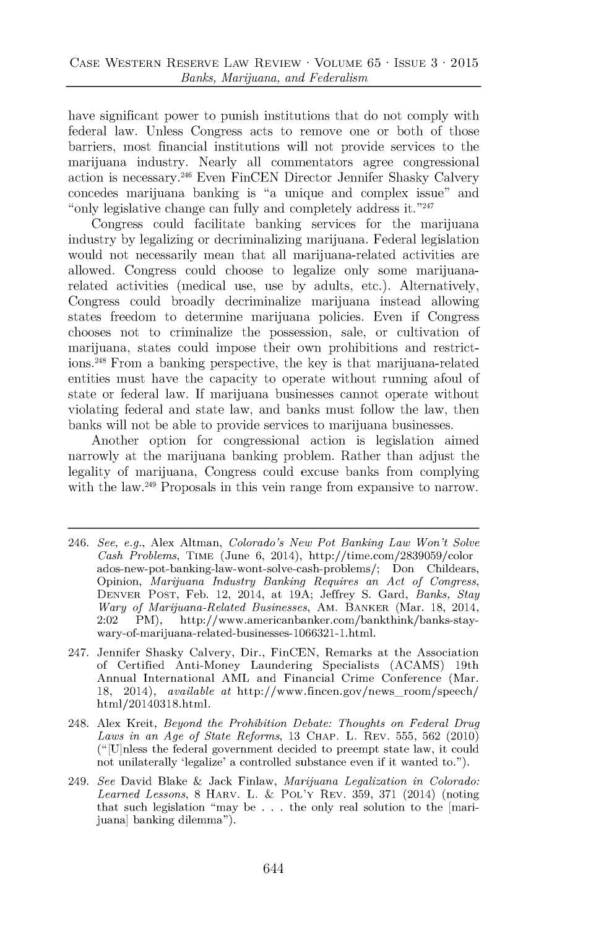have significant power to punish institutions that do **not** comply with federal law. Unless Congress acts to remove one or both of those barriers, most financial institutions will not provide services to the marijuana industry. Nearly all commentators agree congressional action is necessary.<sup>246</sup> Even FinCEN Director Jennifer Shasky Calvery concedes marijuana banking is "a unique and complex issue" and "only legislative change can fully and completely address it." $247$ 

Congress could facilitate banking services for the marijuana industry **by** legalizing or decriminalizing marijuana. Federal legislation would not necessarily mean that all marijuana-related activities are allowed. Congress could choose to legalize only some marijuanarelated activities (medical use, use **by** adults, etc.). Alternatively, Congress could broadly decriminalize marijuana instead allowing states freedom to determine marijuana policies. Even if Congress chooses not to criminalize the possession, sale, or cultivation of marijuana, states could impose their own prohibitions and restrict**ions. <sup>2</sup><sup>48</sup>**From a banking perspective, the key is that marijuana-related entities must have the capacity to operate without running afoul of state or federal law. **If** marijuana businesses cannot operate without violating federal and state law, and banks must follow the law, then banks will not be able to provide services to marijuana businesses.

Another option for congressional action is legislation aimed narrowly at the marijuana banking problem. Rather than adjust the legality of marijuana, Congress could excuse banks from complying with the law.<sup>249</sup> Proposals in this vein range from expansive to narrow.

- 246. *See, e.g.,* Alex Altman, *Colorado's New Pot Banking Law Won't Solve Cash Problems,* TIME (June **6,** 2014), http://time.com/2839059/color ados-new-pot-banking-law-wont-solve-cash-problems/; Don Childears, Opinion, *Marijuana Industry Banking Requires an Act of Congress,* **DENVER POST,** Feb. 12, 2014, at **19A;** Jeffrey **S.** Gard, *Banks, Stay Wary of Marijuana-Related Businesses, AM. BANKER (Mar. 18, 2014, 2:02 PM), http://www.americanbanker.com/bankthink/banks-stay*http://www.americanbanker.com/bankthink/banks-staywary-of-marijuana-related-businesses-1066321-1.html.
- 247. Jennifer Shasky Calvery, Dir., FinCEN, Remarks at the Association of Certified Anti-Money Laundering Specialists **(ACAMS)** 19th Annual International AML and Financial Crime Conference (Mar. **18,** 2014), *available at* http://www.fincen.gov/news-room/speech/ html/20140318.html.
- 248. Alex Kreit, *Beyond the Prohibition Debate: Thoughts on Federal Drug Laws in an Age of State Reforms,* **13 CHAP.** L. REV. **555, 562** (2010) (" [U]nless the federal government decided to preempt state law, it could not unilaterally 'legalize' a controlled substance even if it wanted to.").
- 249. *See* David Blake **&** Jack Finlaw, *Marijuana Legalization in Colorado: Learned Lessons,* **8 HARV.** L. **&** POL'Y REV. **359, 371** (2014) (noting that such legislation "may be **. . .** the only real solution to the [marijuana] banking dilemma").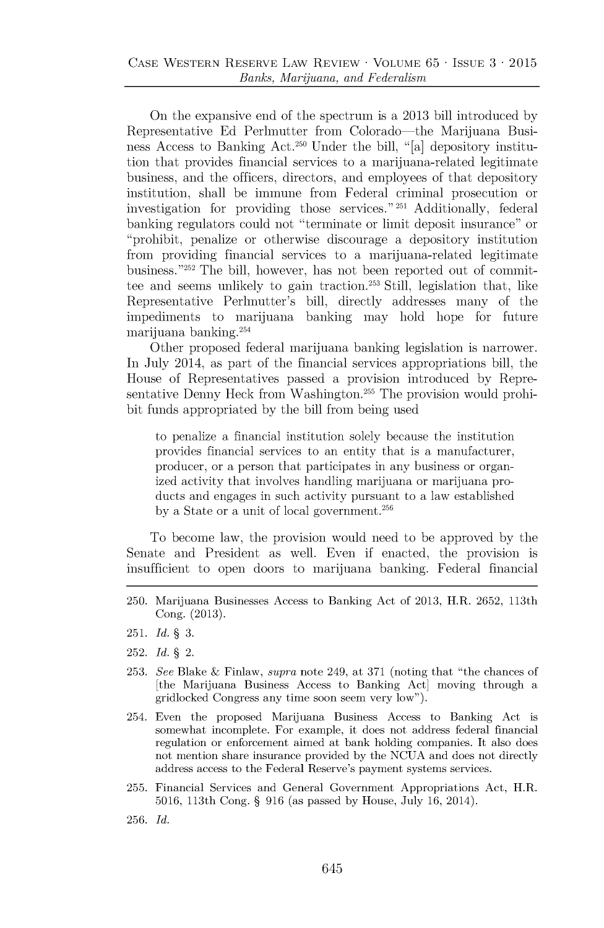On the expansive end of the spectrum is a **2013** bill introduced **by** Representative **Ed** Perlmutter from Colorado-the Marijuana Business Access to Banking Act.<sup>250</sup> Under the bill, "[a] depository institution that provides financial services to a marijuana-related legitimate business, and the officers, directors, and employees of that depository institution, shall be immune from Federal criminal prosecution or investigation for providing those services." 251 Additionally, federal banking regulators could not "terminate or limit deposit insurance" or "prohibit, penalize or otherwise discourage a depository institution from providing financial services to a marijuana-related legitimate business."<sup>252</sup> The bill, however, has not been reported out of committee and seems unlikely to gain traction.<sup>253</sup> Still, legislation that, like Representative Perhmutter's bill, directly addresses many of the impediments to marijuana banking may hold hope for future marijuana banking. <sup>2</sup><sup>54</sup>

Other proposed federal marijuana banking legislation is narrower. In July 2014, as part of the financial services appropriations bill, the House of Representatives passed a provision introduced **by** Representative Denny Heck from Washington.<sup>255</sup> The provision would prohibit funds appropriated **by** the bill from being used

to penalize a financial institution solely because the institution provides financial services to an entity that is a manufacturer, producer, or a person that participates in any business or organized activity that involves handling marijuana or marijuana products and engages in such activity pursuant to a law established **by** a State or a unit of local government. <sup>256</sup>

To become law, the provision would need to be approved **by** the Senate and President as well. Even if enacted, the provision is insufficient to open doors to marijuana banking. Federal financial

- **251.** *Id.* § **3.**
- **252.** *Id.* § 2.
- **253.** *See* **Blake & Finlaw,** *supra* **note 249, at 371 (noting that "the chances of** [the Marijuana Business Access **to** Banking Act] moving through a gridlocked Congress any time soon seem very low").
- 254. Even the proposed Marijuana Business Access **to** Banking Act is somewhat incomplete. For example, **it** does not address federal financial **regulation or enforcement aimed at bank holding companies. It also does not mention share** insurance provided **by** the **NCUA** and does not directly address access to the Federal Reserve's payment systems services.
- **255.** Financial Services and General Government Appropriations Act, H.R. **5016,** 113th Cong. **§ 916** (as passed **by** House, July **16,** 2014).
- **256.** *Id.*

**<sup>250.</sup>** Marijuana Businesses Access to Banking Act of **2013,** H.R. **2652,** 113th Cong. **(2013).**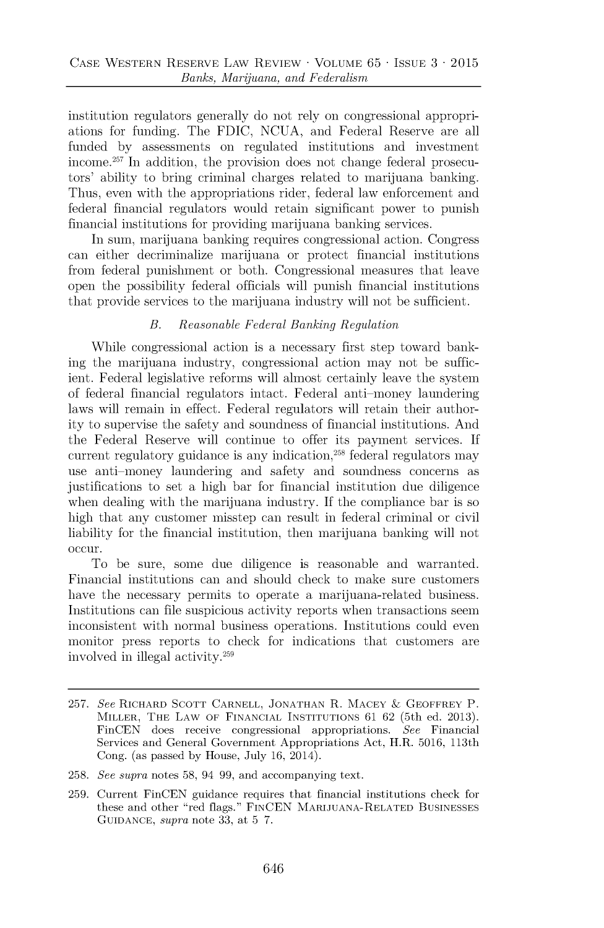institution regulators generally do not rely on congressional appropriations for funding. The **FDIC, NCUA,** and Federal Reserve are all funded **by** assessments on regulated institutions and investment income.<sup>257</sup> In addition, the provision does not change federal prosecutors' ability to bring criminal charges related to marijuana banking. Thus, even with the appropriations rider, federal law enforcement and federal financial regulators would retain significant power to punish financial institutions for providing marijuana banking services.

In sum, marijuana banking requires congressional action. Congress can either decriminalize marijuana or protect financial institutions from federal punishment or both. Congressional measures that leave open the possibility federal officials will punish financial institutions that provide services to the marijuana industry will not be sufficient.

#### *B. Reasonable Federal Banking Regulation*

While congressional action is a necessary first step toward banking the marijuana industry, congressional action may not be sufficient. Federal legislative reforms will almost certainly leave the system of federal financial regulators intact. Federal anti-money laundering laws will remain in effect. Federal regulators will retain their authority to supervise the safety and soundness of financial institutions. **And** the Federal Reserve will continue to offer its payment services. **If** current regulatory guidance is any indication, $258$  federal regulators may use anti-money laundering and safety and soundness concerns as justifications to set a high bar for financial institution due diligence when dealing with the marijuana industry. If the compliance bar is so high that any customer misstep can result in federal criminal or civil liability for the financial institution, then marijuana banking will **not occur.**

To be sure, some due diligence is reasonable and warranted. Financial institutions can and should check to make sure customers have the necessary permits to operate a marijuana-related business. Institutions can file suspicious activity reports when transactions seem inconsistent with normal business operations. Institutions could even monitor press reports to check for indications that customers are involved in illegal activity.<sup>2</sup><sup>59</sup>

**<sup>257.</sup>** *See* **RICHARD SCOTT CARNELL, JONATHAN** R. **MACEY & GEOFFREY** P. **MILLER, THE LAW OF FINANCIAL INSTITUTIONS 61 62** (5th ed. **2013). FinCEN does receive congressional appropriations.** *See* Financial **Services and General Government Appropriations Act, H.R. 5016, 113th Cong. (as passed by House, July 16, 2014).**

**<sup>258.</sup>** *See supra* **notes 58,** 94 **99, and accompanying text.**

**<sup>259.</sup> Current FinCEN guidance requires that financial institutions check for these and other "red flags." FINCEN MARIJUANA-RELATED BUSINESSES GUIDANCE,** *supra* **note 33, at 5 7.**